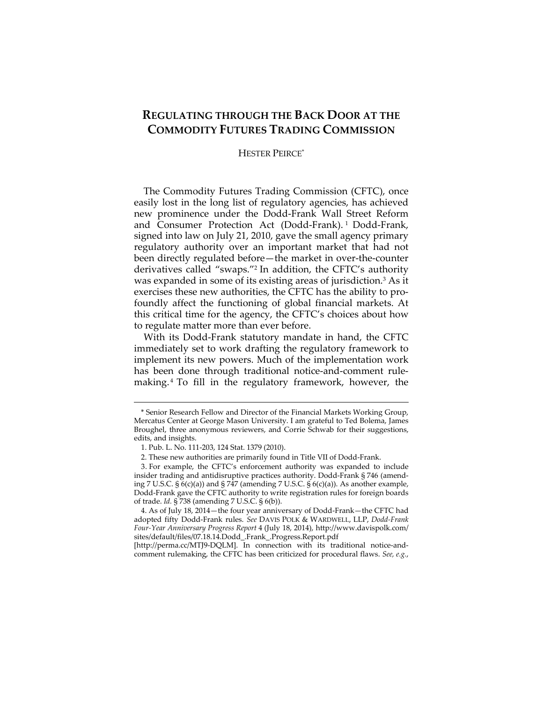# **REGULATING THROUGH THE BACK DOOR AT THE COMMODITY FUTURES TRADING COMMISSION**

# HESTER PEIRCE\*

The Commodity Futures Trading Commission (CFTC), once easily lost in the long list of regulatory agencies, has achieved new prominence under the Dodd-Frank Wall Street Reform and Consumer Protection Act (Dodd-Frank). 1 Dodd-Frank, signed into law on July 21, 2010, gave the small agency primary regulatory authority over an important market that had not been directly regulated before—the market in over-the-counter derivatives called "swaps."2 In addition, the CFTC's authority was expanded in some of its existing areas of jurisdiction.3 As it exercises these new authorities, the CFTC has the ability to profoundly affect the functioning of global financial markets. At this critical time for the agency, the CFTC's choices about how to regulate matter more than ever before.

With its Dodd-Frank statutory mandate in hand, the CFTC immediately set to work drafting the regulatory framework to implement its new powers. Much of the implementation work has been done through traditional notice-and-comment rulemaking. 4 To fill in the regulatory framework, however, the

<sup>\*</sup> Senior Research Fellow and Director of the Financial Markets Working Group, Mercatus Center at George Mason University. I am grateful to Ted Bolema, James Broughel, three anonymous reviewers, and Corrie Schwab for their suggestions, edits, and insights.

 <sup>1.</sup> Pub. L. No. 111-203, 124 Stat. 1379 (2010).

 <sup>2.</sup> These new authorities are primarily found in Title VII of Dodd-Frank.

 <sup>3.</sup> For example, the CFTC's enforcement authority was expanded to include insider trading and antidisruptive practices authority. Dodd-Frank § 746 (amending 7 U.S.C.  $\S$  6(c)(a)) and  $\S$  747 (amending 7 U.S.C.  $\S$  6(c)(a)). As another example, Dodd-Frank gave the CFTC authority to write registration rules for foreign boards of trade. *Id.* § 738 (amending 7 U.S.C. § 6(b)).

 <sup>4.</sup> As of July 18, 2014—the four year anniversary of Dodd-Frank—the CFTC had adopted fifty Dodd-Frank rules. *See* DAVIS POLK & WARDWELL, LLP, *Dodd-Frank Four-Year Anniversary Progress Report* 4 (July 18, 2014), http://www.davispolk.com/ sites/default/files/07.18.14.Dodd\_.Frank\_.Progress.Report.pdf

<sup>[</sup>http://perma.cc/MTJ9-DQLM]. In connection with its traditional notice-andcomment rulemaking, the CFTC has been criticized for procedural flaws. *See, e.g.*,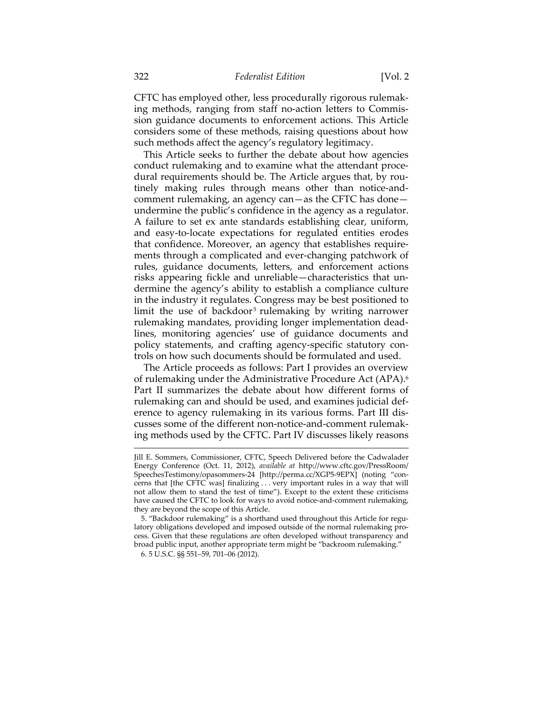CFTC has employed other, less procedurally rigorous rulemaking methods, ranging from staff no-action letters to Commission guidance documents to enforcement actions. This Article considers some of these methods, raising questions about how such methods affect the agency's regulatory legitimacy.

This Article seeks to further the debate about how agencies conduct rulemaking and to examine what the attendant procedural requirements should be. The Article argues that, by routinely making rules through means other than notice-andcomment rulemaking, an agency can—as the CFTC has done undermine the public's confidence in the agency as a regulator. A failure to set ex ante standards establishing clear, uniform, and easy-to-locate expectations for regulated entities erodes that confidence. Moreover, an agency that establishes requirements through a complicated and ever-changing patchwork of rules, guidance documents, letters, and enforcement actions risks appearing fickle and unreliable—characteristics that undermine the agency's ability to establish a compliance culture in the industry it regulates. Congress may be best positioned to limit the use of backdoor<sup>5</sup> rulemaking by writing narrower rulemaking mandates, providing longer implementation deadlines, monitoring agencies' use of guidance documents and policy statements, and crafting agency-specific statutory controls on how such documents should be formulated and used.

The Article proceeds as follows: Part I provides an overview of rulemaking under the Administrative Procedure Act (APA).6 Part II summarizes the debate about how different forms of rulemaking can and should be used, and examines judicial deference to agency rulemaking in its various forms. Part III discusses some of the different non-notice-and-comment rulemaking methods used by the CFTC. Part IV discusses likely reasons

Jill E. Sommers, Commissioner, CFTC, Speech Delivered before the Cadwalader Energy Conference (Oct. 11, 2012), *available at* http://www.cftc.gov/PressRoom/ SpeechesTestimony/opasommers-24 [http://perma.cc/XGP5-9EPX] (noting "concerns that [the CFTC was] finalizing . . . very important rules in a way that will not allow them to stand the test of time"). Except to the extent these criticisms have caused the CFTC to look for ways to avoid notice-and-comment rulemaking, they are beyond the scope of this Article.

 <sup>5. &</sup>quot;Backdoor rulemaking" is a shorthand used throughout this Article for regulatory obligations developed and imposed outside of the normal rulemaking process. Given that these regulations are often developed without transparency and broad public input, another appropriate term might be "backroom rulemaking."

 <sup>6. 5</sup> U.S.C. §§ 551–59, 701–06 (2012).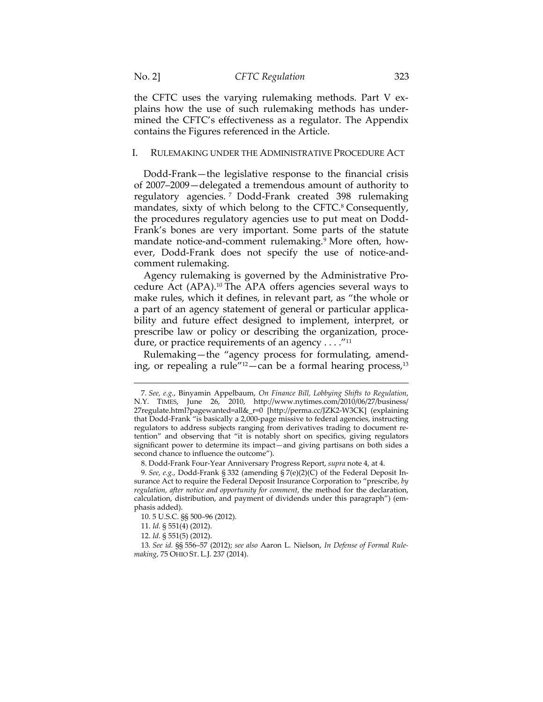the CFTC uses the varying rulemaking methods. Part V explains how the use of such rulemaking methods has undermined the CFTC's effectiveness as a regulator. The Appendix contains the Figures referenced in the Article.

### I. RULEMAKING UNDER THE ADMINISTRATIVE PROCEDURE ACT

Dodd-Frank—the legislative response to the financial crisis of 2007–2009—delegated a tremendous amount of authority to regulatory agencies. 7 Dodd-Frank created 398 rulemaking mandates, sixty of which belong to the CFTC.<sup>8</sup> Consequently, the procedures regulatory agencies use to put meat on Dodd-Frank's bones are very important. Some parts of the statute mandate notice-and-comment rulemaking.9 More often, however, Dodd-Frank does not specify the use of notice-andcomment rulemaking.

Agency rulemaking is governed by the Administrative Procedure Act (APA).10 The APA offers agencies several ways to make rules, which it defines, in relevant part, as "the whole or a part of an agency statement of general or particular applicability and future effect designed to implement, interpret, or prescribe law or policy or describing the organization, procedure, or practice requirements of an agency  $\dots$ ."<sup>11</sup>

Rulemaking—the "agency process for formulating, amending, or repealing a rule" $12$ -can be a formal hearing process, $13$ 

<sup>7</sup>*. See, e.g.*, Binyamin Appelbaum, *On Finance Bill, Lobbying Shifts to Regulation*, N.Y. TIMES, June 26, 2010, http://www.nytimes.com/2010/06/27/business/ 27regulate.html?pagewanted=all&\_r=0 [http://perma.cc/JZK2-W3CK] (explaining that Dodd-Frank "is basically a 2,000-page missive to federal agencies, instructing regulators to address subjects ranging from derivatives trading to document retention" and observing that "it is notably short on specifics, giving regulators significant power to determine its impact—and giving partisans on both sides a second chance to influence the outcome").

 <sup>8.</sup> Dodd-Frank Four-Year Anniversary Progress Report, *supra* note 4, at 4.

<sup>9</sup>*. See, e.g.*, Dodd-Frank § 332 (amending § 7(e)(2)(C) of the Federal Deposit Insurance Act to require the Federal Deposit Insurance Corporation to "prescribe, *by regulation, after notice and opportunity for comment*, the method for the declaration, calculation, distribution, and payment of dividends under this paragraph") (emphasis added).

 <sup>10. 5</sup> U.S.C. §§ 500–96 (2012).

 <sup>11.</sup> *Id.* § 551(4) (2012).

 <sup>12.</sup> *Id.* § 551(5) (2012).

<sup>13</sup>*. See id.* §§ 556–57 (2012); *see also* Aaron L. Nielson, *In Defense of Formal Rulemaking*, 75 OHIO ST. L.J. 237 (2014).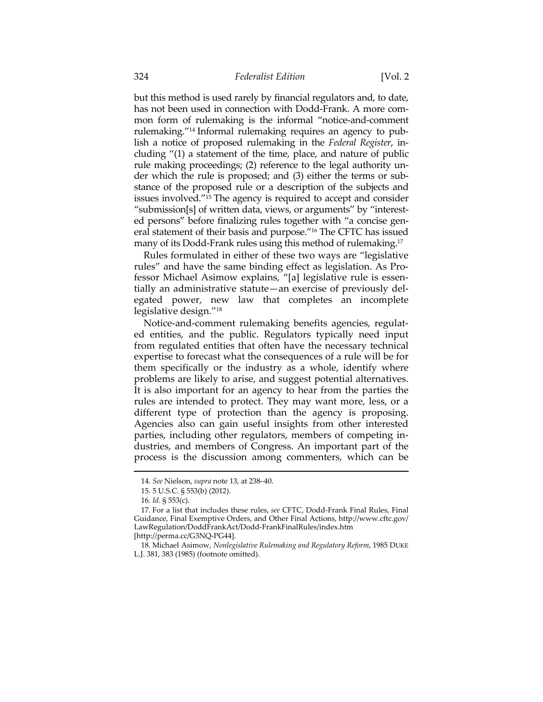but this method is used rarely by financial regulators and, to date, has not been used in connection with Dodd-Frank. A more common form of rulemaking is the informal "notice-and-comment rulemaking."14 Informal rulemaking requires an agency to publish a notice of proposed rulemaking in the *Federal Register*, including "(1) a statement of the time, place, and nature of public rule making proceedings; (2) reference to the legal authority under which the rule is proposed; and (3) either the terms or substance of the proposed rule or a description of the subjects and issues involved."15 The agency is required to accept and consider "submission[s] of written data, views, or arguments" by "interested persons" before finalizing rules together with "a concise general statement of their basis and purpose."16 The CFTC has issued many of its Dodd-Frank rules using this method of rulemaking.17

Rules formulated in either of these two ways are "legislative rules" and have the same binding effect as legislation. As Professor Michael Asimow explains, "[a] legislative rule is essentially an administrative statute—an exercise of previously delegated power, new law that completes an incomplete legislative design."18

Notice-and-comment rulemaking benefits agencies, regulated entities, and the public. Regulators typically need input from regulated entities that often have the necessary technical expertise to forecast what the consequences of a rule will be for them specifically or the industry as a whole, identify where problems are likely to arise, and suggest potential alternatives. It is also important for an agency to hear from the parties the rules are intended to protect. They may want more, less, or a different type of protection than the agency is proposing. Agencies also can gain useful insights from other interested parties, including other regulators, members of competing industries, and members of Congress. An important part of the process is the discussion among commenters, which can be

<sup>14</sup>*. See* Nielson, *supra* note 13, at 238–40.

<sup>15</sup>*.* 5 U.S.C. § 553(b) (2012).

<sup>16</sup>*. Id.* § 553(c).

 <sup>17.</sup> For a list that includes these rules, *see* CFTC, Dodd-Frank Final Rules, Final Guidance, Final Exemptive Orders, and Other Final Actions, http://www.cftc.gov/ LawRegulation/DoddFrankAct/Dodd-FrankFinalRules/index.htm

<sup>[</sup>http://perma.cc/G3NQ-PG44].

 <sup>18.</sup> Michael Asimow, *Nonlegislative Rulemaking and Regulatory Reform*, 1985 DUKE L.J. 381, 383 (1985) (footnote omitted).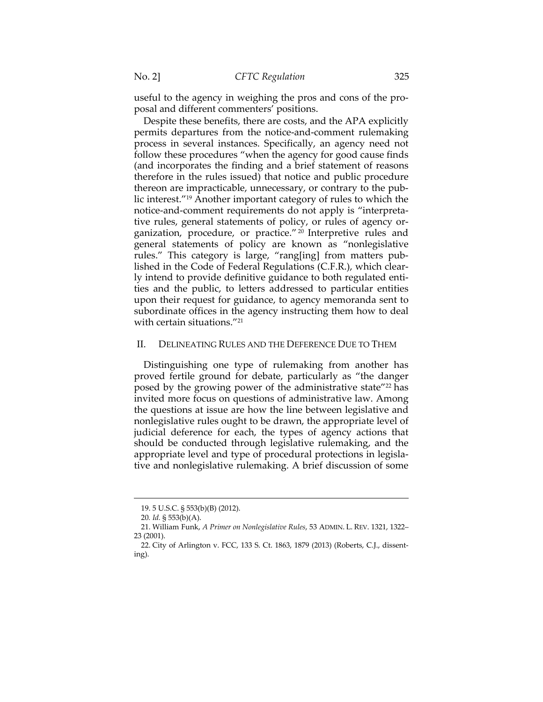useful to the agency in weighing the pros and cons of the proposal and different commenters' positions.

Despite these benefits, there are costs, and the APA explicitly permits departures from the notice-and-comment rulemaking process in several instances. Specifically, an agency need not follow these procedures "when the agency for good cause finds (and incorporates the finding and a brief statement of reasons therefore in the rules issued) that notice and public procedure thereon are impracticable, unnecessary, or contrary to the public interest."19 Another important category of rules to which the notice-and-comment requirements do not apply is "interpretative rules, general statements of policy, or rules of agency organization, procedure, or practice." 20 Interpretive rules and general statements of policy are known as "nonlegislative rules." This category is large, "rang[ing] from matters published in the Code of Federal Regulations (C.F.R.), which clearly intend to provide definitive guidance to both regulated entities and the public, to letters addressed to particular entities upon their request for guidance, to agency memoranda sent to subordinate offices in the agency instructing them how to deal with certain situations."21

### II. DELINEATING RULES AND THE DEFERENCE DUE TO THEM

Distinguishing one type of rulemaking from another has proved fertile ground for debate, particularly as "the danger posed by the growing power of the administrative state"22 has invited more focus on questions of administrative law. Among the questions at issue are how the line between legislative and nonlegislative rules ought to be drawn, the appropriate level of judicial deference for each, the types of agency actions that should be conducted through legislative rulemaking, and the appropriate level and type of procedural protections in legislative and nonlegislative rulemaking. A brief discussion of some

<sup>19. 5</sup> U.S.C. § 553(b)(B) (2012).

<sup>20</sup>*. Id.* § 553(b)(A).

 <sup>21.</sup> William Funk, *A Primer on Nonlegislative Rules*, 53 ADMIN. L. REV. 1321, 1322– 23 (2001).

 <sup>22.</sup> City of Arlington v. FCC, 133 S. Ct. 1863, 1879 (2013) (Roberts, C.J., dissenting).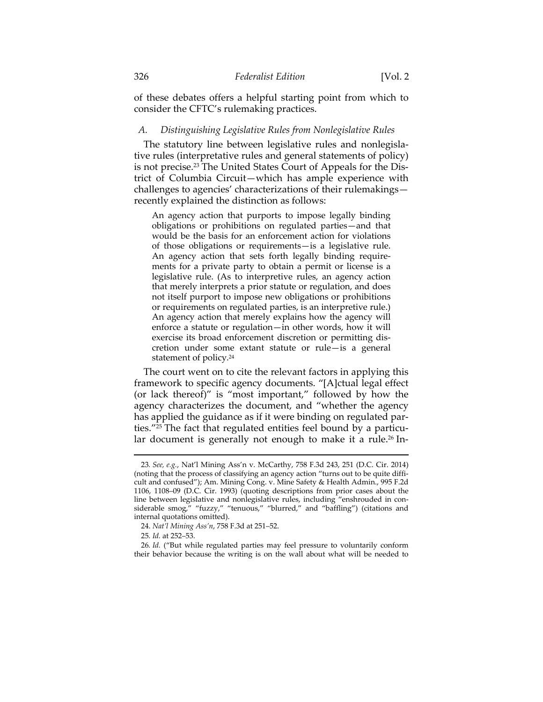of these debates offers a helpful starting point from which to consider the CFTC's rulemaking practices.

### *A. Distinguishing Legislative Rules from Nonlegislative Rules*

The statutory line between legislative rules and nonlegislative rules (interpretative rules and general statements of policy) is not precise.23 The United States Court of Appeals for the District of Columbia Circuit—which has ample experience with challenges to agencies' characterizations of their rulemakings recently explained the distinction as follows:

An agency action that purports to impose legally binding obligations or prohibitions on regulated parties—and that would be the basis for an enforcement action for violations of those obligations or requirements—is a legislative rule. An agency action that sets forth legally binding requirements for a private party to obtain a permit or license is a legislative rule. (As to interpretive rules, an agency action that merely interprets a prior statute or regulation, and does not itself purport to impose new obligations or prohibitions or requirements on regulated parties, is an interpretive rule.) An agency action that merely explains how the agency will enforce a statute or regulation—in other words, how it will exercise its broad enforcement discretion or permitting discretion under some extant statute or rule—is a general statement of policy.24

The court went on to cite the relevant factors in applying this framework to specific agency documents. "[A]ctual legal effect (or lack thereof)" is "most important," followed by how the agency characterizes the document, and "whether the agency has applied the guidance as if it were binding on regulated parties."25 The fact that regulated entities feel bound by a particular document is generally not enough to make it a rule.<sup>26</sup> In-

<sup>23</sup>*. See, e.g.*, Nat'l Mining Ass'n v. McCarthy, 758 F.3d 243, 251 (D.C. Cir. 2014) (noting that the process of classifying an agency action "turns out to be quite difficult and confused"); Am. Mining Cong. v. Mine Safety & Health Admin., 995 F.2d 1106, 1108–09 (D.C. Cir. 1993) (quoting descriptions from prior cases about the line between legislative and nonlegislative rules, including "enshrouded in considerable smog," "fuzzy," "tenuous," "blurred," and "baffling") (citations and internal quotations omitted).

 <sup>24.</sup> *Nat'l Mining Ass'n*, 758 F.3d at 251–52.

<sup>25</sup>*. Id.* at 252–53.

<sup>26</sup>*. Id.* ("But while regulated parties may feel pressure to voluntarily conform their behavior because the writing is on the wall about what will be needed to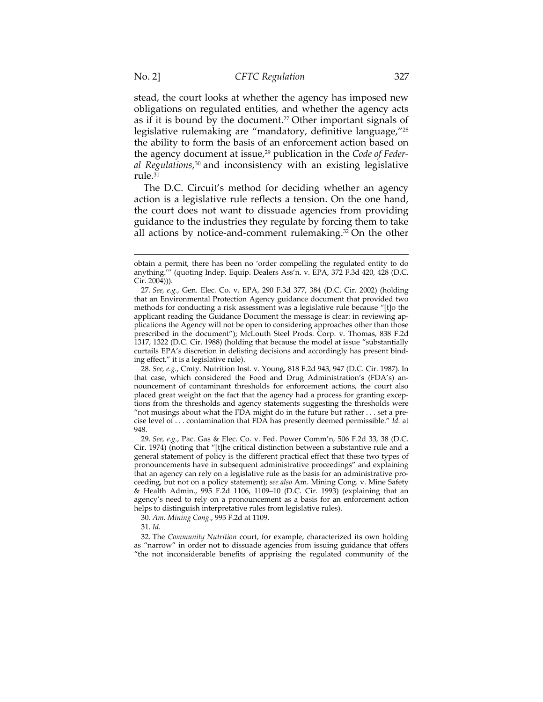stead, the court looks at whether the agency has imposed new obligations on regulated entities, and whether the agency acts as if it is bound by the document.<sup>27</sup> Other important signals of legislative rulemaking are "mandatory, definitive language,"28 the ability to form the basis of an enforcement action based on the agency document at issue,<sup>29</sup> publication in the *Code of Federal Regulations*, 30 and inconsistency with an existing legislative rule.31

The D.C. Circuit's method for deciding whether an agency action is a legislative rule reflects a tension. On the one hand, the court does not want to dissuade agencies from providing guidance to the industries they regulate by forcing them to take all actions by notice-and-comment rulemaking.<sup>32</sup> On the other

28*. See, e.g.*, Cmty. Nutrition Inst. v. Young, 818 F.2d 943, 947 (D.C. Cir. 1987). In that case, which considered the Food and Drug Administration's (FDA's) announcement of contaminant thresholds for enforcement actions, the court also placed great weight on the fact that the agency had a process for granting exceptions from the thresholds and agency statements suggesting the thresholds were "not musings about what the FDA might do in the future but rather . . . set a precise level of . . . contamination that FDA has presently deemed permissible." *Id.* at 948.

29*. See, e.g.*, Pac. Gas & Elec. Co. v. Fed. Power Comm'n, 506 F.2d 33, 38 (D.C. Cir. 1974) (noting that "[t]he critical distinction between a substantive rule and a general statement of policy is the different practical effect that these two types of pronouncements have in subsequent administrative proceedings" and explaining that an agency can rely on a legislative rule as the basis for an administrative proceeding, but not on a policy statement); *see also* Am. Mining Cong. v. Mine Safety & Health Admin., 995 F.2d 1106, 1109–10 (D.C. Cir. 1993) (explaining that an agency's need to rely on a pronouncement as a basis for an enforcement action helps to distinguish interpretative rules from legislative rules).

30*. Am. Mining Cong.*, 995 F.2d at 1109.

31. *Id.*

 32. The *Community Nutrition* court, for example, characterized its own holding as "narrow" in order not to dissuade agencies from issuing guidance that offers "the not inconsiderable benefits of apprising the regulated community of the

obtain a permit, there has been no 'order compelling the regulated entity to do anything.'" (quoting Indep. Equip. Dealers Ass'n. v. EPA, 372 F.3d 420, 428 (D.C. Cir. 2004))).

<sup>27</sup>*. See, e.g.*, Gen. Elec. Co. v. EPA, 290 F.3d 377, 384 (D.C. Cir. 2002) (holding that an Environmental Protection Agency guidance document that provided two methods for conducting a risk assessment was a legislative rule because "[t]o the applicant reading the Guidance Document the message is clear: in reviewing applications the Agency will not be open to considering approaches other than those prescribed in the document"); McLouth Steel Prods. Corp. v. Thomas, 838 F.2d 1317, 1322 (D.C. Cir. 1988) (holding that because the model at issue "substantially curtails EPA's discretion in delisting decisions and accordingly has present binding effect," it is a legislative rule).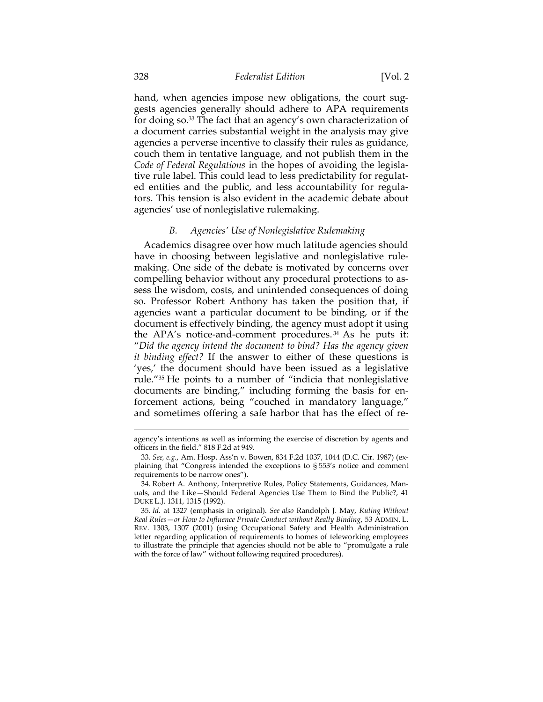hand, when agencies impose new obligations, the court suggests agencies generally should adhere to APA requirements for doing so.33 The fact that an agency's own characterization of a document carries substantial weight in the analysis may give agencies a perverse incentive to classify their rules as guidance, couch them in tentative language, and not publish them in the *Code of Federal Regulations* in the hopes of avoiding the legislative rule label. This could lead to less predictability for regulated entities and the public, and less accountability for regulators. This tension is also evident in the academic debate about agencies' use of nonlegislative rulemaking.

### *B. Agencies' Use of Nonlegislative Rulemaking*

Academics disagree over how much latitude agencies should have in choosing between legislative and nonlegislative rulemaking. One side of the debate is motivated by concerns over compelling behavior without any procedural protections to assess the wisdom, costs, and unintended consequences of doing so. Professor Robert Anthony has taken the position that, if agencies want a particular document to be binding, or if the document is effectively binding, the agency must adopt it using the APA's notice-and-comment procedures. 34 As he puts it: "*Did the agency intend the document to bind? Has the agency given it binding effect?* If the answer to either of these questions is 'yes,' the document should have been issued as a legislative rule."35 He points to a number of "indicia that nonlegislative documents are binding," including forming the basis for enforcement actions, being "couched in mandatory language," and sometimes offering a safe harbor that has the effect of re-

agency's intentions as well as informing the exercise of discretion by agents and officers in the field." 818 F.2d at 949.

<sup>33</sup>*. See, e.g.*, Am. Hosp. Ass'n v. Bowen, 834 F.2d 1037, 1044 (D.C. Cir. 1987) (explaining that "Congress intended the exceptions to § 553's notice and comment requirements to be narrow ones").

 <sup>34.</sup> Robert A. Anthony, Interpretive Rules, Policy Statements, Guidances, Manuals, and the Like—Should Federal Agencies Use Them to Bind the Public?, 41 DUKE L.J. 1311, 1315 (1992).

<sup>35</sup>*. Id.* at 1327 (emphasis in original). *See also* Randolph J. May, *Ruling Without Real Rules—or How to Influence Private Conduct without Really Binding*, 53 ADMIN. L. REV. 1303, 1307 (2001) (using Occupational Safety and Health Administration letter regarding application of requirements to homes of teleworking employees to illustrate the principle that agencies should not be able to "promulgate a rule with the force of law" without following required procedures).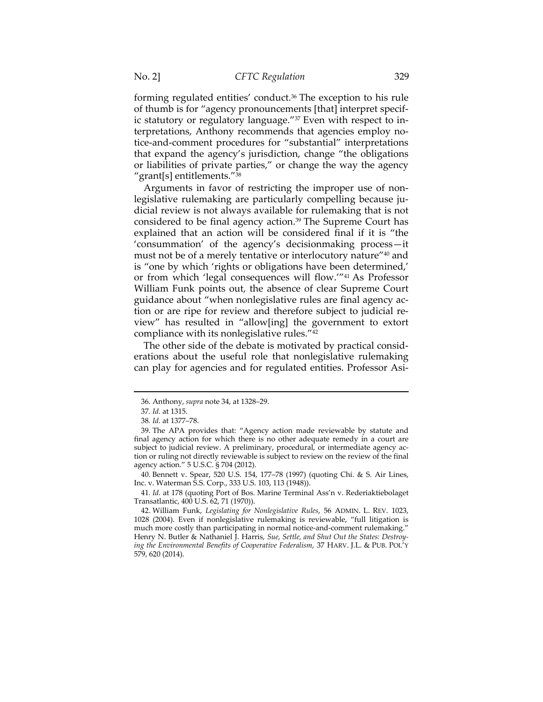forming regulated entities' conduct.36 The exception to his rule of thumb is for "agency pronouncements [that] interpret specific statutory or regulatory language."37 Even with respect to interpretations, Anthony recommends that agencies employ notice-and-comment procedures for "substantial" interpretations that expand the agency's jurisdiction, change "the obligations or liabilities of private parties," or change the way the agency "grant[s] entitlements." $38$ 

Arguments in favor of restricting the improper use of nonlegislative rulemaking are particularly compelling because judicial review is not always available for rulemaking that is not considered to be final agency action.39 The Supreme Court has explained that an action will be considered final if it is "the 'consummation' of the agency's decisionmaking process—it must not be of a merely tentative or interlocutory nature"40 and is "one by which 'rights or obligations have been determined,' or from which 'legal consequences will flow.'"41 As Professor William Funk points out, the absence of clear Supreme Court guidance about "when nonlegislative rules are final agency action or are ripe for review and therefore subject to judicial review" has resulted in "allow[ing] the government to extort compliance with its nonlegislative rules."42

The other side of the debate is motivated by practical considerations about the useful role that nonlegislative rulemaking can play for agencies and for regulated entities. Professor Asi-

 $\overline{a}$ 

 40. Bennett v. Spear, 520 U.S. 154, 177–78 (1997) (quoting Chi. & S. Air Lines, Inc. v. Waterman S.S. Corp., 333 U.S. 103, 113 (1948)).

41*. Id.* at 178 (quoting Port of Bos. Marine Terminal Ass'n v. Rederiaktiebolaget Transatlantic, 400 U.S. 62, 71 (1970)).

<sup>36.</sup> Anthony, *supra* note 34, at 1328–29.

<sup>37</sup>*. Id.* at 1315.

<sup>38</sup>*. Id.* at 1377–78.

 <sup>39.</sup> The APA provides that: "Agency action made reviewable by statute and final agency action for which there is no other adequate remedy in a court are subject to judicial review. A preliminary, procedural, or intermediate agency action or ruling not directly reviewable is subject to review on the review of the final agency action." 5 U.S.C. § 704 (2012).

 <sup>42.</sup> William Funk, *Legislating for Nonlegislative Rules*, 56 ADMIN. L. REV. 1023, 1028 (2004). Even if nonlegislative rulemaking is reviewable, "full litigation is much more costly than participating in normal notice-and-comment rulemaking." Henry N. Butler & Nathaniel J. Harris, *Sue, Settle, and Shut Out the States: Destroying the Environmental Benefits of Cooperative Federalism*, 37 HARV. J.L. & PUB. POL'Y 579, 620 (2014).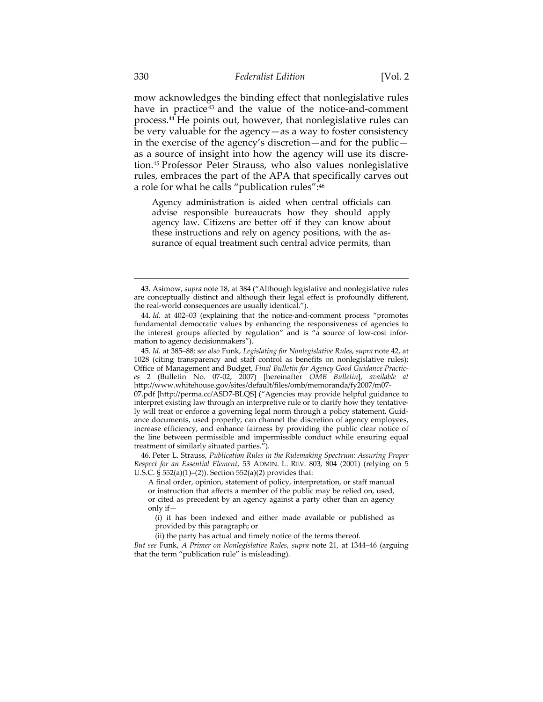mow acknowledges the binding effect that nonlegislative rules have in practice<sup>43</sup> and the value of the notice-and-comment process.44 He points out, however, that nonlegislative rules can be very valuable for the agency—as a way to foster consistency in the exercise of the agency's discretion—and for the public as a source of insight into how the agency will use its discretion.45 Professor Peter Strauss, who also values nonlegislative rules, embraces the part of the APA that specifically carves out a role for what he calls "publication rules":46

Agency administration is aided when central officials can advise responsible bureaucrats how they should apply agency law. Citizens are better off if they can know about these instructions and rely on agency positions, with the assurance of equal treatment such central advice permits, than

45*. Id.* at 385–88*; see also* Funk, *Legislating for Nonlegislative Rules*, *supra* note 42, at 1028 (citing transparency and staff control as benefits on nonlegislative rules); Office of Management and Budget, *Final Bulletin for Agency Good Guidance Practices* 2 (Bulletin No. 07-02, 2007) [hereinafter *OMB Bulletin*], *available at* http://www.whitehouse.gov/sites/default/files/omb/memoranda/fy2007/m07-

07.pdf [http://perma.cc/ASD7-BLQS] ("Agencies may provide helpful guidance to interpret existing law through an interpretive rule or to clarify how they tentatively will treat or enforce a governing legal norm through a policy statement. Guidance documents, used properly, can channel the discretion of agency employees, increase efficiency, and enhance fairness by providing the public clear notice of the line between permissible and impermissible conduct while ensuring equal treatment of similarly situated parties.").

 46. Peter L. Strauss, *Publication Rules in the Rulemaking Spectrum: Assuring Proper Respect for an Essential Element*, 53 ADMIN. L. REV. 803, 804 (2001) (relying on 5 U.S.C. § 552(a)(1)–(2)). Section 552(a)(2) provides that:

(i) it has been indexed and either made available or published as provided by this paragraph; or

(ii) the party has actual and timely notice of the terms thereof.

*But see* Funk, *A Primer on Nonlegislative Rules*, *supra* note 21, at 1344–46 (arguing that the term "publication rule" is misleading).

<sup>43.</sup> Asimow, *supra* note 18, at 384 ("Although legislative and nonlegislative rules are conceptually distinct and although their legal effect is profoundly different, the real-world consequences are usually identical.").

<sup>44</sup>*. Id.* at 402–03 (explaining that the notice-and-comment process "promotes fundamental democratic values by enhancing the responsiveness of agencies to the interest groups affected by regulation" and is "a source of low-cost information to agency decisionmakers").

A final order, opinion, statement of policy, interpretation, or staff manual or instruction that affects a member of the public may be relied on, used, or cited as precedent by an agency against a party other than an agency only if—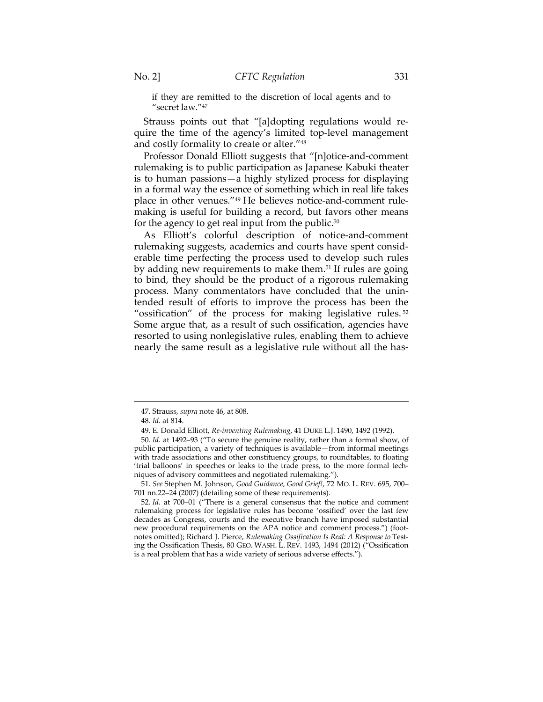if they are remitted to the discretion of local agents and to "secret law."47

Strauss points out that "[a]dopting regulations would require the time of the agency's limited top-level management and costly formality to create or alter."48

Professor Donald Elliott suggests that "[n]otice-and-comment rulemaking is to public participation as Japanese Kabuki theater is to human passions—a highly stylized process for displaying in a formal way the essence of something which in real life takes place in other venues."49 He believes notice-and-comment rulemaking is useful for building a record, but favors other means for the agency to get real input from the public.<sup>50</sup>

As Elliott's colorful description of notice-and-comment rulemaking suggests, academics and courts have spent considerable time perfecting the process used to develop such rules by adding new requirements to make them.<sup>51</sup> If rules are going to bind, they should be the product of a rigorous rulemaking process. Many commentators have concluded that the unintended result of efforts to improve the process has been the "ossification" of the process for making legislative rules. <sup>52</sup> Some argue that, as a result of such ossification, agencies have resorted to using nonlegislative rules, enabling them to achieve nearly the same result as a legislative rule without all the has-

<sup>47.</sup> Strauss, *supra* note 46, at 808.

<sup>48</sup>*. Id.* at 814.

 <sup>49.</sup> E. Donald Elliott, *Re-inventing Rulemaking*, 41 DUKE L.J. 1490, 1492 (1992).

<sup>50</sup>*. Id.* at 1492–93 ("To secure the genuine reality, rather than a formal show, of public participation, a variety of techniques is available—from informal meetings with trade associations and other constituency groups, to roundtables, to floating 'trial balloons' in speeches or leaks to the trade press, to the more formal techniques of advisory committees and negotiated rulemaking.").

<sup>51</sup>*. See* Stephen M. Johnson, *Good Guidance, Good Grief!*, 72 MO. L. REV. 695, 700– 701 nn.22–24 (2007) (detailing some of these requirements).

<sup>52</sup>*. Id.* at 700–01 ("There is a general consensus that the notice and comment rulemaking process for legislative rules has become 'ossified' over the last few decades as Congress, courts and the executive branch have imposed substantial new procedural requirements on the APA notice and comment process.") (footnotes omitted); Richard J. Pierce, *Rulemaking Ossification Is Real: A Response to* Testing the Ossification Thesis, 80 GEO. WASH. L. REV. 1493, 1494 (2012) ("Ossification is a real problem that has a wide variety of serious adverse effects.").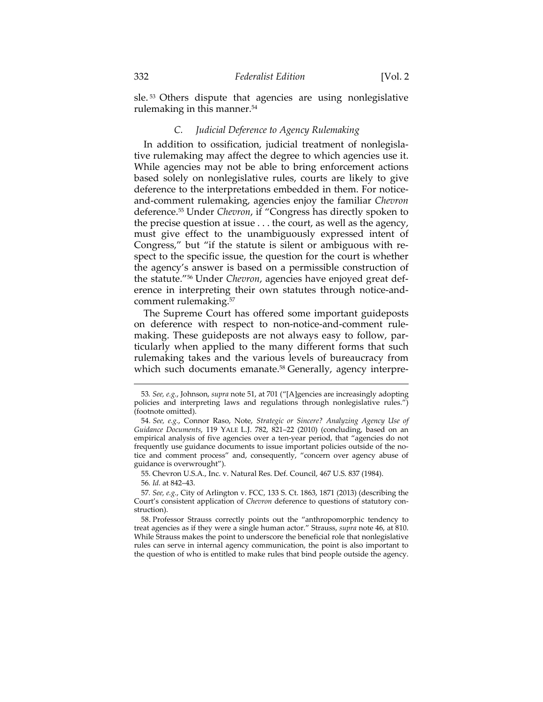sle.<sup>53</sup> Others dispute that agencies are using nonlegislative rulemaking in this manner.54

# *C. Judicial Deference to Agency Rulemaking*

In addition to ossification, judicial treatment of nonlegislative rulemaking may affect the degree to which agencies use it. While agencies may not be able to bring enforcement actions based solely on nonlegislative rules, courts are likely to give deference to the interpretations embedded in them. For noticeand-comment rulemaking, agencies enjoy the familiar *Chevron* deference.55 Under *Chevron*, if "Congress has directly spoken to the precise question at issue . . . the court, as well as the agency, must give effect to the unambiguously expressed intent of Congress," but "if the statute is silent or ambiguous with respect to the specific issue, the question for the court is whether the agency's answer is based on a permissible construction of the statute."56 Under *Chevron*, agencies have enjoyed great deference in interpreting their own statutes through notice-andcomment rulemaking.57

The Supreme Court has offered some important guideposts on deference with respect to non-notice-and-comment rulemaking. These guideposts are not always easy to follow, particularly when applied to the many different forms that such rulemaking takes and the various levels of bureaucracy from which such documents emanate.<sup>58</sup> Generally, agency interpre-

55. Chevron U.S.A., Inc. v. Natural Res. Def. Council, 467 U.S. 837 (1984).

56*. Id.* at 842–43.

 $\overline{a}$ 

57*. See, e.g.*, City of Arlington v. FCC, 133 S. Ct. 1863, 1871 (2013) (describing the Court's consistent application of *Chevron* deference to questions of statutory construction).

 58. Professor Strauss correctly points out the "anthropomorphic tendency to treat agencies as if they were a single human actor." Strauss, *supra* note 46, at 810. While Strauss makes the point to underscore the beneficial role that nonlegislative rules can serve in internal agency communication, the point is also important to the question of who is entitled to make rules that bind people outside the agency.

<sup>53</sup>*. See, e.g.*, Johnson, *supra* note 51, at 701 ("[A]gencies are increasingly adopting policies and interpreting laws and regulations through nonlegislative rules.") (footnote omitted).

<sup>54</sup>*. See, e.g.*, Connor Raso, Note, *Strategic or Sincere? Analyzing Agency Use of Guidance Documents*, 119 YALE L.J. 782, 821–22 (2010) (concluding, based on an empirical analysis of five agencies over a ten-year period, that "agencies do not frequently use guidance documents to issue important policies outside of the notice and comment process" and, consequently, "concern over agency abuse of guidance is overwrought").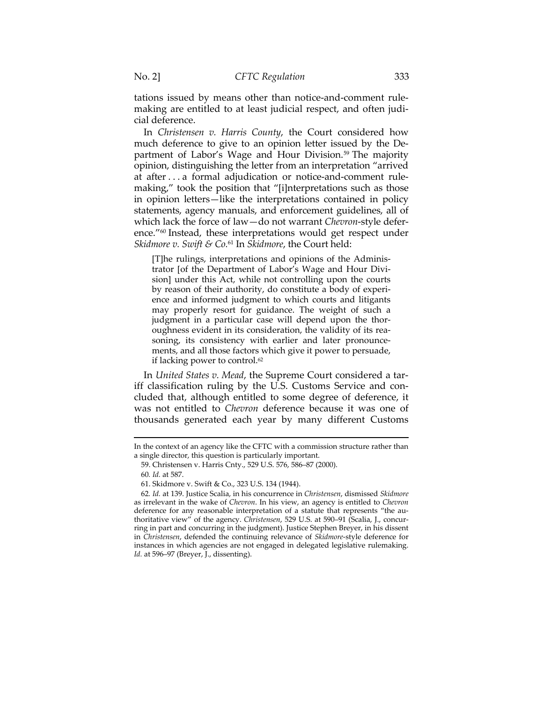tations issued by means other than notice-and-comment rulemaking are entitled to at least judicial respect, and often judicial deference.

In *Christensen v. Harris County*, the Court considered how much deference to give to an opinion letter issued by the Department of Labor's Wage and Hour Division.<sup>59</sup> The majority opinion, distinguishing the letter from an interpretation "arrived at after . . . a formal adjudication or notice-and-comment rulemaking," took the position that "[i]nterpretations such as those in opinion letters—like the interpretations contained in policy statements, agency manuals, and enforcement guidelines, all of which lack the force of law—do not warrant *Chevron*-style deference."60 Instead, these interpretations would get respect under *Skidmore v. Swift & Co.*61 In *Skidmore*, the Court held:

[T]he rulings, interpretations and opinions of the Administrator [of the Department of Labor's Wage and Hour Division] under this Act, while not controlling upon the courts by reason of their authority, do constitute a body of experience and informed judgment to which courts and litigants may properly resort for guidance. The weight of such a judgment in a particular case will depend upon the thoroughness evident in its consideration, the validity of its reasoning, its consistency with earlier and later pronouncements, and all those factors which give it power to persuade, if lacking power to control.<sup>62</sup>

In *United States v. Mead*, the Supreme Court considered a tariff classification ruling by the U.S. Customs Service and concluded that, although entitled to some degree of deference, it was not entitled to *Chevron* deference because it was one of thousands generated each year by many different Customs

In the context of an agency like the CFTC with a commission structure rather than a single director, this question is particularly important.

 <sup>59.</sup> Christensen v. Harris Cnty., 529 U.S. 576, 586–87 (2000).

<sup>60</sup>*. Id.* at 587.

 <sup>61.</sup> Skidmore v. Swift & Co., 323 U.S. 134 (1944).

<sup>62</sup>*. Id.* at 139. Justice Scalia, in his concurrence in *Christensen*, dismissed *Skidmore* as irrelevant in the wake of *Chevron*. In his view, an agency is entitled to *Chevron* deference for any reasonable interpretation of a statute that represents "the authoritative view" of the agency. *Christensen*, 529 U.S. at 590–91 (Scalia, J., concurring in part and concurring in the judgment). Justice Stephen Breyer, in his dissent in *Christensen*, defended the continuing relevance of *Skidmore*-style deference for instances in which agencies are not engaged in delegated legislative rulemaking. *Id.* at 596–97 (Breyer, J., dissenting).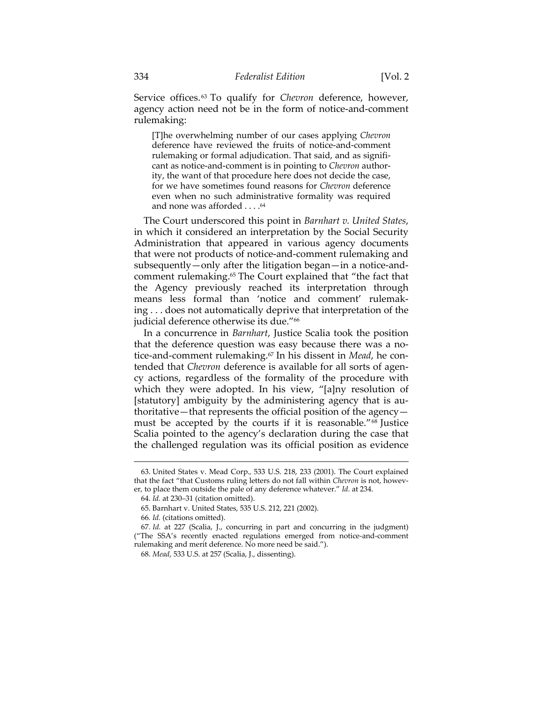Service offices. 63 To qualify for *Chevron* deference, however, agency action need not be in the form of notice-and-comment rulemaking:

[T]he overwhelming number of our cases applying *Chevron*  deference have reviewed the fruits of notice-and-comment rulemaking or formal adjudication. That said, and as significant as notice-and-comment is in pointing to *Chevron* authority, the want of that procedure here does not decide the case, for we have sometimes found reasons for *Chevron* deference even when no such administrative formality was required and none was afforded . . . .64

The Court underscored this point in *Barnhart v. United States*, in which it considered an interpretation by the Social Security Administration that appeared in various agency documents that were not products of notice-and-comment rulemaking and subsequently—only after the litigation began—in a notice-andcomment rulemaking.65 The Court explained that "the fact that the Agency previously reached its interpretation through means less formal than 'notice and comment' rulemaking . . . does not automatically deprive that interpretation of the judicial deference otherwise its due."<sup>66</sup>

In a concurrence in *Barnhart*, Justice Scalia took the position that the deference question was easy because there was a notice-and-comment rulemaking.67 In his dissent in *Mead*, he contended that *Chevron* deference is available for all sorts of agency actions, regardless of the formality of the procedure with which they were adopted. In his view, "[a]ny resolution of [statutory] ambiguity by the administering agency that is authoritative—that represents the official position of the agency must be accepted by the courts if it is reasonable."68 Justice Scalia pointed to the agency's declaration during the case that the challenged regulation was its official position as evidence

<sup>63.</sup> United States v. Mead Corp.*,* 533 U.S. 218, 233 (2001). The Court explained that the fact "that Customs ruling letters do not fall within *Chevron* is not, however, to place them outside the pale of any deference whatever." *Id.* at 234.

<sup>64.</sup> *Id.* at 230–31 (citation omitted).

 <sup>65.</sup> Barnhart v. United States, 535 U.S. 212, 221 (2002).

<sup>66</sup>*. Id.* (citations omitted).

<sup>67</sup>*. Id.* at 227 (Scalia, J., concurring in part and concurring in the judgment) ("The SSA's recently enacted regulations emerged from notice-and-comment rulemaking and merit deference. No more need be said.").

 <sup>68.</sup> *Mead*, 533 U.S. at 257 (Scalia, J., dissenting).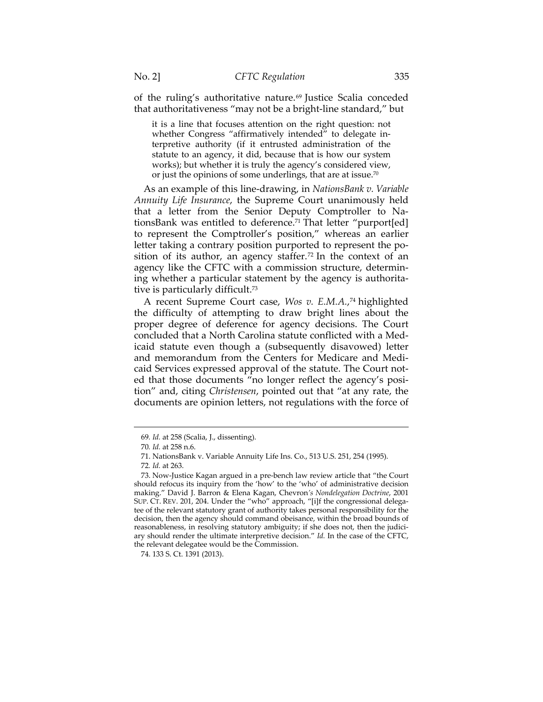of the ruling's authoritative nature.<sup>69</sup> Justice Scalia conceded that authoritativeness "may not be a bright-line standard," but

it is a line that focuses attention on the right question: not whether Congress "affirmatively intended" to delegate interpretive authority (if it entrusted administration of the statute to an agency, it did, because that is how our system works); but whether it is truly the agency's considered view, or just the opinions of some underlings, that are at issue.70

As an example of this line-drawing, in *NationsBank v. Variable Annuity Life Insurance*, the Supreme Court unanimously held that a letter from the Senior Deputy Comptroller to NationsBank was entitled to deference.<sup>71</sup> That letter "purport[ed] to represent the Comptroller's position," whereas an earlier letter taking a contrary position purported to represent the position of its author, an agency staffer.<sup>72</sup> In the context of an agency like the CFTC with a commission structure, determining whether a particular statement by the agency is authoritative is particularly difficult.73

A recent Supreme Court case, *Wos v. E.M.A.*, 74 highlighted the difficulty of attempting to draw bright lines about the proper degree of deference for agency decisions. The Court concluded that a North Carolina statute conflicted with a Medicaid statute even though a (subsequently disavowed) letter and memorandum from the Centers for Medicare and Medicaid Services expressed approval of the statute. The Court noted that those documents "no longer reflect the agency's position" and, citing *Christensen*, pointed out that "at any rate, the documents are opinion letters, not regulations with the force of

<sup>69</sup>*. Id.* at 258 (Scalia, J., dissenting).

<sup>70</sup>*. Id.* at 258 n.6.

 <sup>71.</sup> NationsBank v. Variable Annuity Life Ins. Co., 513 U.S. 251, 254 (1995).

<sup>72</sup>*. Id.* at 263.

 <sup>73.</sup> Now-Justice Kagan argued in a pre-bench law review article that "the Court should refocus its inquiry from the 'how' to the 'who' of administrative decision making." David J. Barron & Elena Kagan, Chevron*'s Nondelegation Doctrine*, 2001 SUP. CT. REV. 201, 204. Under the "who" approach, "[i]f the congressional delegatee of the relevant statutory grant of authority takes personal responsibility for the decision, then the agency should command obeisance, within the broad bounds of reasonableness, in resolving statutory ambiguity; if she does not, then the judiciary should render the ultimate interpretive decision." *Id.* In the case of the CFTC, the relevant delegatee would be the Commission.

 <sup>74. 133</sup> S. Ct. 1391 (2013).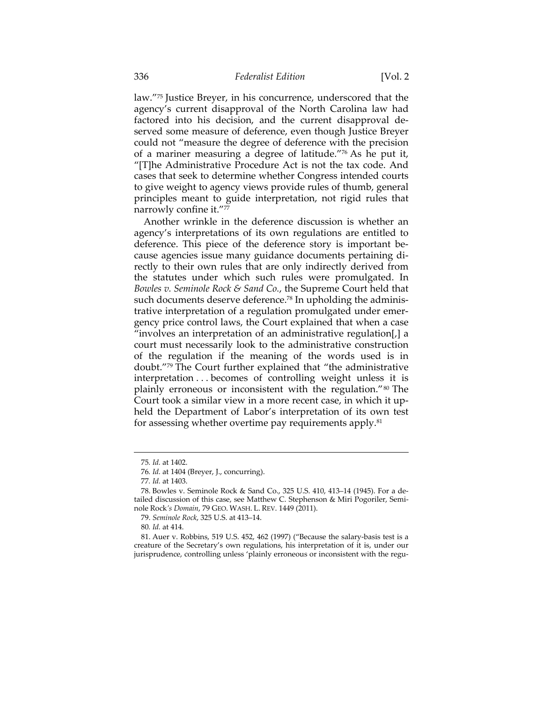law."75 Justice Breyer, in his concurrence, underscored that the agency's current disapproval of the North Carolina law had factored into his decision, and the current disapproval deserved some measure of deference, even though Justice Breyer could not "measure the degree of deference with the precision of a mariner measuring a degree of latitude."76 As he put it, "[T]he Administrative Procedure Act is not the tax code. And cases that seek to determine whether Congress intended courts to give weight to agency views provide rules of thumb, general principles meant to guide interpretation, not rigid rules that narrowly confine it."77

Another wrinkle in the deference discussion is whether an agency's interpretations of its own regulations are entitled to deference. This piece of the deference story is important because agencies issue many guidance documents pertaining directly to their own rules that are only indirectly derived from the statutes under which such rules were promulgated. In *Bowles v. Seminole Rock & Sand Co.*, the Supreme Court held that such documents deserve deference.<sup>78</sup> In upholding the administrative interpretation of a regulation promulgated under emergency price control laws, the Court explained that when a case "involves an interpretation of an administrative regulation[,] a court must necessarily look to the administrative construction of the regulation if the meaning of the words used is in doubt."79 The Court further explained that "the administrative interpretation . . . becomes of controlling weight unless it is plainly erroneous or inconsistent with the regulation."<sup>80</sup> The Court took a similar view in a more recent case, in which it upheld the Department of Labor's interpretation of its own test for assessing whether overtime pay requirements apply.<sup>81</sup>

<sup>75</sup>*. Id.* at 1402.

<sup>76</sup>*. Id.* at 1404 (Breyer, J., concurring).

<sup>77</sup>*. Id.* at 1403.

 <sup>78.</sup> Bowles v. Seminole Rock & Sand Co., 325 U.S. 410, 413–14 (1945). For a detailed discussion of this case, see Matthew C. Stephenson & Miri Pogoriler, Seminole Rock*'s Domain*, 79 GEO. WASH. L. REV. 1449 (2011).

 <sup>79.</sup> *Seminole Rock*, 325 U.S. at 413–14.

<sup>80</sup>*. Id.* at 414.

 <sup>81.</sup> Auer v. Robbins, 519 U.S. 452, 462 (1997) ("Because the salary-basis test is a creature of the Secretary's own regulations, his interpretation of it is, under our jurisprudence, controlling unless 'plainly erroneous or inconsistent with the regu-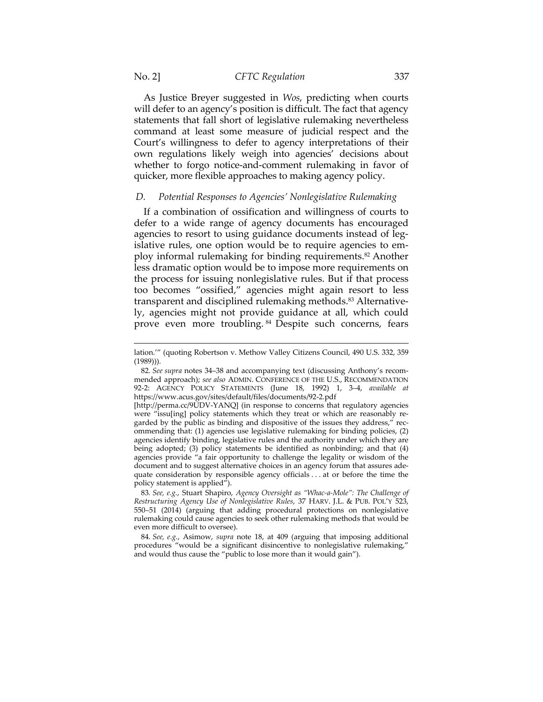As Justice Breyer suggested in *Wos*, predicting when courts will defer to an agency's position is difficult. The fact that agency statements that fall short of legislative rulemaking nevertheless command at least some measure of judicial respect and the Court's willingness to defer to agency interpretations of their own regulations likely weigh into agencies' decisions about whether to forgo notice-and-comment rulemaking in favor of quicker, more flexible approaches to making agency policy.

# *D. Potential Responses to Agencies' Nonlegislative Rulemaking*

If a combination of ossification and willingness of courts to defer to a wide range of agency documents has encouraged agencies to resort to using guidance documents instead of legislative rules, one option would be to require agencies to employ informal rulemaking for binding requirements.82 Another less dramatic option would be to impose more requirements on the process for issuing nonlegislative rules. But if that process too becomes "ossified," agencies might again resort to less transparent and disciplined rulemaking methods.<sup>83</sup> Alternatively, agencies might not provide guidance at all, which could prove even more troubling. 84 Despite such concerns, fears

83*. See, e.g.*, Stuart Shapiro, *Agency Oversight as "Whac-a-Mole": The Challenge of Restructuring Agency Use of Nonlegislative Rules*, 37 HARV. J.L. & PUB. POL'Y 523, 550–51 (2014) (arguing that adding procedural protections on nonlegislative rulemaking could cause agencies to seek other rulemaking methods that would be even more difficult to oversee).

84*. See, e.g.*, Asimow, *supra* note 18, at 409 (arguing that imposing additional procedures "would be a significant disincentive to nonlegislative rulemaking," and would thus cause the "public to lose more than it would gain").

lation.'" (quoting Robertson v. Methow Valley Citizens Council, 490 U.S. 332, 359 (1989))).

<sup>82</sup>*. See supra* notes 34–38 and accompanying text (discussing Anthony's recommended approach); *see also* ADMIN. CONFERENCE OF THE U.S., RECOMMENDATION 92-2: AGENCY POLICY STATEMENTS (June 18, 1992) 1, 3–4, *available at*  https://www.acus.gov/sites/default/files/documents/92-2.pdf

<sup>[</sup>http://perma.cc/9UDV-YANQ] (in response to concerns that regulatory agencies were "issu[ing] policy statements which they treat or which are reasonably regarded by the public as binding and dispositive of the issues they address," recommending that: (1) agencies use legislative rulemaking for binding policies, (2) agencies identify binding, legislative rules and the authority under which they are being adopted; (3) policy statements be identified as nonbinding; and that (4) agencies provide "a fair opportunity to challenge the legality or wisdom of the document and to suggest alternative choices in an agency forum that assures adequate consideration by responsible agency officials . . . at or before the time the policy statement is applied").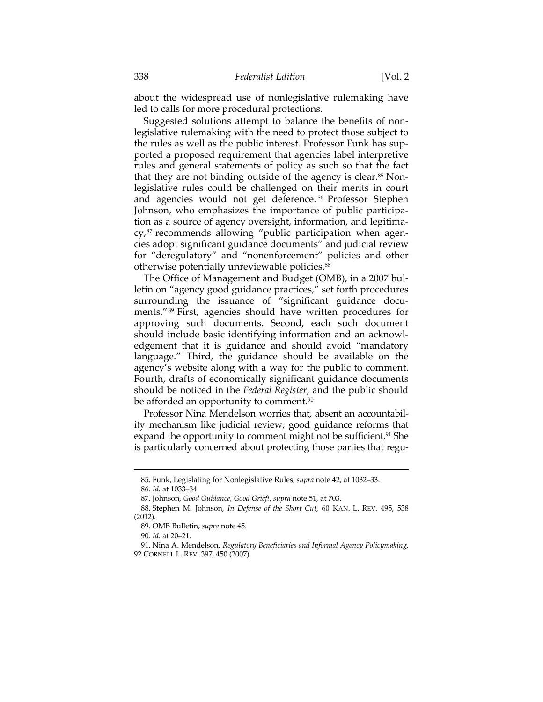about the widespread use of nonlegislative rulemaking have led to calls for more procedural protections.

Suggested solutions attempt to balance the benefits of nonlegislative rulemaking with the need to protect those subject to the rules as well as the public interest. Professor Funk has supported a proposed requirement that agencies label interpretive rules and general statements of policy as such so that the fact that they are not binding outside of the agency is clear. $85$  Nonlegislative rules could be challenged on their merits in court and agencies would not get deference. 86 Professor Stephen Johnson, who emphasizes the importance of public participation as a source of agency oversight, information, and legitimacy,<sup>87</sup> recommends allowing "public participation when agencies adopt significant guidance documents" and judicial review for "deregulatory" and "nonenforcement" policies and other otherwise potentially unreviewable policies.88

The Office of Management and Budget (OMB), in a 2007 bulletin on "agency good guidance practices," set forth procedures surrounding the issuance of "significant guidance documents."89 First, agencies should have written procedures for approving such documents. Second, each such document should include basic identifying information and an acknowledgement that it is guidance and should avoid "mandatory language." Third, the guidance should be available on the agency's website along with a way for the public to comment. Fourth, drafts of economically significant guidance documents should be noticed in the *Federal Register*, and the public should be afforded an opportunity to comment.<sup>90</sup>

Professor Nina Mendelson worries that, absent an accountability mechanism like judicial review, good guidance reforms that expand the opportunity to comment might not be sufficient.<sup>91</sup> She is particularly concerned about protecting those parties that regu-

<sup>85.</sup> Funk, Legislating for Nonlegislative Rules, *supra* note 42, at 1032–33. 86*. Id.* at 1033–34.

 <sup>87.</sup> Johnson, *Good Guidance, Good Grief!*, *supra* note 51, at 703.

 <sup>88.</sup> Stephen M. Johnson, *In Defense of the Short Cut*, 60 KAN. L. REV. 495, 538 (2012).

 <sup>89.</sup> OMB Bulletin, *supra* note 45.

<sup>90</sup>*. Id.* at 20–21.

 <sup>91.</sup> Nina A. Mendelson, *Regulatory Beneficiaries and Informal Agency Policymaking*, 92 CORNELL L. REV. 397, 450 (2007).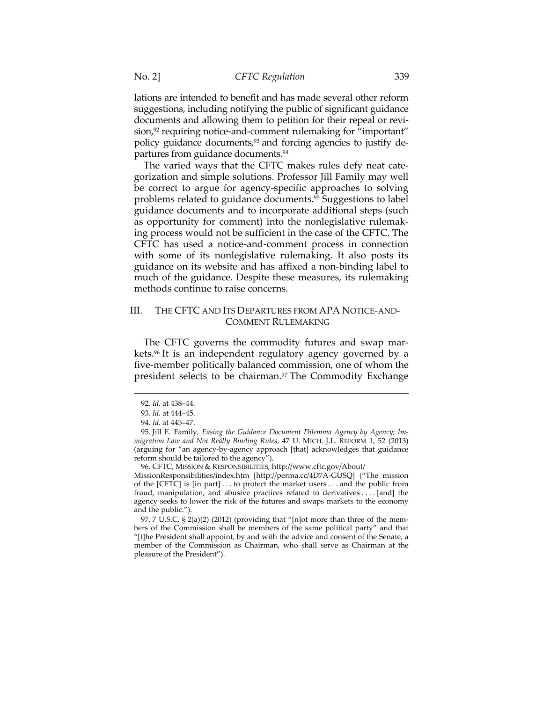lations are intended to benefit and has made several other reform suggestions, including notifying the public of significant guidance documents and allowing them to petition for their repeal or revision,<sup>92</sup> requiring notice-and-comment rulemaking for "important" policy guidance documents,93 and forcing agencies to justify departures from guidance documents.94

The varied ways that the CFTC makes rules defy neat categorization and simple solutions. Professor Jill Family may well be correct to argue for agency-specific approaches to solving problems related to guidance documents.95 Suggestions to label guidance documents and to incorporate additional steps (such as opportunity for comment) into the nonlegislative rulemaking process would not be sufficient in the case of the CFTC. The CFTC has used a notice-and-comment process in connection with some of its nonlegislative rulemaking. It also posts its guidance on its website and has affixed a non-binding label to much of the guidance. Despite these measures, its rulemaking methods continue to raise concerns.

# III. THE CFTC AND ITS DEPARTURES FROM APA NOTICE-AND-COMMENT RULEMAKING

The CFTC governs the commodity futures and swap markets.96 It is an independent regulatory agency governed by a five-member politically balanced commission, one of whom the president selects to be chairman.<sup>97</sup> The Commodity Exchange

 $\overline{a}$ 

96. CFTC, MISSION & RESPONSIBILITIES, http://www.cftc.gov/About/

MissionResponsibilities/index.htm [http://perma.cc/4D7A-GUSQ] ("The mission of the [CFTC] is [in part] . . . to protect the market users . . . and the public from fraud, manipulation, and abusive practices related to derivatives . . . . [and] the agency seeks to lower the risk of the futures and swaps markets to the economy and the public.").

 97. 7 U.S.C. § 2(a)(2) (2012) (providing that "[n]ot more than three of the members of the Commission shall be members of the same political party" and that "[t]he President shall appoint, by and with the advice and consent of the Senate, a member of the Commission as Chairman, who shall serve as Chairman at the pleasure of the President").

<sup>92</sup>*. Id.* at 438–44.

<sup>93</sup>*. Id.* at 444–45.

<sup>94</sup>*. Id.* at 445–47.

 <sup>95.</sup> Jill E. Family, *Easing the Guidance Document Dilemma Agency by Agency; Immigration Law and Not Really Binding Rules*, 47 U. MICH. J.L. REFORM 1, 52 (2013) (arguing for "an agency-by-agency approach [that] acknowledges that guidance reform should be tailored to the agency").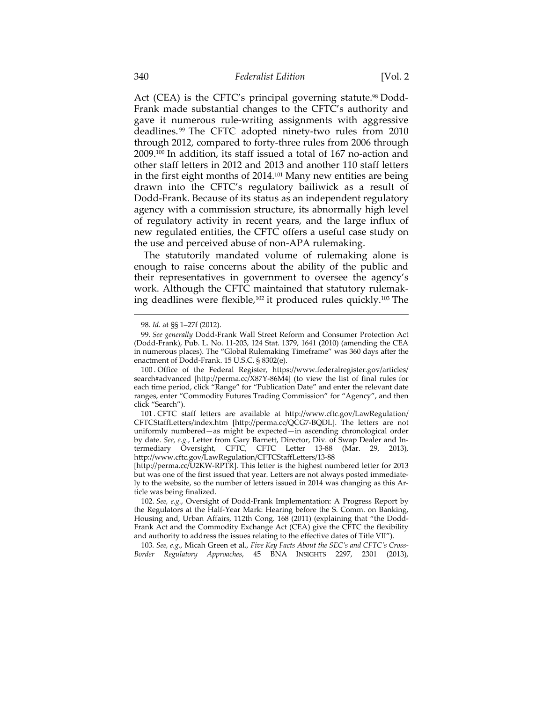Act (CEA) is the CFTC's principal governing statute.<sup>98</sup> Dodd-Frank made substantial changes to the CFTC's authority and gave it numerous rule*-*writing assignments with aggressive deadlines. 99 The CFTC adopted ninety-two rules from 2010 through 2012, compared to forty-three rules from 2006 through 2009.100 In addition, its staff issued a total of 167 no-action and other staff letters in 2012 and 2013 and another 110 staff letters in the first eight months of 2014.101 Many new entities are being drawn into the CFTC's regulatory bailiwick as a result of Dodd-Frank. Because of its status as an independent regulatory agency with a commission structure, its abnormally high level of regulatory activity in recent years, and the large influx of new regulated entities, the CFTC offers a useful case study on the use and perceived abuse of non-APA rulemaking.

The statutorily mandated volume of rulemaking alone is enough to raise concerns about the ability of the public and their representatives in government to oversee the agency's work. Although the CFTC maintained that statutory rulemaking deadlines were flexible,<sup>102</sup> it produced rules quickly.<sup>103</sup> The

<sup>98</sup>*. Id.* at §§ 1–27f (2012).

<sup>99</sup>*. See generally* Dodd-Frank Wall Street Reform and Consumer Protection Act (Dodd-Frank), Pub. L. No. 11-203, 124 Stat. 1379, 1641 (2010) (amending the CEA in numerous places). The "Global Rulemaking Timeframe" was 360 days after the enactment of Dodd-Frank. 15 U.S.C. § 8302(e).

 <sup>100 .</sup> Office of the Federal Register, https://www.federalregister.gov/articles/ search#advanced [http://perma.cc/X87Y-86M4] (to view the list of final rules for each time period, click "Range" for "Publication Date" and enter the relevant date ranges, enter "Commodity Futures Trading Commission" for "Agency", and then click "Search").

 <sup>101 .</sup> CFTC staff letters are available at http://www.cftc.gov/LawRegulation/ CFTCStaffLetters/index.htm [http://perma.cc/QCG7-BQDL]. The letters are not uniformly numbered—as might be expected—in ascending chronological order by date. *See, e.g.*, Letter from Gary Barnett, Director, Div. of Swap Dealer and Intermediary Oversight, CFTC, CFTC Letter 13-88 (Mar. 29, 2013), http://www.cftc.gov/LawRegulation/CFTCStaffLetters/13-88

<sup>[</sup>http://perma.cc/U2KW-RPTR]. This letter is the highest numbered letter for 2013 but was one of the first issued that year. Letters are not always posted immediately to the website, so the number of letters issued in 2014 was changing as this Article was being finalized.

 <sup>102.</sup> *See, e.g.*, Oversight of Dodd-Frank Implementation: A Progress Report by the Regulators at the Half-Year Mark: Hearing before the S. Comm. on Banking, Housing and, Urban Affairs, 112th Cong. 168 (2011) (explaining that "the Dodd-Frank Act and the Commodity Exchange Act (CEA) give the CFTC the flexibility and authority to address the issues relating to the effective dates of Title VII").

<sup>103</sup>*. See, e.g.*, Micah Green et al., *Five Key Facts About the SEC's and CFTC's Cross-Border Regulatory Approaches*, 45 BNA INSIGHTS 2297, 2301 (2013),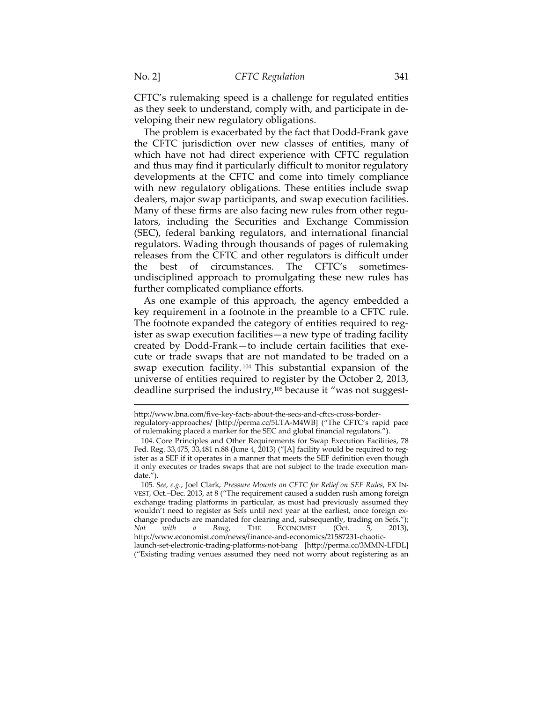CFTC's rulemaking speed is a challenge for regulated entities as they seek to understand, comply with, and participate in developing their new regulatory obligations.

The problem is exacerbated by the fact that Dodd-Frank gave the CFTC jurisdiction over new classes of entities, many of which have not had direct experience with CFTC regulation and thus may find it particularly difficult to monitor regulatory developments at the CFTC and come into timely compliance with new regulatory obligations. These entities include swap dealers, major swap participants, and swap execution facilities. Many of these firms are also facing new rules from other regulators, including the Securities and Exchange Commission (SEC), federal banking regulators, and international financial regulators. Wading through thousands of pages of rulemaking releases from the CFTC and other regulators is difficult under the best of circumstances. The CFTC's sometimesundisciplined approach to promulgating these new rules has further complicated compliance efforts.

As one example of this approach, the agency embedded a key requirement in a footnote in the preamble to a CFTC rule. The footnote expanded the category of entities required to register as swap execution facilities—a new type of trading facility created by Dodd-Frank—to include certain facilities that execute or trade swaps that are not mandated to be traded on a swap execution facility. 104 This substantial expansion of the universe of entities required to register by the October 2, 2013, deadline surprised the industry,105 because it "was not suggest-

http://www.bna.com/five-key-facts-about-the-secs-and-cftcs-cross-borderregulatory-approaches/ [http://perma.cc/5LTA-M4WB] ("The CFTC's rapid pace of rulemaking placed a marker for the SEC and global financial regulators.").

 <sup>104.</sup> Core Principles and Other Requirements for Swap Execution Facilities, 78 Fed. Reg. 33,475, 33,481 n.88 (June 4, 2013) ("[A] facility would be required to register as a SEF if it operates in a manner that meets the SEF definition even though it only executes or trades swaps that are not subject to the trade execution mandate.").

<sup>105</sup>*. See, e.g.*, Joel Clark, *Pressure Mounts on CFTC for Relief on SEF Rules*, FX IN-VEST, Oct.–Dec. 2013, at 8 ("The requirement caused a sudden rush among foreign exchange trading platforms in particular, as most had previously assumed they wouldn't need to register as Sefs until next year at the earliest, once foreign exchange products are mandated for clearing and, subsequently, trading on Sefs."); *Not with a Bang*, THE ECONOMIST (Oct. 5, 2013), http://www.economist.com/news/finance-and-economics/21587231-chaoticlaunch-set-electronic-trading-platforms-not-bang [http://perma.cc/3MMN-LFDL] ("Existing trading venues assumed they need not worry about registering as an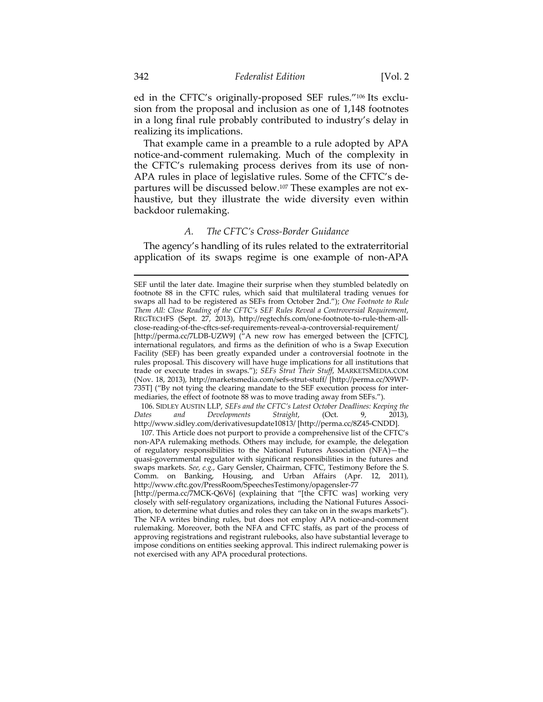ed in the CFTC's originally-proposed SEF rules."106 Its exclusion from the proposal and inclusion as one of 1,148 footnotes in a long final rule probably contributed to industry's delay in realizing its implications.

That example came in a preamble to a rule adopted by APA notice-and-comment rulemaking. Much of the complexity in the CFTC's rulemaking process derives from its use of non-APA rules in place of legislative rules. Some of the CFTC's departures will be discussed below.107 These examples are not exhaustive, but they illustrate the wide diversity even within backdoor rulemaking.

### *A. The CFTC's Cross-Border Guidance*

The agency's handling of its rules related to the extraterritorial application of its swaps regime is one example of non-APA

 106. SIDLEY AUSTIN LLP, *SEFs and the CFTC's Latest October Deadlines: Keeping the Dates and Developments Straight*, (Oct. 9, 2013), http://www.sidley.com/derivativesupdate10813/ [http://perma.cc/8Z45-CNDD].

 107. This Article does not purport to provide a comprehensive list of the CFTC's non-APA rulemaking methods. Others may include, for example, the delegation of regulatory responsibilities to the National Futures Association (NFA)—the quasi-governmental regulator with significant responsibilities in the futures and swaps markets. *See, e.g.*, Gary Gensler, Chairman, CFTC, Testimony Before the S. Comm. on Banking, Housing, and Urban Affairs (Apr. 12, 2011), http://www.cftc.gov/PressRoom/SpeechesTestimony/opagensler-77

SEF until the later date. Imagine their surprise when they stumbled belatedly on footnote 88 in the CFTC rules, which said that multilateral trading venues for swaps all had to be registered as SEFs from October 2nd."); *One Footnote to Rule Them All: Close Reading of the CFTC's SEF Rules Reveal a Controversial Requirement*, REGTECHFS (Sept. 27, 2013), http://regtechfs.com/one-footnote-to-rule-them-allclose-reading-of-the-cftcs-sef-requirements-reveal-a-controversial-requirement/ [http://perma.cc/7LDB-UZW9] ("A new row has emerged between the [CFTC], international regulators, and firms as the definition of who is a Swap Execution Facility (SEF) has been greatly expanded under a controversial footnote in the rules proposal. This discovery will have huge implications for all institutions that trade or execute trades in swaps."); *SEFs Strut Their Stuff*, MARKETSMEDIA.COM (Nov. 18, 2013), http://marketsmedia.com/sefs-strut-stuff/ [http://perma.cc/X9WP-735T] ("By not tying the clearing mandate to the SEF execution process for intermediaries, the effect of footnote 88 was to move trading away from SEFs.").

<sup>[</sup>http://perma.cc/7MCK-Q6V6] (explaining that "[the CFTC was] working very closely with self-regulatory organizations, including the National Futures Association, to determine what duties and roles they can take on in the swaps markets"). The NFA writes binding rules, but does not employ APA notice-and-comment rulemaking. Moreover, both the NFA and CFTC staffs, as part of the process of approving registrations and registrant rulebooks, also have substantial leverage to impose conditions on entities seeking approval. This indirect rulemaking power is not exercised with any APA procedural protections.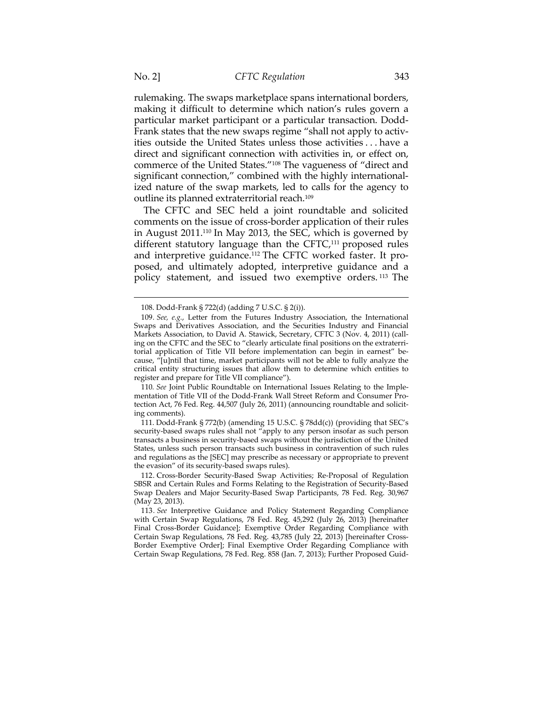rulemaking. The swaps marketplace spans international borders, making it difficult to determine which nation's rules govern a particular market participant or a particular transaction. Dodd-Frank states that the new swaps regime "shall not apply to activities outside the United States unless those activities . . . have a direct and significant connection with activities in, or effect on, commerce of the United States."108 The vagueness of "direct and significant connection," combined with the highly internationalized nature of the swap markets, led to calls for the agency to outline its planned extraterritorial reach.109

The CFTC and SEC held a joint roundtable and solicited comments on the issue of cross-border application of their rules in August 2011.110 In May 2013, the SEC, which is governed by different statutory language than the  $CFTC<sub>111</sub>$  proposed rules and interpretive guidance.112 The CFTC worked faster. It proposed, and ultimately adopted, interpretive guidance and a policy statement, and issued two exemptive orders. 113 The

110*. See* Joint Public Roundtable on International Issues Relating to the Implementation of Title VII of the Dodd-Frank Wall Street Reform and Consumer Protection Act, 76 Fed. Reg. 44,507 (July 26, 2011) (announcing roundtable and soliciting comments).

 111. Dodd-Frank § 772(b) (amending 15 U.S.C. § 78dd(c)) (providing that SEC's security-based swaps rules shall not "apply to any person insofar as such person transacts a business in security-based swaps without the jurisdiction of the United States, unless such person transacts such business in contravention of such rules and regulations as the [SEC] may prescribe as necessary or appropriate to prevent the evasion" of its security-based swaps rules).

 112. Cross-Border Security-Based Swap Activities; Re-Proposal of Regulation SBSR and Certain Rules and Forms Relating to the Registration of Security-Based Swap Dealers and Major Security-Based Swap Participants, 78 Fed. Reg. 30,967 (May 23, 2013).

113*. See* Interpretive Guidance and Policy Statement Regarding Compliance with Certain Swap Regulations, 78 Fed. Reg. 45,292 (July 26, 2013) [hereinafter Final Cross-Border Guidance]; Exemptive Order Regarding Compliance with Certain Swap Regulations, 78 Fed. Reg. 43,785 (July 22, 2013) [hereinafter Cross-Border Exemptive Order]; Final Exemptive Order Regarding Compliance with Certain Swap Regulations, 78 Fed. Reg. 858 (Jan. 7, 2013); Further Proposed Guid-

<sup>108.</sup> Dodd-Frank § 722(d) (adding 7 U.S.C. § 2(i)).

<sup>109</sup>*. See, e.g.*, Letter from the Futures Industry Association, the International Swaps and Derivatives Association, and the Securities Industry and Financial Markets Association, to David A. Stawick, Secretary, CFTC 3 (Nov. 4, 2011) (calling on the CFTC and the SEC to "clearly articulate final positions on the extraterritorial application of Title VII before implementation can begin in earnest" because, "[u]ntil that time, market participants will not be able to fully analyze the critical entity structuring issues that allow them to determine which entities to register and prepare for Title VII compliance").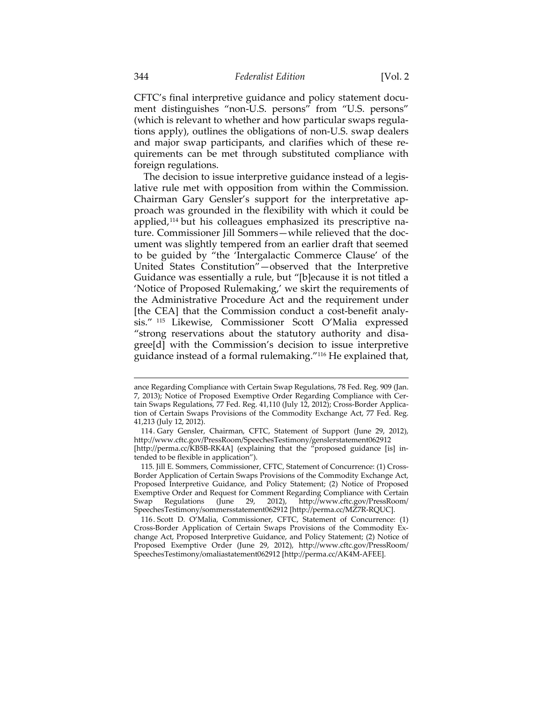CFTC's final interpretive guidance and policy statement document distinguishes "non-U.S. persons" from "U.S. persons" (which is relevant to whether and how particular swaps regulations apply), outlines the obligations of non-U.S. swap dealers and major swap participants, and clarifies which of these requirements can be met through substituted compliance with foreign regulations.

The decision to issue interpretive guidance instead of a legislative rule met with opposition from within the Commission. Chairman Gary Gensler's support for the interpretative approach was grounded in the flexibility with which it could be applied,<sup>114</sup> but his colleagues emphasized its prescriptive nature. Commissioner Jill Sommers—while relieved that the document was slightly tempered from an earlier draft that seemed to be guided by "the 'Intergalactic Commerce Clause' of the United States Constitution"—observed that the Interpretive Guidance was essentially a rule, but "[b]ecause it is not titled a 'Notice of Proposed Rulemaking,' we skirt the requirements of the Administrative Procedure Act and the requirement under [the CEA] that the Commission conduct a cost-benefit analysis." 115 Likewise, Commissioner Scott O'Malia expressed "strong reservations about the statutory authority and disagree[d] with the Commission's decision to issue interpretive guidance instead of a formal rulemaking."116 He explained that,

ance Regarding Compliance with Certain Swap Regulations, 78 Fed. Reg. 909 (Jan. 7, 2013); Notice of Proposed Exemptive Order Regarding Compliance with Certain Swaps Regulations, 77 Fed. Reg. 41,110 (July 12, 2012); Cross-Border Application of Certain Swaps Provisions of the Commodity Exchange Act, 77 Fed. Reg. 41,213 (July 12, 2012).

 <sup>114.</sup> Gary Gensler, Chairman, CFTC, Statement of Support (June 29, 2012), http://www.cftc.gov/PressRoom/SpeechesTestimony/genslerstatement062912 [http://perma.cc/KB5B-RK4A] (explaining that the "proposed guidance [is] intended to be flexible in application").

 <sup>115.</sup> Jill E. Sommers, Commissioner, CFTC, Statement of Concurrence: (1) Cross-Border Application of Certain Swaps Provisions of the Commodity Exchange Act, Proposed Interpretive Guidance, and Policy Statement; (2) Notice of Proposed Exemptive Order and Request for Comment Regarding Compliance with Certain Swap Regulations (June 29, 2012), http://www.cftc.gov/PressRoom/ Swap Regulations (June 29, 2012), http://www.cftc.gov/PressRoom/ SpeechesTestimony/sommersstatement062912 [http://perma.cc/MZ7R-RQUC].

 <sup>116.</sup> Scott D. O'Malia, Commissioner, CFTC, Statement of Concurrence: (1) Cross-Border Application of Certain Swaps Provisions of the Commodity Exchange Act, Proposed Interpretive Guidance, and Policy Statement; (2) Notice of Proposed Exemptive Order (June 29, 2012), http://www.cftc.gov/PressRoom/ SpeechesTestimony/omaliastatement062912 [http://perma.cc/AK4M-AFEE].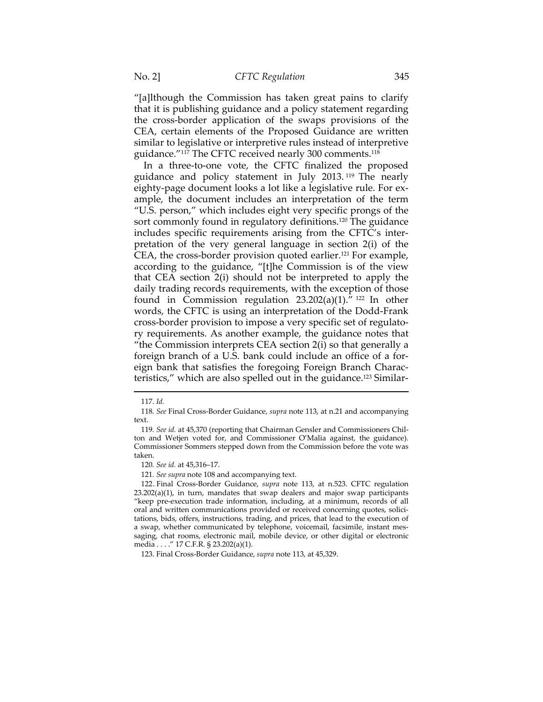"[a]lthough the Commission has taken great pains to clarify that it is publishing guidance and a policy statement regarding the cross-border application of the swaps provisions of the CEA, certain elements of the Proposed Guidance are written similar to legislative or interpretive rules instead of interpretive guidance."117 The CFTC received nearly 300 comments.118

In a three-to-one vote, the CFTC finalized the proposed guidance and policy statement in July 2013. 119 The nearly eighty-page document looks a lot like a legislative rule. For example, the document includes an interpretation of the term "U.S. person," which includes eight very specific prongs of the sort commonly found in regulatory definitions.<sup>120</sup> The guidance includes specific requirements arising from the CFTC's interpretation of the very general language in section 2(i) of the CEA, the cross-border provision quoted earlier.121 For example, according to the guidance, "[t]he Commission is of the view that CEA section 2(i) should not be interpreted to apply the daily trading records requirements, with the exception of those found in Commission regulation  $23.202(a)(1)$ ." <sup>122</sup> In other words, the CFTC is using an interpretation of the Dodd-Frank cross-border provision to impose a very specific set of regulatory requirements. As another example, the guidance notes that "the Commission interprets CEA section 2(i) so that generally a foreign branch of a U.S. bank could include an office of a foreign bank that satisfies the foregoing Foreign Branch Characteristics," which are also spelled out in the guidance.123 Similar-

<sup>117.</sup> *Id.*

<sup>118</sup>*. See* Final Cross-Border Guidance, *supra* note 113, at n.21 and accompanying text.

<sup>119</sup>*. See id.* at 45,370 (reporting that Chairman Gensler and Commissioners Chilton and Wetjen voted for, and Commissioner O'Malia against, the guidance). Commissioner Sommers stepped down from the Commission before the vote was taken.

<sup>120</sup>*. See id.* at 45,316–17.

<sup>121</sup>*. See supra* note 108 and accompanying text.

 <sup>122.</sup> Final Cross-Border Guidance, *supra* note 113, at n.523. CFTC regulation 23.202(a)(1), in turn, mandates that swap dealers and major swap participants "keep pre-execution trade information, including, at a minimum, records of all oral and written communications provided or received concerning quotes, solicitations, bids, offers, instructions, trading, and prices, that lead to the execution of a swap, whether communicated by telephone, voicemail, facsimile, instant messaging, chat rooms, electronic mail, mobile device, or other digital or electronic media . . . ." 17 C.F.R. § 23.202(a)(1).

 <sup>123.</sup> Final Cross-Border Guidance, *supra* note 113, at 45,329.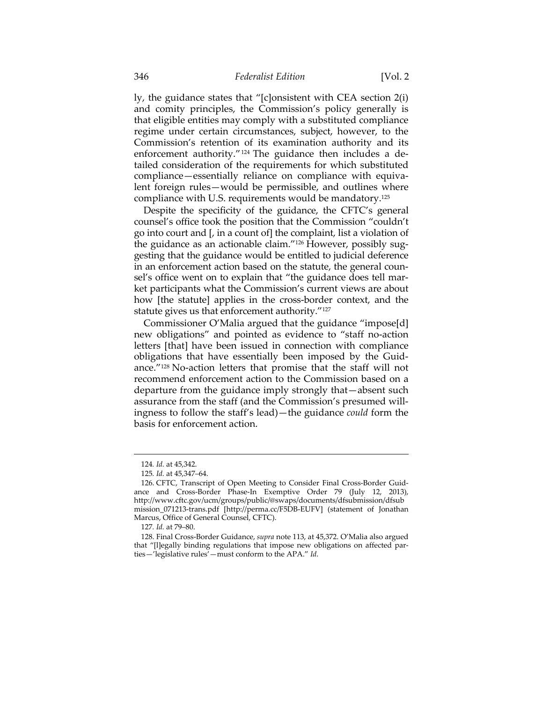ly, the guidance states that "[c]onsistent with CEA section 2(i) and comity principles, the Commission's policy generally is that eligible entities may comply with a substituted compliance regime under certain circumstances, subject, however, to the Commission's retention of its examination authority and its enforcement authority."<sup>124</sup> The guidance then includes a detailed consideration of the requirements for which substituted compliance—essentially reliance on compliance with equivalent foreign rules—would be permissible, and outlines where compliance with U.S. requirements would be mandatory.125

Despite the specificity of the guidance, the CFTC's general counsel's office took the position that the Commission "couldn't go into court and [, in a count of] the complaint, list a violation of the guidance as an actionable claim."126 However, possibly suggesting that the guidance would be entitled to judicial deference in an enforcement action based on the statute, the general counsel's office went on to explain that "the guidance does tell market participants what the Commission's current views are about how [the statute] applies in the cross-border context, and the statute gives us that enforcement authority."<sup>127</sup>

Commissioner O'Malia argued that the guidance "impose[d] new obligations" and pointed as evidence to "staff no-action letters [that] have been issued in connection with compliance obligations that have essentially been imposed by the Guidance."128 No-action letters that promise that the staff will not recommend enforcement action to the Commission based on a departure from the guidance imply strongly that—absent such assurance from the staff (and the Commission's presumed willingness to follow the staff's lead)—the guidance *could* form the basis for enforcement action.

<sup>124</sup>*. Id.* at 45,342.

<sup>125</sup>*. Id.* at 45,347–64.

 <sup>126.</sup> CFTC, Transcript of Open Meeting to Consider Final Cross-Border Guidance and Cross-Border Phase-In Exemptive Order 79 (July 12, 2013), http://www.cftc.gov/ucm/groups/public/@swaps/documents/dfsubmission/dfsub mission\_071213-trans.pdf [http://perma.cc/F5DB-EUFV] (statement of Jonathan Marcus, Office of General Counsel, CFTC).

<sup>127</sup>*. Id.* at 79–80.

 <sup>128.</sup> Final Cross-Border Guidance, *supra* note 113, at 45,372. O'Malia also argued that "[l]egally binding regulations that impose new obligations on affected parties—'legislative rules'—must conform to the APA." *Id*.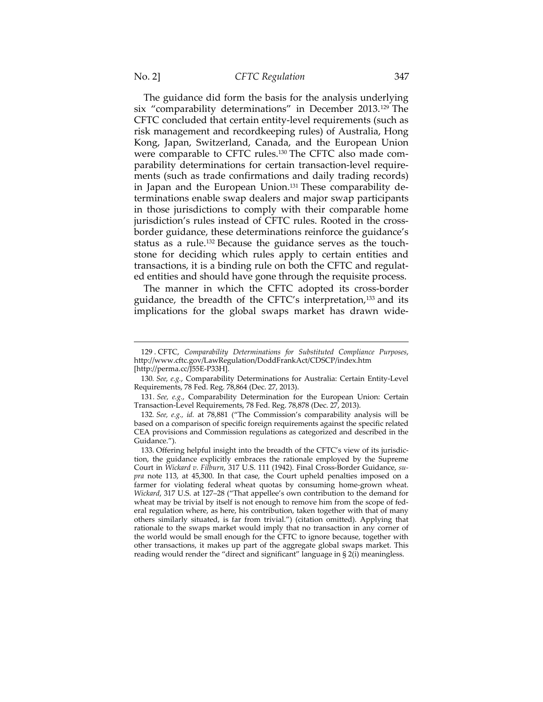The guidance did form the basis for the analysis underlying six "comparability determinations" in December 2013.129 The CFTC concluded that certain entity-level requirements (such as risk management and recordkeeping rules) of Australia, Hong Kong, Japan, Switzerland, Canada, and the European Union were comparable to CFTC rules.130 The CFTC also made comparability determinations for certain transaction-level requirements (such as trade confirmations and daily trading records) in Japan and the European Union.<sup>131</sup> These comparability determinations enable swap dealers and major swap participants in those jurisdictions to comply with their comparable home jurisdiction's rules instead of CFTC rules. Rooted in the crossborder guidance, these determinations reinforce the guidance's status as a rule.132 Because the guidance serves as the touchstone for deciding which rules apply to certain entities and transactions, it is a binding rule on both the CFTC and regulated entities and should have gone through the requisite process.

The manner in which the CFTC adopted its cross-border guidance, the breadth of the CFTC's interpretation,<sup>133</sup> and its implications for the global swaps market has drawn wide-

<sup>129 .</sup> CFTC, *Comparability Determinations for Substituted Compliance Purposes*, http://www.cftc.gov/LawRegulation/DoddFrankAct/CDSCP/index.htm [http://perma.cc/J55E-P33H].

<sup>130</sup>*. See, e.g.*, Comparability Determinations for Australia: Certain Entity-Level Requirements, 78 Fed. Reg. 78,864 (Dec. 27, 2013).

<sup>131</sup>*. See, e.g.*, Comparability Determination for the European Union: Certain Transaction-Level Requirements, 78 Fed. Reg. 78,878 (Dec. 27, 2013).

<sup>132</sup>*. See, e.g., id.* at 78,881 ("The Commission's comparability analysis will be based on a comparison of specific foreign requirements against the specific related CEA provisions and Commission regulations as categorized and described in the Guidance.").

 <sup>133.</sup> Offering helpful insight into the breadth of the CFTC's view of its jurisdiction, the guidance explicitly embraces the rationale employed by the Supreme Court in *Wickard v. Filburn*, 317 U.S. 111 (1942). Final Cross-Border Guidance, *supra* note 113, at 45,300. In that case, the Court upheld penalties imposed on a farmer for violating federal wheat quotas by consuming home-grown wheat. *Wickard*, 317 U.S. at 127–28 ("That appellee's own contribution to the demand for wheat may be trivial by itself is not enough to remove him from the scope of federal regulation where, as here, his contribution, taken together with that of many others similarly situated, is far from trivial.") (citation omitted). Applying that rationale to the swaps market would imply that no transaction in any corner of the world would be small enough for the CFTC to ignore because, together with other transactions, it makes up part of the aggregate global swaps market. This reading would render the "direct and significant" language in § 2(i) meaningless.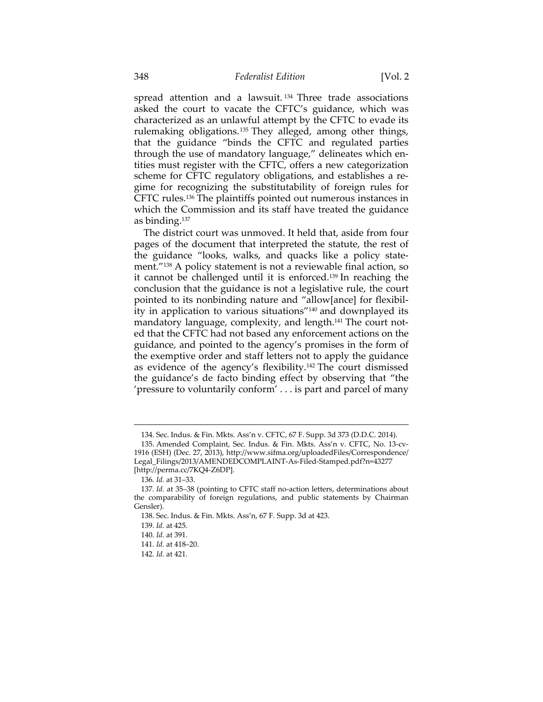spread attention and a lawsuit. 134 Three trade associations asked the court to vacate the CFTC's guidance, which was characterized as an unlawful attempt by the CFTC to evade its rulemaking obligations.135 They alleged, among other things, that the guidance "binds the CFTC and regulated parties through the use of mandatory language," delineates which entities must register with the CFTC, offers a new categorization scheme for CFTC regulatory obligations, and establishes a regime for recognizing the substitutability of foreign rules for CFTC rules.136 The plaintiffs pointed out numerous instances in which the Commission and its staff have treated the guidance as binding.137

The district court was unmoved. It held that, aside from four pages of the document that interpreted the statute, the rest of the guidance "looks, walks, and quacks like a policy statement."138 A policy statement is not a reviewable final action, so it cannot be challenged until it is enforced.139 In reaching the conclusion that the guidance is not a legislative rule, the court pointed to its nonbinding nature and "allow[ance] for flexibility in application to various situations"140 and downplayed its mandatory language, complexity, and length.<sup>141</sup> The court noted that the CFTC had not based any enforcement actions on the guidance, and pointed to the agency's promises in the form of the exemptive order and staff letters not to apply the guidance as evidence of the agency's flexibility.142 The court dismissed the guidance's de facto binding effect by observing that "the 'pressure to voluntarily conform' . . . is part and parcel of many

<sup>134.</sup> Sec. Indus. & Fin. Mkts. Ass'n v. CFTC, 67 F. Supp. 3d 373 (D.D.C. 2014).

 <sup>135.</sup> Amended Complaint, Sec. Indus. & Fin. Mkts. Ass'n v. CFTC, No. 13-cv-1916 (ESH) (Dec. 27, 2013), http://www.sifma.org/uploadedFiles/Correspondence/ Legal\_Filings/2013/AMENDEDCOMPLAINT-As-Filed-Stamped.pdf?n=43277 [http://perma.cc/7KQ4-Z6DP].

<sup>136</sup>*. Id.* at 31–33.

<sup>137</sup>*. Id.* at 35–38 (pointing to CFTC staff no-action letters, determinations about the comparability of foreign regulations, and public statements by Chairman Gensler).

 <sup>138.</sup> Sec. Indus. & Fin. Mkts. Ass'n, 67 F. Supp. 3d at 423.

 <sup>139.</sup> *Id.* at 425.

<sup>140</sup>*. Id.* at 391.

<sup>141</sup>*. Id.* at 418–20.

<sup>142</sup>*. Id.* at 421.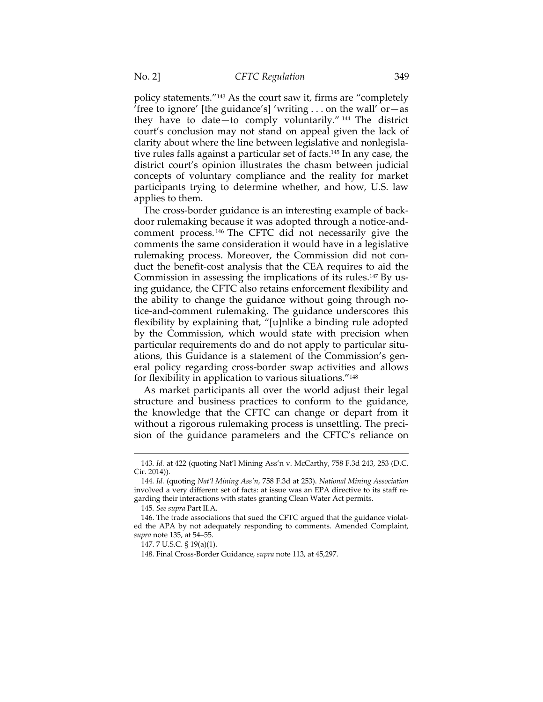policy statements."143 As the court saw it, firms are "completely 'free to ignore' [the guidance's] 'writing  $\dots$  on the wall' or  $-\text{as}$ they have to date—to comply voluntarily." 144 The district court's conclusion may not stand on appeal given the lack of clarity about where the line between legislative and nonlegislative rules falls against a particular set of facts.145 In any case, the district court's opinion illustrates the chasm between judicial concepts of voluntary compliance and the reality for market participants trying to determine whether, and how, U.S. law applies to them.

The cross-border guidance is an interesting example of backdoor rulemaking because it was adopted through a notice-andcomment process. 146 The CFTC did not necessarily give the comments the same consideration it would have in a legislative rulemaking process. Moreover, the Commission did not conduct the benefit-cost analysis that the CEA requires to aid the Commission in assessing the implications of its rules.147 By using guidance, the CFTC also retains enforcement flexibility and the ability to change the guidance without going through notice-and-comment rulemaking. The guidance underscores this flexibility by explaining that, "[u]nlike a binding rule adopted by the Commission, which would state with precision when particular requirements do and do not apply to particular situations, this Guidance is a statement of the Commission's general policy regarding cross-border swap activities and allows for flexibility in application to various situations."148

As market participants all over the world adjust their legal structure and business practices to conform to the guidance, the knowledge that the CFTC can change or depart from it without a rigorous rulemaking process is unsettling. The precision of the guidance parameters and the CFTC's reliance on

<sup>143</sup>*. Id.* at 422 (quoting Nat'l Mining Ass'n v. McCarthy, 758 F.3d 243, 253 (D.C. Cir. 2014)).

<sup>144</sup>*. Id.* (quoting *Nat'l Mining Ass'n*, 758 F.3d at 253). *National Mining Association* involved a very different set of facts: at issue was an EPA directive to its staff regarding their interactions with states granting Clean Water Act permits.

<sup>145</sup>*. See supra* Part II.A.

 <sup>146.</sup> The trade associations that sued the CFTC argued that the guidance violated the APA by not adequately responding to comments. Amended Complaint, *supra* note 135, at 54–55.

 <sup>147. 7</sup> U.S.C. § 19(a)(1).

 <sup>148.</sup> Final Cross-Border Guidance, *supra* note 113, at 45,297.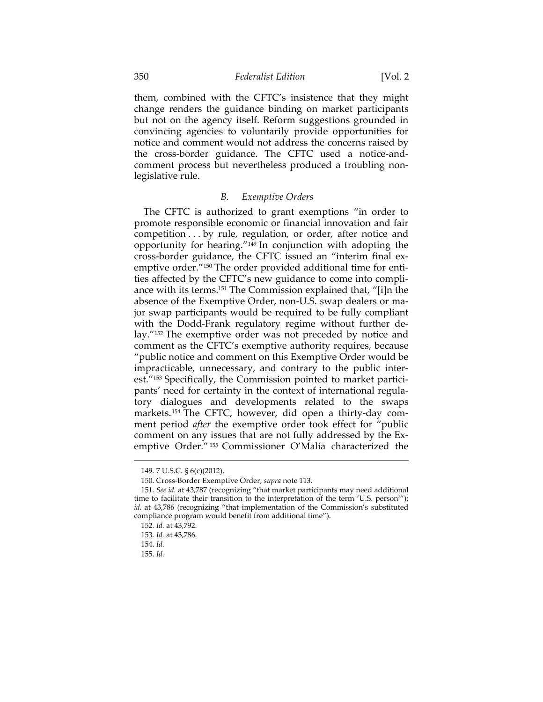them, combined with the CFTC's insistence that they might change renders the guidance binding on market participants but not on the agency itself. Reform suggestions grounded in convincing agencies to voluntarily provide opportunities for notice and comment would not address the concerns raised by the cross-border guidance. The CFTC used a notice-andcomment process but nevertheless produced a troubling nonlegislative rule.

### *B. Exemptive Orders*

The CFTC is authorized to grant exemptions "in order to promote responsible economic or financial innovation and fair competition . . . by rule, regulation, or order, after notice and opportunity for hearing."149 In conjunction with adopting the cross-border guidance, the CFTC issued an "interim final exemptive order."150 The order provided additional time for entities affected by the CFTC's new guidance to come into compliance with its terms.151 The Commission explained that, "[i]n the absence of the Exemptive Order, non-U.S. swap dealers or major swap participants would be required to be fully compliant with the Dodd-Frank regulatory regime without further delay."152 The exemptive order was not preceded by notice and comment as the CFTC's exemptive authority requires, because "public notice and comment on this Exemptive Order would be impracticable, unnecessary, and contrary to the public interest."153 Specifically, the Commission pointed to market participants' need for certainty in the context of international regulatory dialogues and developments related to the swaps markets.154 The CFTC, however, did open a thirty-day comment period *after* the exemptive order took effect for "public comment on any issues that are not fully addressed by the Exemptive Order." 155 Commissioner O'Malia characterized the

<sup>149. 7</sup> U.S.C. § 6(c)(2012).

 <sup>150.</sup> Cross-Border Exemptive Order, *supra* note 113.

<sup>151</sup>*. See id.* at 43,787 (recognizing "that market participants may need additional time to facilitate their transition to the interpretation of the term 'U.S. person'"); *id.* at 43,786 (recognizing "that implementation of the Commission's substituted compliance program would benefit from additional time").

<sup>152</sup>*. Id.* at 43,792.

<sup>153</sup>*. Id.* at 43,786.

 <sup>154.</sup> *Id.*

 <sup>155.</sup> *Id.*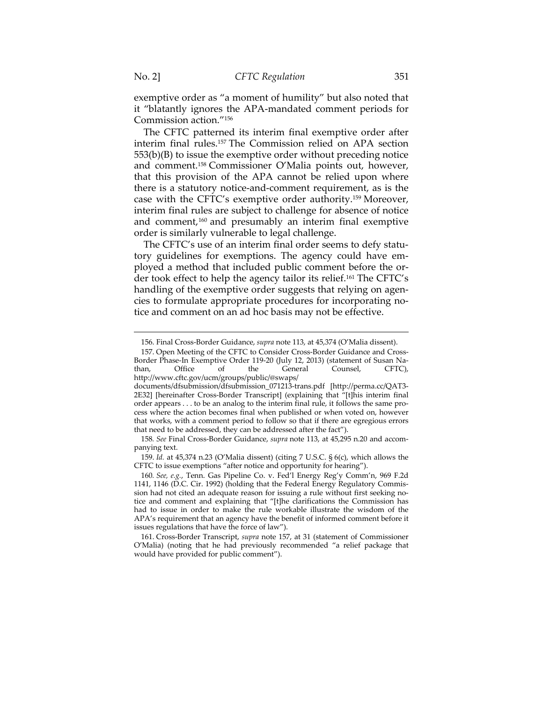exemptive order as "a moment of humility" but also noted that it "blatantly ignores the APA-mandated comment periods for Commission action."156

The CFTC patterned its interim final exemptive order after interim final rules.157 The Commission relied on APA section 553(b)(B) to issue the exemptive order without preceding notice and comment.158 Commissioner O'Malia points out, however, that this provision of the APA cannot be relied upon where there is a statutory notice-and-comment requirement, as is the case with the CFTC's exemptive order authority.159 Moreover, interim final rules are subject to challenge for absence of notice and comment,160 and presumably an interim final exemptive order is similarly vulnerable to legal challenge.

The CFTC's use of an interim final order seems to defy statutory guidelines for exemptions. The agency could have employed a method that included public comment before the order took effect to help the agency tailor its relief.161 The CFTC's handling of the exemptive order suggests that relying on agencies to formulate appropriate procedures for incorporating notice and comment on an ad hoc basis may not be effective.

 159. *Id.* at 45,374 n.23 (O'Malia dissent) (citing 7 U.S.C. § 6(c), which allows the CFTC to issue exemptions "after notice and opportunity for hearing").

<sup>156.</sup> Final Cross-Border Guidance, *supra* note 113, at 45,374 (O'Malia dissent).

 <sup>157.</sup> Open Meeting of the CFTC to Consider Cross-Border Guidance and Cross-Border Phase-In Exemptive Order 119-20 (July 12, 2013) (statement of Susan Na-<br>than, Office of the General Counsel, CFTC), than, Office of the General Counsel, CFTC), http://www.cftc.gov/ucm/groups/public/@swaps/ documents/dfsubmission/dfsubmission\_071213-trans.pdf [http://perma.cc/QAT3- 2E32] [hereinafter Cross-Border Transcript] (explaining that "[t]his interim final order appears . . . to be an analog to the interim final rule, it follows the same process where the action becomes final when published or when voted on, however that works, with a comment period to follow so that if there are egregious errors

that need to be addressed, they can be addressed after the fact"). 158*. See* Final Cross-Border Guidance, *supra* note 113, at 45,295 n.20 and accompanying text.

<sup>160</sup>*. See, e.g.*, Tenn. Gas Pipeline Co. v. Fed'l Energy Reg'y Comm'n, 969 F.2d 1141, 1146 (D.C. Cir. 1992) (holding that the Federal Energy Regulatory Commission had not cited an adequate reason for issuing a rule without first seeking notice and comment and explaining that "[t]he clarifications the Commission has had to issue in order to make the rule workable illustrate the wisdom of the APA's requirement that an agency have the benefit of informed comment before it issues regulations that have the force of law").

 <sup>161.</sup> Cross-Border Transcript, *supra* note 157, at 31 (statement of Commissioner O'Malia) (noting that he had previously recommended "a relief package that would have provided for public comment").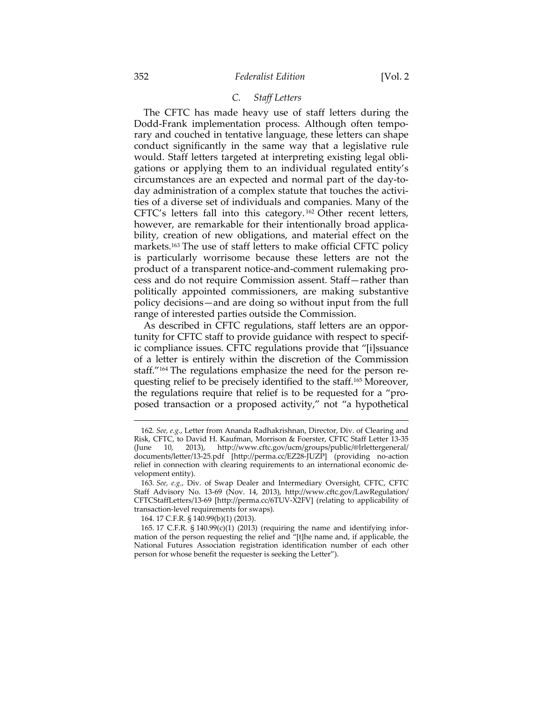# *C. Staff Letters*

The CFTC has made heavy use of staff letters during the Dodd-Frank implementation process. Although often temporary and couched in tentative language, these letters can shape conduct significantly in the same way that a legislative rule would. Staff letters targeted at interpreting existing legal obligations or applying them to an individual regulated entity's circumstances are an expected and normal part of the day-today administration of a complex statute that touches the activities of a diverse set of individuals and companies. Many of the CFTC's letters fall into this category. 162 Other recent letters, however, are remarkable for their intentionally broad applicability, creation of new obligations, and material effect on the markets.163 The use of staff letters to make official CFTC policy is particularly worrisome because these letters are not the product of a transparent notice-and-comment rulemaking process and do not require Commission assent. Staff—rather than politically appointed commissioners, are making substantive policy decisions—and are doing so without input from the full range of interested parties outside the Commission.

As described in CFTC regulations, staff letters are an opportunity for CFTC staff to provide guidance with respect to specific compliance issues. CFTC regulations provide that "[i]ssuance of a letter is entirely within the discretion of the Commission staff."164 The regulations emphasize the need for the person requesting relief to be precisely identified to the staff.165 Moreover, the regulations require that relief is to be requested for a "proposed transaction or a proposed activity," not "a hypothetical

<sup>162</sup>*. See, e.g.*, Letter from Ananda Radhakrishnan, Director, Div. of Clearing and Risk, CFTC, to David H. Kaufman, Morrison & Foerster, CFTC Staff Letter 13-35 (June 10, 2013), http://www.cftc.gov/ucm/groups/public/@lrlettergeneral/ documents/letter/13-25.pdf [http://perma.cc/EZ28-JUZP] (providing no-action relief in connection with clearing requirements to an international economic development entity).

<sup>163</sup>*. See, e.g.*, Div. of Swap Dealer and Intermediary Oversight, CFTC, CFTC Staff Advisory No. 13-69 (Nov. 14, 2013), http://www.cftc.gov/LawRegulation/ CFTCStaffLetters/13-69 [http://perma.cc/6TUV-X2FV] (relating to applicability of transaction-level requirements for swaps).

 <sup>164. 17</sup> C.F.R. § 140.99(b)(1) (2013).

 <sup>165. 17</sup> C.F.R. § 140.99(c)(1) (2013) (requiring the name and identifying information of the person requesting the relief and "[t]he name and, if applicable, the National Futures Association registration identification number of each other person for whose benefit the requester is seeking the Letter").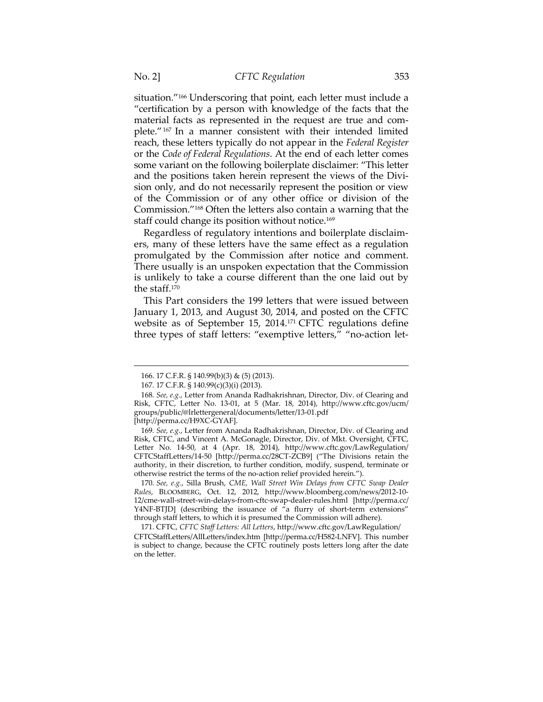situation."166 Underscoring that point, each letter must include a "certification by a person with knowledge of the facts that the material facts as represented in the request are true and complete."167 In a manner consistent with their intended limited reach, these letters typically do not appear in the *Federal Register* or the *Code of Federal Regulations*. At the end of each letter comes some variant on the following boilerplate disclaimer: "This letter and the positions taken herein represent the views of the Division only, and do not necessarily represent the position or view of the Commission or of any other office or division of the Commission."168 Often the letters also contain a warning that the staff could change its position without notice.<sup>169</sup>

Regardless of regulatory intentions and boilerplate disclaimers, many of these letters have the same effect as a regulation promulgated by the Commission after notice and comment. There usually is an unspoken expectation that the Commission is unlikely to take a course different than the one laid out by the staff.170

This Part considers the 199 letters that were issued between January 1, 2013, and August 30, 2014, and posted on the CFTC website as of September 15, 2014.171 CFTC regulations define three types of staff letters: "exemptive letters," "no-action let-

 $\overline{a}$ 

170*. See, e.g.*, Silla Brush, *CME, Wall Street Win Delays from CFTC Swap Dealer Rules*, BLOOMBERG, Oct. 12, 2012, http://www.bloomberg.com/news/2012-10- 12/cme-wall-street-win-delays-from-cftc-swap-dealer-rules.html [http://perma.cc/ Y4NF-BTJD] (describing the issuance of "a flurry of short-term extensions" through staff letters, to which it is presumed the Commission will adhere).

 171. CFTC, *CFTC Staff Letters: All Letters*, http://www.cftc.gov/LawRegulation/ CFTCStaffLetters/AllLetters/index.htm [http://perma.cc/H582-LNFV]. This number is subject to change, because the CFTC routinely posts letters long after the date on the letter.

<sup>166. 17</sup> C.F.R. § 140.99(b)(3) & (5) (2013).

 <sup>167. 17</sup> C.F.R. § 140.99(c)(3)(i) (2013).

<sup>168</sup>*. See, e.g.*, Letter from Ananda Radhakrishnan, Director, Div. of Clearing and Risk, CFTC, Letter No. 13-01, at 5 (Mar. 18, 2014), http://www.cftc.gov/ucm/ groups/public/@lrlettergeneral/documents/letter/13-01.pdf

<sup>[</sup>http://perma.cc/H9XC-GYAF].

<sup>169</sup>*. See, e.g.*, Letter from Ananda Radhakrishnan, Director, Div. of Clearing and Risk, CFTC, and Vincent A. McGonagle, Director, Div. of Mkt. Oversight, CFTC, Letter No. 14-50, at 4 (Apr. 18, 2014), http://www.cftc.gov/LawRegulation/ CFTCStaffLetters/14-50 [http://perma.cc/28CT-ZCB9] ("The Divisions retain the authority, in their discretion, to further condition, modify, suspend, terminate or otherwise restrict the terms of the no-action relief provided herein.").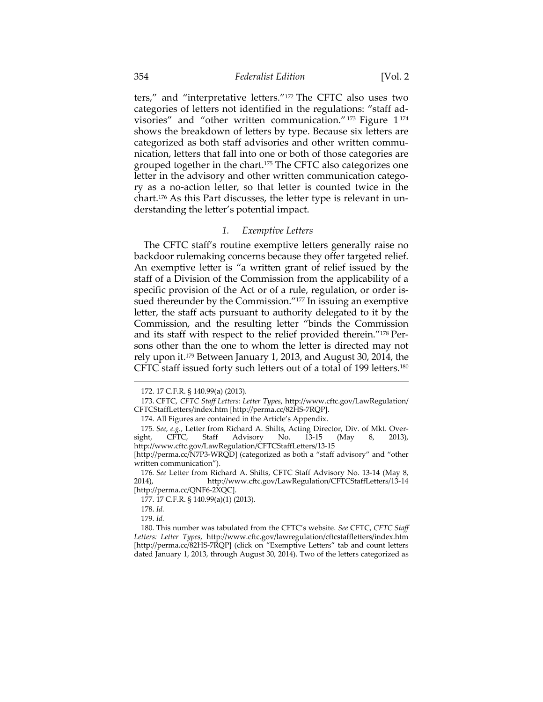ters," and "interpretative letters."172 The CFTC also uses two categories of letters not identified in the regulations: "staff advisories" and "other written communication." 173 Figure 1 <sup>174</sup> shows the breakdown of letters by type. Because six letters are categorized as both staff advisories and other written communication, letters that fall into one or both of those categories are grouped together in the chart.175 The CFTC also categorizes one letter in the advisory and other written communication category as a no-action letter, so that letter is counted twice in the chart.176 As this Part discusses, the letter type is relevant in understanding the letter's potential impact.

#### *1. Exemptive Letters*

The CFTC staff's routine exemptive letters generally raise no backdoor rulemaking concerns because they offer targeted relief. An exemptive letter is "a written grant of relief issued by the staff of a Division of the Commission from the applicability of a specific provision of the Act or of a rule, regulation, or order issued thereunder by the Commission."177 In issuing an exemptive letter, the staff acts pursuant to authority delegated to it by the Commission, and the resulting letter "binds the Commission and its staff with respect to the relief provided therein."178 Persons other than the one to whom the letter is directed may not rely upon it.179 Between January 1, 2013, and August 30, 2014, the CFTC staff issued forty such letters out of a total of 199 letters.180

<sup>172. 17</sup> C.F.R. § 140.99(a) (2013).

 <sup>173.</sup> CFTC, *CFTC Staff Letters: Letter Types*, http://www.cftc.gov/LawRegulation/ CFTCStaffLetters/index.htm [http://perma.cc/82HS-7RQP].

 <sup>174.</sup> All Figures are contained in the Article's Appendix.

<sup>175</sup>*. See, e.g.*, Letter from Richard A. Shilts, Acting Director, Div. of Mkt. Oversight, CFTC, Staff Advisory No. 13-15 (May 8, 2013), http://www.cftc.gov/LawRegulation/CFTCStaffLetters/13-15

<sup>[</sup>http://perma.cc/N7P3-WRQD] (categorized as both a "staff advisory" and "other written communication").

<sup>176</sup>*. See* Letter from Richard A. Shilts, CFTC Staff Advisory No. 13-14 (May 8, 2014), http://www.cftc.gov/LawRegulation/CFTCStaffLetters/13-14 [http://perma.cc/QNF6-2XQC].

 <sup>177. 17</sup> C.F.R. § 140.99(a)(1) (2013).

 <sup>178.</sup> *Id.*

 <sup>179.</sup> *Id.*

 <sup>180.</sup> This number was tabulated from the CFTC's website. *See* CFTC, *CFTC Staff Letters: Letter Types*, http://www.cftc.gov/lawregulation/cftcstaffletters/index.htm [http://perma.cc/82HS-7RQP] (click on "Exemptive Letters" tab and count letters dated January 1, 2013, through August 30, 2014). Two of the letters categorized as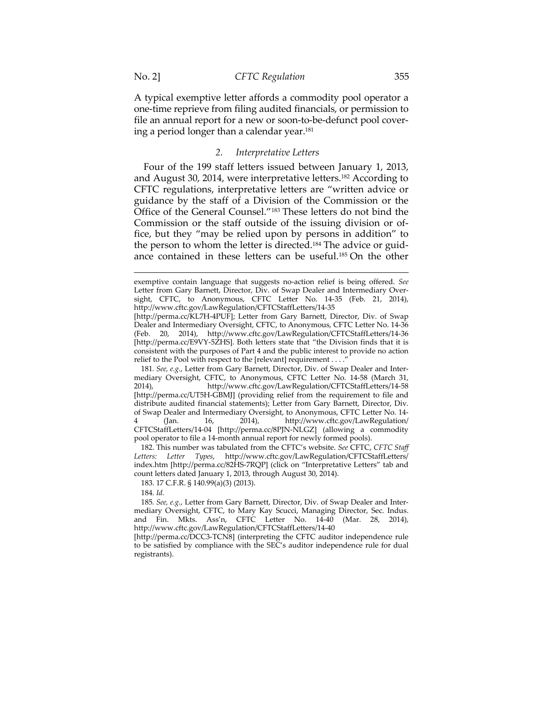$\overline{a}$ 

A typical exemptive letter affords a commodity pool operator a one-time reprieve from filing audited financials, or permission to file an annual report for a new or soon-to-be-defunct pool covering a period longer than a calendar year.181

### *2. Interpretative Letters*

Four of the 199 staff letters issued between January 1, 2013, and August 30, 2014, were interpretative letters.182 According to CFTC regulations, interpretative letters are "written advice or guidance by the staff of a Division of the Commission or the Office of the General Counsel."183 These letters do not bind the Commission or the staff outside of the issuing division or office, but they "may be relied upon by persons in addition" to the person to whom the letter is directed.184 The advice or guidance contained in these letters can be useful.185 On the other

exemptive contain language that suggests no-action relief is being offered. *See* Letter from Gary Barnett, Director, Div. of Swap Dealer and Intermediary Oversight, CFTC, to Anonymous, CFTC Letter No. 14-35 (Feb. 21, 2014), http://www.cftc.gov/LawRegulation/CFTCStaffLetters/14-35

<sup>[</sup>http://perma.cc/KL7H-4PUF]; Letter from Gary Barnett, Director, Div. of Swap Dealer and Intermediary Oversight, CFTC, to Anonymous, CFTC Letter No. 14-36 (Feb. 20, 2014), http://www.cftc.gov/LawRegulation/CFTCStaffLetters/14-36 [http://perma.cc/E9VY-5ZHS]. Both letters state that "the Division finds that it is consistent with the purposes of Part 4 and the public interest to provide no action relief to the Pool with respect to the [relevant] requirement . . . .

<sup>181</sup>*. See, e.g.*, Letter from Gary Barnett, Director, Div. of Swap Dealer and Intermediary Oversight, CFTC, to Anonymous, CFTC Letter No. 14-58 (March 31, 2014), http://www.cftc.gov/LawRegulation/CFTCStaffLetters/14-58 [http://perma.cc/UT5H-GBMJ] (providing relief from the requirement to file and distribute audited financial statements); Letter from Gary Barnett, Director, Div. of Swap Dealer and Intermediary Oversight, to Anonymous, CFTC Letter No. 14-  $\text{tan.}$  16, 2014), http://www.cftc.gov/LawRegulation/ CFTCStaffLetters/14-04 [http://perma.cc/8PJN-NLGZ] (allowing a commodity pool operator to file a 14-month annual report for newly formed pools).

 <sup>182.</sup> This number was tabulated from the CFTC's website. *See* CFTC, *CFTC Staff Letters: Letter Types*, http://www.cftc.gov/LawRegulation/CFTCStaffLetters/ index.htm [http://perma.cc/82HS-7RQP] (click on "Interpretative Letters" tab and count letters dated January 1, 2013, through August 30, 2014).

 <sup>183. 17</sup> C.F.R. § 140.99(a)(3) (2013).

 <sup>184.</sup> *Id.*

<sup>185</sup>*. See, e.g.*, Letter from Gary Barnett, Director, Div. of Swap Dealer and Intermediary Oversight, CFTC, to Mary Kay Scucci, Managing Director, Sec. Indus. and Fin. Mkts. Ass'n, CFTC Letter No. 14-40 (Mar. 28, 2014), http://www.cftc.gov/LawRegulation/CFTCStaffLetters/14-40

<sup>[</sup>http://perma.cc/DCC3-TCN8] (interpreting the CFTC auditor independence rule to be satisfied by compliance with the SEC's auditor independence rule for dual registrants).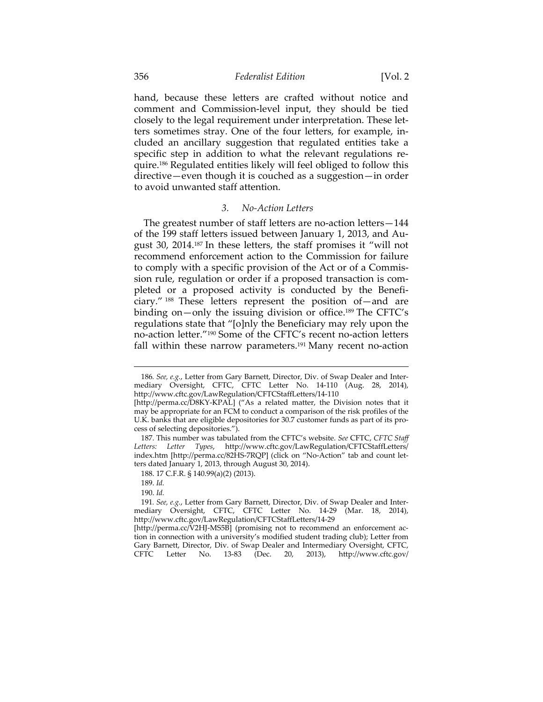hand, because these letters are crafted without notice and comment and Commission-level input, they should be tied closely to the legal requirement under interpretation. These letters sometimes stray. One of the four letters, for example, included an ancillary suggestion that regulated entities take a specific step in addition to what the relevant regulations require.186 Regulated entities likely will feel obliged to follow this directive—even though it is couched as a suggestion—in order to avoid unwanted staff attention.

### *3. No-Action Letters*

The greatest number of staff letters are no-action letters—144 of the 199 staff letters issued between January 1, 2013, and August 30, 2014.187 In these letters, the staff promises it "will not recommend enforcement action to the Commission for failure to comply with a specific provision of the Act or of a Commission rule, regulation or order if a proposed transaction is completed or a proposed activity is conducted by the Beneficiary." 188 These letters represent the position of—and are binding on—only the issuing division or office.189 The CFTC's regulations state that "[o]nly the Beneficiary may rely upon the no-action letter."190 Some of the CFTC's recent no-action letters fall within these narrow parameters.<sup>191</sup> Many recent no-action

<sup>186</sup>*. See, e.g.*, Letter from Gary Barnett, Director, Div. of Swap Dealer and Intermediary Oversight, CFTC, CFTC Letter No. 14-110 (Aug. 28, 2014), http://www.cftc.gov/LawRegulation/CFTCStaffLetters/14-110

<sup>[</sup>http://perma.cc/D8KY-KPAL] ("As a related matter, the Division notes that it may be appropriate for an FCM to conduct a comparison of the risk profiles of the U.K. banks that are eligible depositories for 30.7 customer funds as part of its process of selecting depositories.").

 <sup>187.</sup> This number was tabulated from the CFTC's website. *See* CFTC, *CFTC Staff Letters: Letter Types*, http://www.cftc.gov/LawRegulation/CFTCStaffLetters/ index.htm [http://perma.cc/82HS-7RQP] (click on "No-Action" tab and count letters dated January 1, 2013, through August 30, 2014).

 <sup>188. 17</sup> C.F.R. § 140.99(a)(2) (2013).

 <sup>189.</sup> *Id.*

 <sup>190.</sup> *Id.*

<sup>191</sup>*. See, e.g.*, Letter from Gary Barnett, Director, Div. of Swap Dealer and Intermediary Oversight, CFTC, CFTC Letter No. 14-29 (Mar. 18, 2014), http://www.cftc.gov/LawRegulation/CFTCStaffLetters/14-29

<sup>[</sup>http://perma.cc/V2HJ-MS5B] (promising not to recommend an enforcement action in connection with a university's modified student trading club); Letter from Gary Barnett, Director, Div. of Swap Dealer and Intermediary Oversight, CFTC, CFTC Letter No. 13-83 (Dec. 20, 2013), http://www.cftc.gov/ 13-83 (Dec. 20,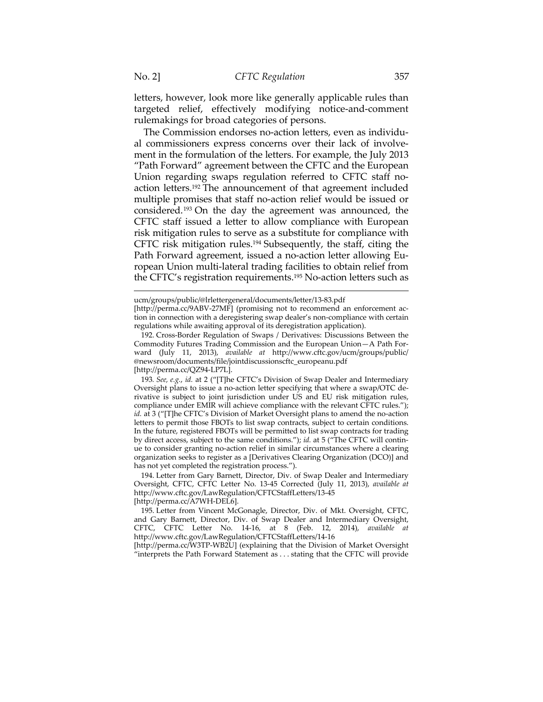letters, however, look more like generally applicable rules than targeted relief, effectively modifying notice-and-comment rulemakings for broad categories of persons.

The Commission endorses no-action letters, even as individual commissioners express concerns over their lack of involvement in the formulation of the letters. For example, the July 2013 "Path Forward" agreement between the CFTC and the European Union regarding swaps regulation referred to CFTC staff noaction letters.192 The announcement of that agreement included multiple promises that staff no-action relief would be issued or considered.193 On the day the agreement was announced, the CFTC staff issued a letter to allow compliance with European risk mitigation rules to serve as a substitute for compliance with CFTC risk mitigation rules.194 Subsequently, the staff, citing the Path Forward agreement, issued a no-action letter allowing European Union multi-lateral trading facilities to obtain relief from the CFTC's registration requirements.<sup>195</sup> No-action letters such as

 194. Letter from Gary Barnett, Director, Div. of Swap Dealer and Intermediary Oversight, CFTC, CFTC Letter No. 13-45 Corrected (July 11, 2013), *available at* http://www.cftc.gov/LawRegulation/CFTCStaffLetters/13-45 [http://perma.cc/A7WH-DEL6].

[http://perma.cc/W3TP-WB2U] (explaining that the Division of Market Oversight "interprets the Path Forward Statement as . . . stating that the CFTC will provide

ucm/groups/public/@lrlettergeneral/documents/letter/13-83.pdf

<sup>[</sup>http://perma.cc/9ABV-27MF] (promising not to recommend an enforcement action in connection with a deregistering swap dealer's non-compliance with certain regulations while awaiting approval of its deregistration application).

 <sup>192.</sup> Cross-Border Regulation of Swaps / Derivatives: Discussions Between the Commodity Futures Trading Commission and the European Union—A Path Forward (July 11, 2013), *available at* http://www.cftc.gov/ucm/groups/public/ @newsroom/documents/file/jointdiscussionscftc\_europeanu.pdf [http://perma.cc/QZ94-LP7L].

<sup>193</sup>*. See, e.g.*, *id.* at 2 ("[T]he CFTC's Division of Swap Dealer and Intermediary Oversight plans to issue a no-action letter specifying that where a swap/OTC derivative is subject to joint jurisdiction under US and EU risk mitigation rules, compliance under EMIR will achieve compliance with the relevant CFTC rules."); *id.* at 3 ("[T]he CFTC's Division of Market Oversight plans to amend the no-action letters to permit those FBOTs to list swap contracts, subject to certain conditions. In the future, registered FBOTs will be permitted to list swap contracts for trading by direct access, subject to the same conditions."); *id.* at 5 ("The CFTC will continue to consider granting no-action relief in similar circumstances where a clearing organization seeks to register as a [Derivatives Clearing Organization (DCO)] and has not yet completed the registration process.").

 <sup>195.</sup> Letter from Vincent McGonagle, Director, Div. of Mkt. Oversight, CFTC, and Gary Barnett, Director, Div. of Swap Dealer and Intermediary Oversight, CFTC, CFTC Letter No. 14-16, at 8 (Feb. 12, 2014), *available at*  http://www.cftc.gov/LawRegulation/CFTCStaffLetters/14-16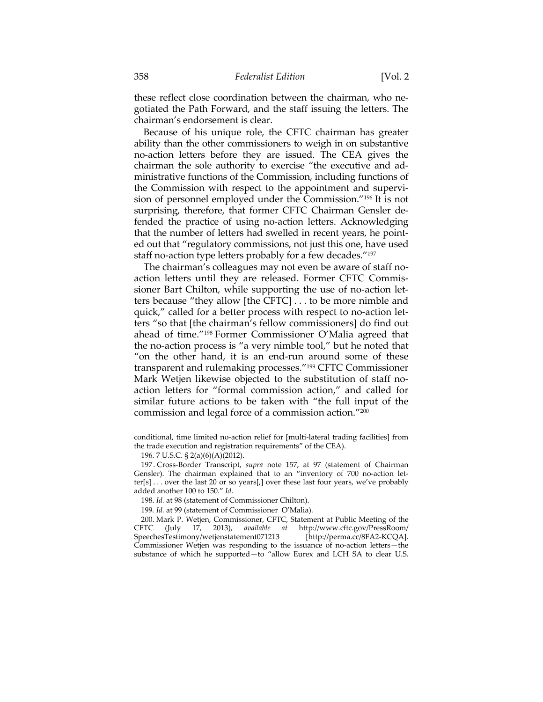these reflect close coordination between the chairman, who negotiated the Path Forward, and the staff issuing the letters. The chairman's endorsement is clear.

Because of his unique role, the CFTC chairman has greater ability than the other commissioners to weigh in on substantive no-action letters before they are issued. The CEA gives the chairman the sole authority to exercise "the executive and administrative functions of the Commission, including functions of the Commission with respect to the appointment and supervision of personnel employed under the Commission."196 It is not surprising, therefore, that former CFTC Chairman Gensler defended the practice of using no-action letters. Acknowledging that the number of letters had swelled in recent years, he pointed out that "regulatory commissions, not just this one, have used staff no-action type letters probably for a few decades."197

The chairman's colleagues may not even be aware of staff noaction letters until they are released. Former CFTC Commissioner Bart Chilton, while supporting the use of no-action letters because "they allow [the CFTC] . . . to be more nimble and quick," called for a better process with respect to no-action letters "so that [the chairman's fellow commissioners] do find out ahead of time."198 Former Commissioner O'Malia agreed that the no-action process is "a very nimble tool," but he noted that "on the other hand, it is an end-run around some of these transparent and rulemaking processes."199 CFTC Commissioner Mark Wetjen likewise objected to the substitution of staff noaction letters for "formal commission action," and called for similar future actions to be taken with "the full input of the commission and legal force of a commission action."200

 $\overline{a}$ 

 200. Mark P. Wetjen, Commissioner, CFTC, Statement at Public Meeting of the CFTC (July 17, 2013), *available at* http://www.cftc.gov/PressRoom/ SpeechesTestimony/wetjenstatement071213 [http://perma.cc/8FA2-KCQA]. Commissioner Wetjen was responding to the issuance of no-action letters—the substance of which he supported—to "allow Eurex and LCH SA to clear U.S.

conditional, time limited no-action relief for [multi-lateral trading facilities] from the trade execution and registration requirements" of the CEA).

 <sup>196. 7</sup> U.S.C. § 2(a)(6)(A)(2012).

 <sup>197.</sup> Cross-Border Transcript, *supra* note 157, at 97 (statement of Chairman Gensler). The chairman explained that to an "inventory of 700 no-action letter[s] . . . over the last 20 or so years[,] over these last four years, we've probably added another 100 to 150." *Id.*

 <sup>198.</sup> *Id.* at 98 (statement of Commissioner Chilton).

<sup>199</sup>*. Id.* at 99 (statement of Commissioner O'Malia).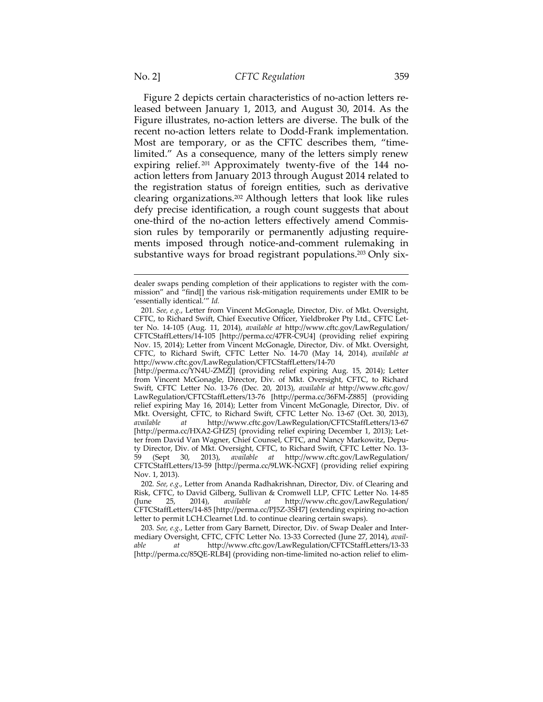Figure 2 depicts certain characteristics of no-action letters released between January 1, 2013, and August 30, 2014. As the Figure illustrates, no-action letters are diverse. The bulk of the recent no-action letters relate to Dodd-Frank implementation. Most are temporary, or as the CFTC describes them, "timelimited." As a consequence, many of the letters simply renew expiring relief. 201 Approximately twenty-five of the 144 noaction letters from January 2013 through August 2014 related to the registration status of foreign entities, such as derivative clearing organizations.202 Although letters that look like rules defy precise identification, a rough count suggests that about one-third of the no-action letters effectively amend Commission rules by temporarily or permanently adjusting requirements imposed through notice-and-comment rulemaking in substantive ways for broad registrant populations.<sup>203</sup> Only six-

 $\overline{a}$ 

203*. See, e.g.*, Letter from Gary Barnett, Director, Div. of Swap Dealer and Intermediary Oversight, CFTC, CFTC Letter No. 13-33 Corrected (June 27, 2014), *available at* http://www.cftc.gov/LawRegulation/CFTCStaffLetters/13-33 [http://perma.cc/85QE-RLB4] (providing non-time-limited no-action relief to elim-

dealer swaps pending completion of their applications to register with the commission" and "find[] the various risk-mitigation requirements under EMIR to be 'essentially identical.'" *Id.*

<sup>201</sup>*. See, e.g.*, Letter from Vincent McGonagle, Director, Div. of Mkt. Oversight, CFTC, to Richard Swift, Chief Executive Officer, Yieldbroker Pty Ltd., CFTC Letter No. 14-105 (Aug. 11, 2014), *available at* http://www.cftc.gov/LawRegulation/ CFTCStaffLetters/14-105 [http://perma.cc/47FR-C9U4] (providing relief expiring Nov. 15, 2014); Letter from Vincent McGonagle, Director, Div. of Mkt. Oversight, CFTC, to Richard Swift, CFTC Letter No. 14-70 (May 14, 2014), *available at* http://www.cftc.gov/LawRegulation/CFTCStaffLetters/14-70

<sup>[</sup>http://perma.cc/YN4U-ZMZJ] (providing relief expiring Aug. 15, 2014); Letter from Vincent McGonagle, Director, Div. of Mkt. Oversight, CFTC, to Richard Swift, CFTC Letter No. 13-76 (Dec. 20, 2013), *available at* http://www.cftc.gov/ LawRegulation/CFTCStaffLetters/13-76 [http://perma.cc/36FM-Z885] (providing relief expiring May 16, 2014); Letter from Vincent McGonagle, Director, Div. of Mkt. Oversight, CFTC, to Richard Swift, CFTC Letter No. 13-67 (Oct. 30, 2013), *available at* http://www.cftc.gov/LawRegulation/CFTCStaffLetters/13-67 [http://perma.cc/HXA2-GHZ5] (providing relief expiring December 1, 2013); Letter from David Van Wagner, Chief Counsel, CFTC, and Nancy Markowitz, Deputy Director, Div. of Mkt. Oversight, CFTC, to Richard Swift, CFTC Letter No. 13- 59 (Sept 30, 2013), *available at* http://www.cftc.gov/LawRegulation/ CFTCStaffLetters/13-59 [http://perma.cc/9LWK-NGXF] (providing relief expiring Nov. 1, 2013).

<sup>202</sup>*. See, e.g*., Letter from Ananda Radhakrishnan, Director, Div. of Clearing and Risk, CFTC, to David Gilberg, Sullivan & Cromwell LLP, CFTC Letter No. 14-85<br>(June 25, 2014), available at http://www.cftc.gov/LawRegulation/ (June 25, 2014), *available at* http://www.cftc.gov/LawRegulation/ CFTCStaffLetters/14-85 [http://perma.cc/PJ5Z-3SH7] (extending expiring no-action letter to permit LCH.Clearnet Ltd. to continue clearing certain swaps).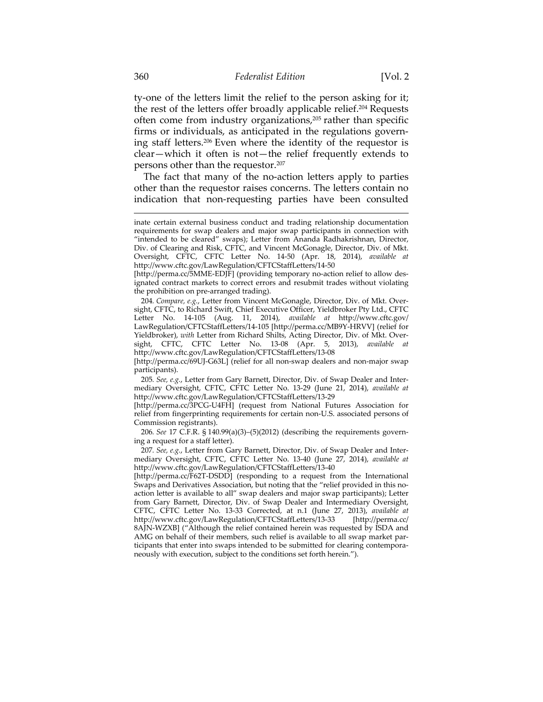ty-one of the letters limit the relief to the person asking for it; the rest of the letters offer broadly applicable relief.204 Requests often come from industry organizations,<sup>205</sup> rather than specific firms or individuals, as anticipated in the regulations governing staff letters.206 Even where the identity of the requestor is clear—which it often is not—the relief frequently extends to persons other than the requestor.207

The fact that many of the no-action letters apply to parties other than the requestor raises concerns. The letters contain no indication that non-requesting parties have been consulted

204*. Compare, e.g.*, Letter from Vincent McGonagle, Director, Div. of Mkt. Oversight, CFTC, to Richard Swift, Chief Executive Officer, Yieldbroker Pty Ltd., CFTC Letter No. 14-105 (Aug. 11, 2014), *available at* http://www.cftc.gov/ LawRegulation/CFTCStaffLetters/14-105 [http://perma.cc/MB9Y-HRVV] (relief for Yieldbroker), *with* Letter from Richard Shilts, Acting Director, Div. of Mkt. Oversight, CFTC, CFTC Letter No. 13-08 (Apr. 5, 2013), *available at*  http://www.cftc.gov/LawRegulation/CFTCStaffLetters/13-08

[http://perma.cc/69UJ-G63L] (relief for all non-swap dealers and non-major swap participants).

205*. See, e.g.*, Letter from Gary Barnett, Director, Div. of Swap Dealer and Intermediary Oversight, CFTC, CFTC Letter No. 13-29 (June 21, 2014), *available at*  http://www.cftc.gov/LawRegulation/CFTCStaffLetters/13-29

[http://perma.cc/3PCG-U4FH] (request from National Futures Association for relief from fingerprinting requirements for certain non-U.S. associated persons of Commission registrants).

206*. See* 17 C.F.R. § 140.99(a)(3)–(5)(2012) (describing the requirements governing a request for a staff letter).

207*. See, e.g.*, Letter from Gary Barnett, Director, Div. of Swap Dealer and Intermediary Oversight, CFTC, CFTC Letter No. 13-40 (June 27, 2014), *available at* http://www.cftc.gov/LawRegulation/CFTCStaffLetters/13-40

[http://perma.cc/F62T-DSDD] (responding to a request from the International Swaps and Derivatives Association, but noting that the "relief provided in this noaction letter is available to all" swap dealers and major swap participants); Letter from Gary Barnett, Director, Div. of Swap Dealer and Intermediary Oversight, CFTC, CFTC Letter No. 13-33 Corrected, at n.1 (June 27, 2013), *available at* http://www.cftc.gov/LawRegulation/CFTCStaffLetters/13-33 [http://perma.cc/ 8AJN-WZXB] ("Although the relief contained herein was requested by ISDA and AMG on behalf of their members, such relief is available to all swap market participants that enter into swaps intended to be submitted for clearing contemporaneously with execution, subject to the conditions set forth herein.").

inate certain external business conduct and trading relationship documentation requirements for swap dealers and major swap participants in connection with "intended to be cleared" swaps); Letter from Ananda Radhakrishnan, Director, Div. of Clearing and Risk, CFTC, and Vincent McGonagle, Director, Div. of Mkt. Oversight, CFTC, CFTC Letter No. 14-50 (Apr. 18, 2014), *available at* http://www.cftc.gov/LawRegulation/CFTCStaffLetters/14-50

<sup>[</sup>http://perma.cc/5MME-EDJF] (providing temporary no-action relief to allow designated contract markets to correct errors and resubmit trades without violating the prohibition on pre-arranged trading).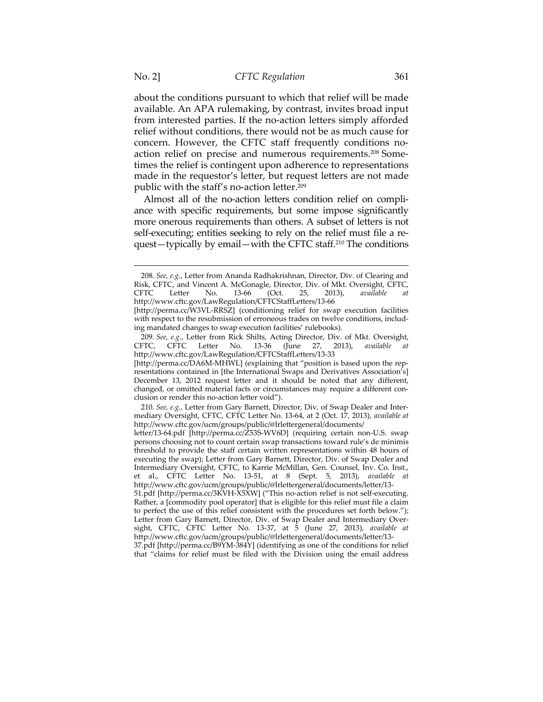about the conditions pursuant to which that relief will be made available. An APA rulemaking, by contrast, invites broad input from interested parties. If the no-action letters simply afforded relief without conditions, there would not be as much cause for concern. However, the CFTC staff frequently conditions noaction relief on precise and numerous requirements.208 Sometimes the relief is contingent upon adherence to representations made in the requestor's letter, but request letters are not made public with the staff's no-action letter.209

Almost all of the no-action letters condition relief on compliance with specific requirements, but some impose significantly more onerous requirements than others. A subset of letters is not self-executing; entities seeking to rely on the relief must file a request—typically by email—with the CFTC staff.210 The conditions

210*. See, e.g.*, Letter from Gary Barnett, Director, Div. of Swap Dealer and Intermediary Oversight, CFTC, CFTC Letter No. 13-64, at 2 (Oct. 17, 2013), *available at*  http://www.cftc.gov/ucm/groups/public/@lrlettergeneral/documents/

<sup>208</sup>*. See, e.g.*, Letter from Ananda Radhakrishnan, Director, Div. of Clearing and Risk, CFTC, and Vincent A. McGonagle, Director, Div. of Mkt. Oversight, CFTC, CFTC Letter No. 13-66 (Oct. 25, 2013), *available at* http://www.cftc.gov/LawRegulation/CFTCStaffLetters/13-66

<sup>[</sup>http://perma.cc/W3VL-RRSZ] (conditioning relief for swap execution facilities with respect to the resubmission of erroneous trades on twelve conditions, including mandated changes to swap execution facilities' rulebooks).

<sup>209</sup>*. See, e.g.*, Letter from Rick Shilts, Acting Director, Div. of Mkt. Oversight, CFTC, CFTC Letter No. 13-36 (June 27, 2013), available http://www.cftc.gov/LawRegulation/CFTCStaffLetters/13-33

<sup>[</sup>http://perma.cc/DA6M-MHWL] (explaining that "position is based upon the representations contained in [the International Swaps and Derivatives Association's] December 13, 2012 request letter and it should be noted that any different, changed, or omitted material facts or circumstances may require a different conclusion or render this no-action letter void").

letter/13-64.pdf [http://perma.cc/Z53S-WV6D] (requiring certain non-U.S. swap persons choosing not to count certain swap transactions toward rule's de minimis threshold to provide the staff certain written representations within 48 hours of executing the swap); Letter from Gary Barnett, Director, Div. of Swap Dealer and Intermediary Oversight, CFTC, to Karrie McMillan, Gen. Counsel, Inv. Co. Inst., et al., CFTC Letter No. 13-51, at 8 (Sept. 5, 2013), *available at*  http://www.cftc.gov/ucm/groups/public/@lrlettergeneral/documents/letter/13-

<sup>51.</sup>pdf [http://perma.cc/3KVH-X5XW] ("This no-action relief is not self-executing. Rather, a [commodity pool operator] that is eligible for this relief must file a claim to perfect the use of this relief consistent with the procedures set forth below."); Letter from Gary Barnett, Director, Div. of Swap Dealer and Intermediary Oversight, CFTC, CFTC Letter No. 13-37, at 5 (June 27, 2013), *available at*  http://www.cftc.gov/ucm/groups/public/@lrlettergeneral/documents/letter/13-

<sup>37.</sup>pdf [http://perma.cc/B9YM-384Y] (identifying as one of the conditions for relief that "claims for relief must be filed with the Division using the email address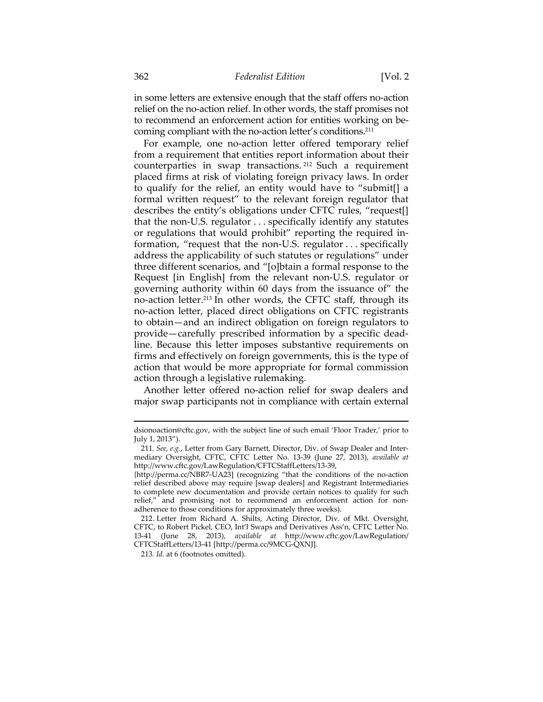in some letters are extensive enough that the staff offers no-action relief on the no-action relief. In other words, the staff promises not to recommend an enforcement action for entities working on becoming compliant with the no-action letter's conditions.211

For example, one no-action letter offered temporary relief from a requirement that entities report information about their counterparties in swap transactions. 212 Such a requirement placed firms at risk of violating foreign privacy laws. In order to qualify for the relief, an entity would have to "submit[] a formal written request" to the relevant foreign regulator that describes the entity's obligations under CFTC rules, "request[] that the non-U.S. regulator . . . specifically identify any statutes or regulations that would prohibit" reporting the required information, "request that the non-U.S. regulator . . . specifically address the applicability of such statutes or regulations" under three different scenarios, and "[o]btain a formal response to the Request [in English] from the relevant non-U.S. regulator or governing authority within 60 days from the issuance of" the no-action letter.213 In other words, the CFTC staff, through its no-action letter, placed direct obligations on CFTC registrants to obtain—and an indirect obligation on foreign regulators to provide—carefully prescribed information by a specific deadline. Because this letter imposes substantive requirements on firms and effectively on foreign governments, this is the type of action that would be more appropriate for formal commission action through a legislative rulemaking.

Another letter offered no-action relief for swap dealers and major swap participants not in compliance with certain external

dsionoaction@cftc.gov, with the subject line of such email 'Floor Trader,' prior to July 1, 2013").

<sup>211</sup>*. See, e.g.*, Letter from Gary Barnett, Director, Div. of Swap Dealer and Intermediary Oversight, CFTC, CFTC Letter No. 13-39 (June 27, 2013), *available at*  http://www.cftc.gov/LawRegulation/CFTCStaffLetters/13-39,

<sup>{</sup>http://perma.cc/NBR7-UA23] (recognizing "that the conditions of the no-action relief described above may require [swap dealers] and Registrant Intermediaries to complete new documentation and provide certain notices to qualify for such relief," and promising not to recommend an enforcement action for nonadherence to those conditions for approximately three weeks).

 <sup>212.</sup> Letter from Richard A. Shilts, Acting Director, Div. of Mkt. Oversight, CFTC, to Robert Pickel, CEO, Int'l Swaps and Derivatives Ass'n, CFTC Letter No. 13-41 (June 28, 2013), *available at* http://www.cftc.gov/LawRegulation/ CFTCStaffLetters/13-41 [http://perma.cc/9MCG-QXNJ].

<sup>213</sup>*. Id.* at 6 (footnotes omitted).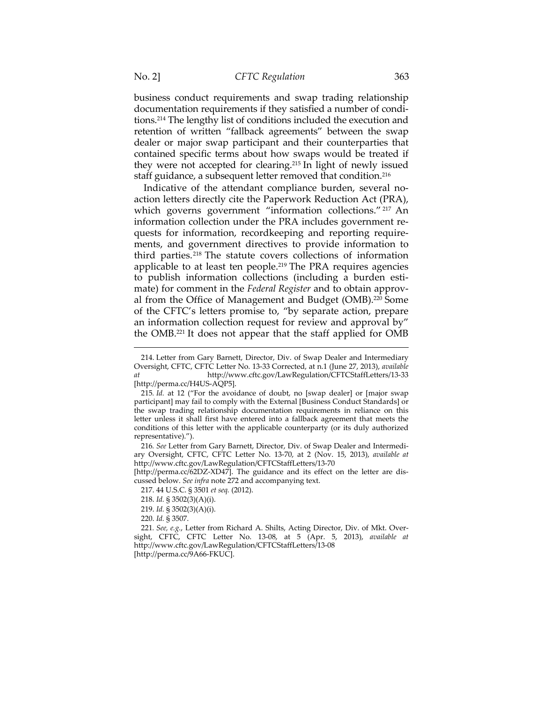business conduct requirements and swap trading relationship documentation requirements if they satisfied a number of conditions.214 The lengthy list of conditions included the execution and retention of written "fallback agreements" between the swap dealer or major swap participant and their counterparties that contained specific terms about how swaps would be treated if they were not accepted for clearing.215 In light of newly issued staff guidance, a subsequent letter removed that condition.216

Indicative of the attendant compliance burden, several noaction letters directly cite the Paperwork Reduction Act (PRA), which governs government "information collections." <sup>217</sup> An information collection under the PRA includes government requests for information, recordkeeping and reporting requirements, and government directives to provide information to third parties.218 The statute covers collections of information applicable to at least ten people.<sup>219</sup> The PRA requires agencies to publish information collections (including a burden estimate) for comment in the *Federal Register* and to obtain approval from the Office of Management and Budget (OMB).220 Some of the CFTC's letters promise to, "by separate action, prepare an information collection request for review and approval by" the OMB.221 It does not appear that the staff applied for OMB

216*. See* Letter from Gary Barnett, Director, Div. of Swap Dealer and Intermediary Oversight, CFTC, CFTC Letter No. 13-70, at 2 (Nov. 15, 2013), *available at*  http://www.cftc.gov/LawRegulation/CFTCStaffLetters/13-70

[http://perma.cc/62DZ-XD47]. The guidance and its effect on the letter are discussed below. *See infra* note 272 and accompanying text.

217. 44 U.S.C. § 3501 *et seq.* (2012).

218. *Id.* § 3502(3)(A)(i).

219. *Id.* § 3502(3)(A)(i).

220. *Id.* § 3507.

 $\overline{a}$ 

221*. See, e.g.*, Letter from Richard A. Shilts, Acting Director, Div. of Mkt. Oversight, CFTC, CFTC Letter No. 13-08, at 5 (Apr. 5, 2013), *available at* http://www.cftc.gov/LawRegulation/CFTCStaffLetters/13-08 [http://perma.cc/9A66-FKUC].

<sup>214.</sup> Letter from Gary Barnett, Director, Div. of Swap Dealer and Intermediary Oversight, CFTC, CFTC Letter No. 13-33 Corrected, at n.1 (June 27, 2013), *available at* http://www.cftc.gov/LawRegulation/CFTCStaffLetters/13-33 [http://perma.cc/H4US-AQP5].

<sup>215</sup>*. Id.* at 12 ("For the avoidance of doubt, no [swap dealer] or [major swap participant] may fail to comply with the External [Business Conduct Standards] or the swap trading relationship documentation requirements in reliance on this letter unless it shall first have entered into a fallback agreement that meets the conditions of this letter with the applicable counterparty (or its duly authorized representative).").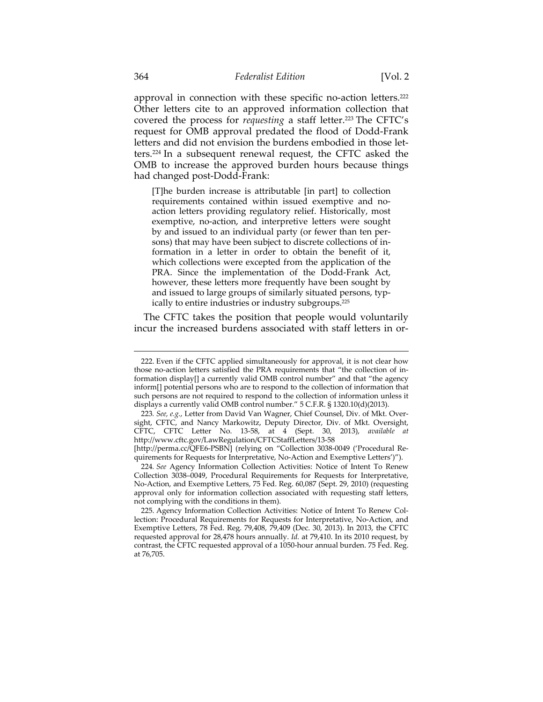approval in connection with these specific no-action letters.222 Other letters cite to an approved information collection that covered the process for *requesting* a staff letter.<sup>223</sup> The CFTC's request for OMB approval predated the flood of Dodd-Frank letters and did not envision the burdens embodied in those letters.224 In a subsequent renewal request, the CFTC asked the OMB to increase the approved burden hours because things had changed post-Dodd-Frank:

[T]he burden increase is attributable [in part] to collection requirements contained within issued exemptive and noaction letters providing regulatory relief. Historically, most exemptive, no-action, and interpretive letters were sought by and issued to an individual party (or fewer than ten persons) that may have been subject to discrete collections of information in a letter in order to obtain the benefit of it, which collections were excepted from the application of the PRA. Since the implementation of the Dodd-Frank Act, however, these letters more frequently have been sought by and issued to large groups of similarly situated persons, typically to entire industries or industry subgroups.225

The CFTC takes the position that people would voluntarily incur the increased burdens associated with staff letters in or-

<sup>222.</sup> Even if the CFTC applied simultaneously for approval, it is not clear how those no-action letters satisfied the PRA requirements that "the collection of information display[] a currently valid OMB control number" and that "the agency inform[] potential persons who are to respond to the collection of information that such persons are not required to respond to the collection of information unless it displays a currently valid OMB control number." 5 C.F.R. § 1320.10(d)(2013).

<sup>223</sup>*. See, e.g.*, Letter from David Van Wagner, Chief Counsel, Div. of Mkt. Oversight, CFTC, and Nancy Markowitz, Deputy Director, Div. of Mkt. Oversight, CFTC, CFTC Letter No. 13-58, at 4 (Sept. 30, 2013), *available at*  http://www.cftc.gov/LawRegulation/CFTCStaffLetters/13-58

<sup>[</sup>http://perma.cc/QFE6-PSBN] (relying on "Collection 3038-0049 ('Procedural Requirements for Requests for Interpretative, No-Action and Exemptive Letters')").

<sup>224</sup>*. See* Agency Information Collection Activities: Notice of Intent To Renew Collection 3038–0049, Procedural Requirements for Requests for Interpretative, No-Action, and Exemptive Letters, 75 Fed. Reg. 60,087 (Sept. 29, 2010) (requesting approval only for information collection associated with requesting staff letters, not complying with the conditions in them).

 <sup>225.</sup> Agency Information Collection Activities: Notice of Intent To Renew Collection: Procedural Requirements for Requests for Interpretative, No-Action, and Exemptive Letters, 78 Fed. Reg. 79,408, 79,409 (Dec. 30, 2013). In 2013, the CFTC requested approval for 28,478 hours annually. *Id.* at 79,410. In its 2010 request, by contrast, the CFTC requested approval of a 1050-hour annual burden. 75 Fed. Reg. at 76,705.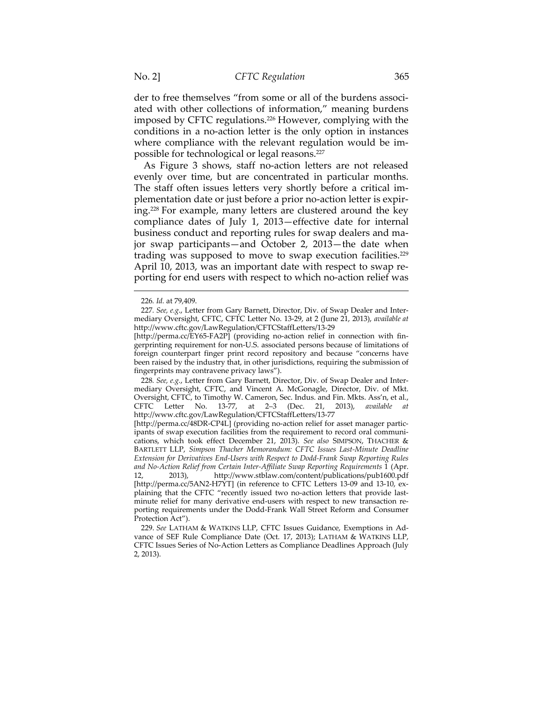der to free themselves "from some or all of the burdens associated with other collections of information," meaning burdens imposed by CFTC regulations.<sup>226</sup> However, complying with the conditions in a no-action letter is the only option in instances where compliance with the relevant regulation would be impossible for technological or legal reasons.227

As Figure 3 shows, staff no-action letters are not released evenly over time, but are concentrated in particular months. The staff often issues letters very shortly before a critical implementation date or just before a prior no-action letter is expiring.228 For example, many letters are clustered around the key compliance dates of July 1, 2013—effective date for internal business conduct and reporting rules for swap dealers and major swap participants—and October 2, 2013—the date when trading was supposed to move to swap execution facilities.229 April 10, 2013, was an important date with respect to swap reporting for end users with respect to which no-action relief was

 $\overline{a}$ 

[http://perma.cc/EY65-FA2P] (providing no-action relief in connection with fingerprinting requirement for non-U.S. associated persons because of limitations of foreign counterpart finger print record repository and because "concerns have been raised by the industry that, in other jurisdictions, requiring the submission of fingerprints may contravene privacy laws").

228*. See, e.g.*, Letter from Gary Barnett, Director, Div. of Swap Dealer and Intermediary Oversight, CFTC, and Vincent A. McGonagle, Director, Div. of Mkt. Oversight, CFTC, to Timothy W. Cameron, Sec. Indus. and Fin. Mkts. Ass'n, et al., CFTC Letter No. 13-77, at 2–3 (Dec. 21, 2013), *available at*  http://www.cftc.gov/LawRegulation/CFTCStaffLetters/13-77

[http://perma.cc/48DR-CP4L] (providing no-action relief for asset manager participants of swap execution facilities from the requirement to record oral communications, which took effect December 21, 2013). *See also* SIMPSON, THACHER & BARTLETT LLP, *Simpson Thacher Memorandum: CFTC Issues Last-Minute Deadline Extension for Derivatives End-Users with Respect to Dodd-Frank Swap Reporting Rules and No-Action Relief from Certain Inter-Affiliate Swap Reporting Requirements* 1 (Apr. 12, 2013), http://www.stblaw.com/content/publications/pub1600.pdf [http://perma.cc/5AN2-H7YT] (in reference to CFTC Letters 13-09 and 13-10, explaining that the CFTC "recently issued two no-action letters that provide lastminute relief for many derivative end-users with respect to new transaction reporting requirements under the Dodd-Frank Wall Street Reform and Consumer Protection Act").

 229. *See* LATHAM & WATKINS LLP, CFTC Issues Guidance, Exemptions in Advance of SEF Rule Compliance Date (Oct. 17, 2013); LATHAM & WATKINS LLP, CFTC Issues Series of No-Action Letters as Compliance Deadlines Approach (July 2, 2013).

<sup>226</sup>*. Id.* at 79,409.

<sup>227</sup>*. See, e.g*., Letter from Gary Barnett, Director, Div. of Swap Dealer and Intermediary Oversight, CFTC, CFTC Letter No. 13-29, at 2 (June 21, 2013), *available at*  http://www.cftc.gov/LawRegulation/CFTCStaffLetters/13-29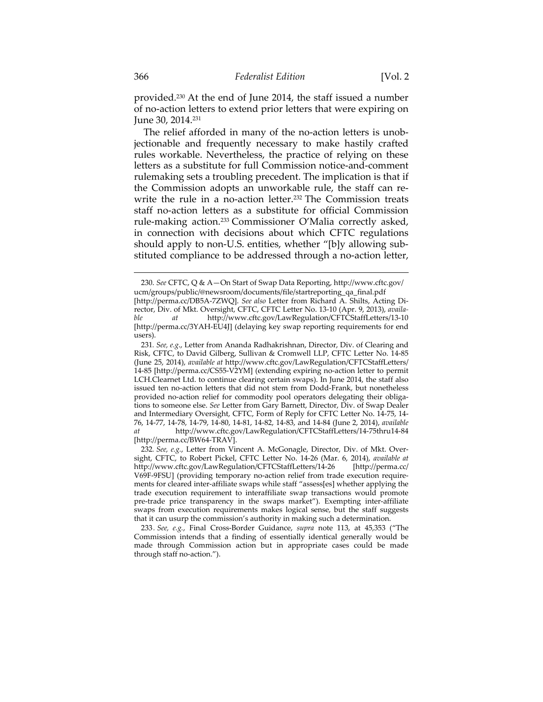provided.230 At the end of June 2014, the staff issued a number of no-action letters to extend prior letters that were expiring on June 30, 2014.231

The relief afforded in many of the no-action letters is unobjectionable and frequently necessary to make hastily crafted rules workable. Nevertheless, the practice of relying on these letters as a substitute for full Commission notice-and-comment rulemaking sets a troubling precedent. The implication is that if the Commission adopts an unworkable rule, the staff can rewrite the rule in a no-action letter.<sup>232</sup> The Commission treats staff no-action letters as a substitute for official Commission rule-making action.233 Commissioner O'Malia correctly asked, in connection with decisions about which CFTC regulations should apply to non-U.S. entities, whether "[b]y allowing substituted compliance to be addressed through a no-action letter,

<sup>230.</sup> *See* CFTC, Q & A—On Start of Swap Data Reporting, http://www.cftc.gov/ ucm/groups/public/@newsroom/documents/file/startreporting\_qa\_final.pdf [http://perma.cc/DB5A-7ZWQ]. *See also* Letter from Richard A. Shilts, Acting Director, Div. of Mkt. Oversight, CFTC, CFTC Letter No. 13-10 (Apr. 9, 2013), *available at* http://www.cftc.gov/LawRegulation/CFTCStaffLetters/13-10 [http://perma.cc/3YAH-EU4J] (delaying key swap reporting requirements for end users).

<sup>231</sup>*. See, e.g*., Letter from Ananda Radhakrishnan, Director, Div. of Clearing and Risk, CFTC, to David Gilberg, Sullivan & Cromwell LLP, CFTC Letter No. 14-85 (June 25, 2014), *available at* http://www.cftc.gov/LawRegulation/CFTCStaffLetters/ 14-85 [http://perma.cc/CS55-V2YM] (extending expiring no-action letter to permit LCH.Clearnet Ltd. to continue clearing certain swaps). In June 2014, the staff also issued ten no-action letters that did not stem from Dodd-Frank, but nonetheless provided no-action relief for commodity pool operators delegating their obligations to someone else. *See* Letter from Gary Barnett, Director, Div. of Swap Dealer and Intermediary Oversight, CFTC, Form of Reply for CFTC Letter No. 14-75, 14- 76, 14-77, 14-78, 14-79, 14-80, 14-81, 14-82, 14-83, and 14-84 (June 2, 2014), *available at* http://www.cftc.gov/LawRegulation/CFTCStaffLetters/14-75thru14-84 [http://perma.cc/BW64-TRAV].

<sup>232</sup>*. See, e.g.*, Letter from Vincent A. McGonagle, Director, Div. of Mkt. Oversight, CFTC, to Robert Pickel, CFTC Letter No. 14-26 (Mar. 6, 2014), *available at*  http://www.cftc.gov/LawRegulation/CFTCStaffLetters/14-26 [http://perma.cc/ V69F-9FSU] (providing temporary no-action relief from trade execution requirements for cleared inter-affiliate swaps while staff "assess[es] whether applying the trade execution requirement to interaffiliate swap transactions would promote pre-trade price transparency in the swaps market"). Exempting inter-affiliate swaps from execution requirements makes logical sense, but the staff suggests that it can usurp the commission's authority in making such a determination.

<sup>233</sup>*. See, e.g.*, Final Cross-Border Guidance, *supra* note 113, at 45,353 ("The Commission intends that a finding of essentially identical generally would be made through Commission action but in appropriate cases could be made through staff no-action.").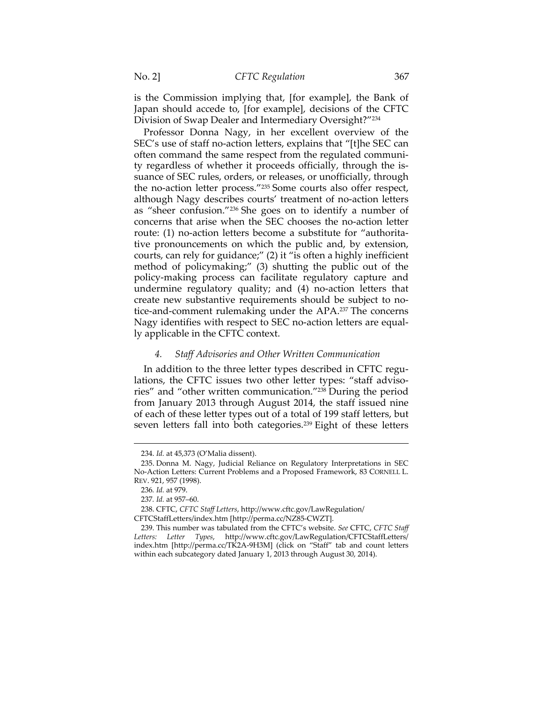is the Commission implying that, [for example], the Bank of Japan should accede to, [for example], decisions of the CFTC Division of Swap Dealer and Intermediary Oversight?"234

Professor Donna Nagy, in her excellent overview of the SEC's use of staff no-action letters, explains that "[t]he SEC can often command the same respect from the regulated community regardless of whether it proceeds officially, through the issuance of SEC rules, orders, or releases, or unofficially, through the no-action letter process."235 Some courts also offer respect, although Nagy describes courts' treatment of no-action letters as "sheer confusion."236 She goes on to identify a number of concerns that arise when the SEC chooses the no-action letter route: (1) no-action letters become a substitute for "authoritative pronouncements on which the public and, by extension, courts, can rely for guidance;" (2) it "is often a highly inefficient method of policymaking;" (3) shutting the public out of the policy-making process can facilitate regulatory capture and undermine regulatory quality; and (4) no-action letters that create new substantive requirements should be subject to notice-and-comment rulemaking under the APA.237 The concerns Nagy identifies with respect to SEC no-action letters are equally applicable in the CFTC context.

#### *4. Staff Advisories and Other Written Communication*

In addition to the three letter types described in CFTC regulations, the CFTC issues two other letter types: "staff advisories" and "other written communication."238 During the period from January 2013 through August 2014, the staff issued nine of each of these letter types out of a total of 199 staff letters, but seven letters fall into both categories.<sup>239</sup> Eight of these letters

<sup>234.</sup> *Id.* at 45,373 (O'Malia dissent).

 <sup>235.</sup> Donna M. Nagy, Judicial Reliance on Regulatory Interpretations in SEC No-Action Letters: Current Problems and a Proposed Framework, 83 CORNELL L. REV. 921, 957 (1998).

<sup>236</sup>*. Id.* at 979.

<sup>237</sup>*. Id.* at 957–60.

 <sup>238.</sup> CFTC, *CFTC Staff Letters*, http://www.cftc.gov/LawRegulation/

CFTCStaffLetters/index.htm [http://perma.cc/NZ85-CWZT].

 <sup>239.</sup> This number was tabulated from the CFTC's website. *See* CFTC, *CFTC Staff Letters: Letter Types*, http://www.cftc.gov/LawRegulation/CFTCStaffLetters/ index.htm [http://perma.cc/TK2A-9H3M] (click on "Staff" tab and count letters within each subcategory dated January 1, 2013 through August 30, 2014).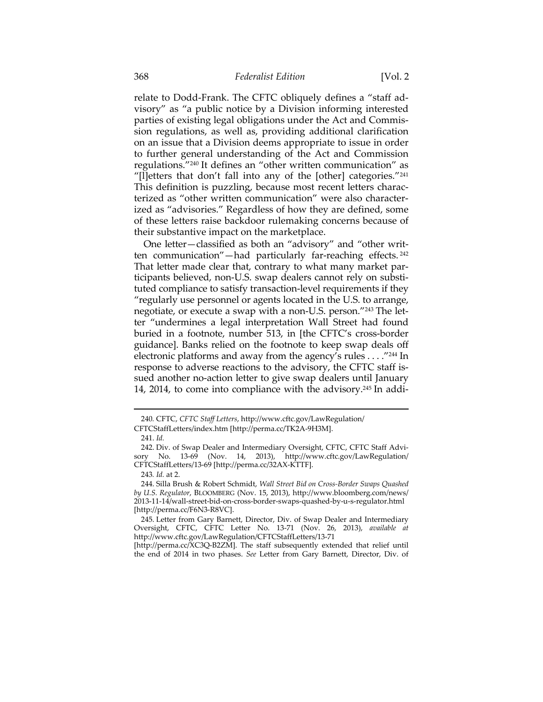relate to Dodd-Frank. The CFTC obliquely defines a "staff advisory" as "a public notice by a Division informing interested parties of existing legal obligations under the Act and Commission regulations, as well as, providing additional clarification on an issue that a Division deems appropriate to issue in order to further general understanding of the Act and Commission regulations."240 It defines an "other written communication" as "[l]etters that don't fall into any of the [other] categories."241 This definition is puzzling, because most recent letters characterized as "other written communication" were also characterized as "advisories." Regardless of how they are defined, some of these letters raise backdoor rulemaking concerns because of their substantive impact on the marketplace.

One letter—classified as both an "advisory" and "other written communication"—had particularly far-reaching effects. <sup>242</sup> That letter made clear that, contrary to what many market participants believed, non-U.S. swap dealers cannot rely on substituted compliance to satisfy transaction-level requirements if they "regularly use personnel or agents located in the U.S. to arrange, negotiate, or execute a swap with a non-U.S. person."243 The letter "undermines a legal interpretation Wall Street had found buried in a footnote, number 513, in [the CFTC's cross-border guidance]. Banks relied on the footnote to keep swap deals off electronic platforms and away from the agency's rules . . . ."244 In response to adverse reactions to the advisory, the CFTC staff issued another no-action letter to give swap dealers until January 14, 2014, to come into compliance with the advisory.<sup>245</sup> In addi-

 $\overline{a}$ 

243*. Id.* at 2.

<sup>240</sup>*.* CFTC, *CFTC Staff Letters*, http://www.cftc.gov/LawRegulation/ CFTCStaffLetters/index.htm [http://perma.cc/TK2A-9H3M].

 <sup>241.</sup> *Id.*

 <sup>242.</sup> Div. of Swap Dealer and Intermediary Oversight, CFTC, CFTC Staff Advisory No. 13-69 (Nov. 14, 2013), http://www.cftc.gov/LawRegulation/ CFTCStaffLetters/13-69 [http://perma.cc/32AX-KTTF].

 <sup>244.</sup> Silla Brush & Robert Schmidt, *Wall Street Bid on Cross-Border Swaps Quashed by U.S. Regulator*, BLOOMBERG (Nov. 15, 2013), http://www.bloomberg.com/news/ 2013-11-14/wall-street-bid-on-cross-border-swaps-quashed-by-u-s-regulator.html [http://perma.cc/F6N3-R8VC].

 <sup>245.</sup> Letter from Gary Barnett, Director, Div. of Swap Dealer and Intermediary Oversight, CFTC, CFTC Letter No. 13-71 (Nov. 26, 2013), *available at*  http://www.cftc.gov/LawRegulation/CFTCStaffLetters/13-71

<sup>[</sup>http://perma.cc/XC3Q-B2ZM]. The staff subsequently extended that relief until the end of 2014 in two phases. *See* Letter from Gary Barnett, Director, Div. of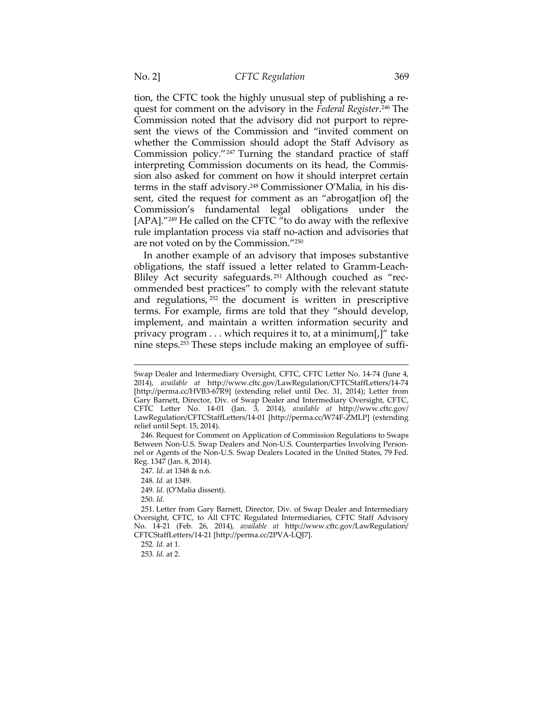tion, the CFTC took the highly unusual step of publishing a request for comment on the advisory in the *Federal Register*. 246 The Commission noted that the advisory did not purport to represent the views of the Commission and "invited comment on whether the Commission should adopt the Staff Advisory as Commission policy."247 Turning the standard practice of staff interpreting Commission documents on its head, the Commission also asked for comment on how it should interpret certain terms in the staff advisory.248 Commissioner O'Malia, in his dissent, cited the request for comment as an "abrogat[ion of] the Commission's fundamental legal obligations under the [APA]."249 He called on the CFTC "to do away with the reflexive rule implantation process via staff no-action and advisories that are not voted on by the Commission."250

In another example of an advisory that imposes substantive obligations, the staff issued a letter related to Gramm-Leach-Bliley Act security safeguards. 251 Although couched as "recommended best practices" to comply with the relevant statute and regulations, 252 the document is written in prescriptive terms. For example, firms are told that they "should develop, implement, and maintain a written information security and privacy program . . . which requires it to, at a minimum[,]" take nine steps.253 These steps include making an employee of suffi-

249*. Id.* (O'Malia dissent).

250. *Id.*

Swap Dealer and Intermediary Oversight, CFTC, CFTC Letter No. 14-74 (June 4, 2014), *available at* http://www.cftc.gov/LawRegulation/CFTCStaffLetters/14-74 [http://perma.cc/HVB3-67R9] (extending relief until Dec. 31, 2014); Letter from Gary Barnett, Director, Div. of Swap Dealer and Intermediary Oversight, CFTC, CFTC Letter No. 14-01 (Jan. 3, 2014), *available at* http://www.cftc.gov/ LawRegulation/CFTCStaffLetters/14-01 [http://perma.cc/W74F-ZMLP] (extending relief until Sept. 15, 2014).

 <sup>246.</sup> Request for Comment on Application of Commission Regulations to Swaps Between Non-U.S. Swap Dealers and Non-U.S. Counterparties Involving Personnel or Agents of the Non-U.S. Swap Dealers Located in the United States, 79 Fed. Reg. 1347 (Jan. 8, 2014).

<sup>247</sup>*. Id.* at 1348 & n.6.

<sup>248</sup>*. Id.* at 1349.

 <sup>251.</sup> Letter from Gary Barnett, Director, Div. of Swap Dealer and Intermediary Oversight, CFTC, to All CFTC Regulated Intermediaries, CFTC Staff Advisory No. 14-21 (Feb. 26, 2014), *available at* http://www.cftc.gov/LawRegulation/ CFTCStaffLetters/14-21 [http://perma.cc/2PVA-LQJ7].

<sup>252</sup>*. Id.* at 1.

<sup>253</sup>*. Id.* at 2.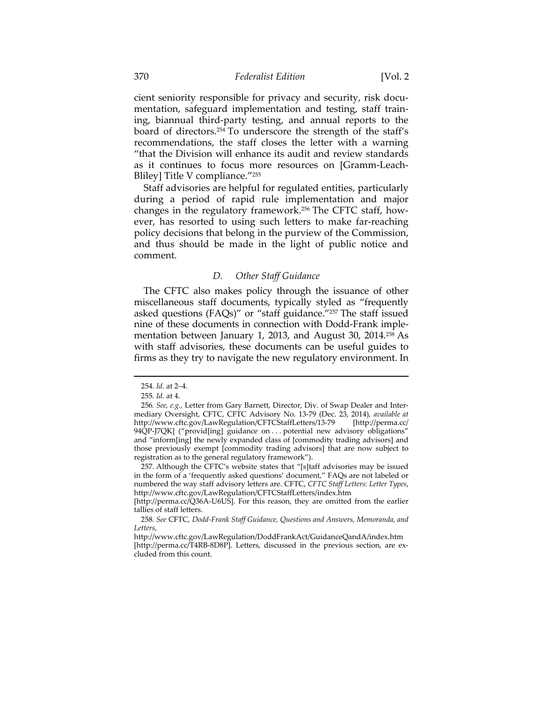cient seniority responsible for privacy and security, risk documentation, safeguard implementation and testing, staff training, biannual third-party testing, and annual reports to the board of directors.254 To underscore the strength of the staff's recommendations, the staff closes the letter with a warning "that the Division will enhance its audit and review standards as it continues to focus more resources on [Gramm-Leach-Bliley] Title V compliance."255

Staff advisories are helpful for regulated entities, particularly during a period of rapid rule implementation and major changes in the regulatory framework.256 The CFTC staff, however, has resorted to using such letters to make far-reaching policy decisions that belong in the purview of the Commission, and thus should be made in the light of public notice and comment.

## *D. Other Staff Guidance*

The CFTC also makes policy through the issuance of other miscellaneous staff documents, typically styled as "frequently asked questions (FAQs)" or "staff guidance."257 The staff issued nine of these documents in connection with Dodd-Frank implementation between January 1, 2013, and August 30, 2014.<sup>258</sup> As with staff advisories, these documents can be useful guides to firms as they try to navigate the new regulatory environment. In

<sup>254</sup>*. Id.* at 2–4.

<sup>255</sup>*. Id.* at 4.

<sup>256</sup>*. See, e.g.*, Letter from Gary Barnett, Director, Div. of Swap Dealer and Intermediary Oversight, CFTC, CFTC Advisory No. 13-79 (Dec. 23, 2014), *available at*  http://www.cftc.gov/LawRegulation/CFTCStaffLetters/13-79 [http://perma.cc/ 94QP-J7QK] ("provid[ing] guidance on . . . potential new advisory obligations" and "inform[ing] the newly expanded class of [commodity trading advisors] and those previously exempt [commodity trading advisors] that are now subject to registration as to the general regulatory framework").

 <sup>257.</sup> Although the CFTC's website states that "[s]taff advisories may be issued in the form of a 'frequently asked questions' document," FAQs are not labeled or numbered the way staff advisory letters are. CFTC, *CFTC Staff Letters: Letter Types*, http://www.cftc.gov/LawRegulation/CFTCStaffLetters/index.htm

<sup>[</sup>http://perma.cc/Q36A-U6US]. For this reason, they are omitted from the earlier tallies of staff letters.

<sup>258</sup>*. See* CFTC, *Dodd-Frank Staff Guidance, Questions and Answers, Memoranda, and Letters*,

http://www.cftc.gov/LawRegulation/DoddFrankAct/GuidanceQandA/index.htm [http://perma.cc/T4RB-8D8P]. Letters, discussed in the previous section, are excluded from this count.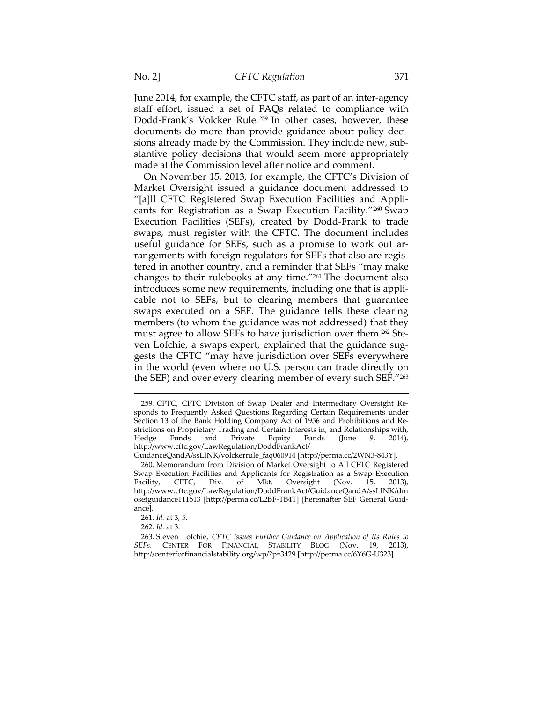June 2014, for example, the CFTC staff, as part of an inter-agency staff effort, issued a set of FAQs related to compliance with Dodd-Frank's Volcker Rule.<sup>259</sup> In other cases, however, these documents do more than provide guidance about policy decisions already made by the Commission. They include new, substantive policy decisions that would seem more appropriately made at the Commission level after notice and comment.

On November 15, 2013, for example, the CFTC's Division of Market Oversight issued a guidance document addressed to "[a]ll CFTC Registered Swap Execution Facilities and Applicants for Registration as a Swap Execution Facility."260 Swap Execution Facilities (SEFs), created by Dodd-Frank to trade swaps, must register with the CFTC. The document includes useful guidance for SEFs, such as a promise to work out arrangements with foreign regulators for SEFs that also are registered in another country, and a reminder that SEFs "may make changes to their rulebooks at any time."261 The document also introduces some new requirements, including one that is applicable not to SEFs, but to clearing members that guarantee swaps executed on a SEF. The guidance tells these clearing members (to whom the guidance was not addressed) that they must agree to allow SEFs to have jurisdiction over them.262 Steven Lofchie, a swaps expert, explained that the guidance suggests the CFTC "may have jurisdiction over SEFs everywhere in the world (even where no U.S. person can trade directly on the SEF) and over every clearing member of every such SEF."263

<sup>259.</sup> CFTC, CFTC Division of Swap Dealer and Intermediary Oversight Responds to Frequently Asked Questions Regarding Certain Requirements under Section 13 of the Bank Holding Company Act of 1956 and Prohibitions and Restrictions on Proprietary Trading and Certain Interests in, and Relationships with,<br>Hedge Funds and Private Equity Funds (June 9, 2014), Hedge Funds and Private Equity Funds (June 9, 2014), http://www.cftc.gov/LawRegulation/DoddFrankAct/

GuidanceQandA/ssLINK/volckerrule\_faq060914 [http://perma.cc/2WN3-843Y].

 <sup>260.</sup> Memorandum from Division of Market Oversight to All CFTC Registered Swap Execution Facilities and Applicants for Registration as a Swap Execution Facility, CFTC, Div. of Mkt. Oversight (Nov. 15, 2013), Facility, CFTC, Div. of Mkt. Oversight (Nov. 15, 2013), http://www.cftc.gov/LawRegulation/DoddFrankAct/GuidanceQandA/ssLINK/dm osefguidance111513 [http://perma.cc/L2BF-TB4T] [hereinafter SEF General Guidance].

<sup>261</sup>*. Id.* at 3, 5.

<sup>262</sup>*. Id.* at 3.

 <sup>263.</sup> Steven Lofchie, *CFTC Issues Further Guidance on Application of Its Rules to SEFs*, CENTER FOR FINANCIAL STABILITY BLOG (Nov. 19, 2013), http://centerforfinancialstability.org/wp/?p=3429 [http://perma.cc/6Y6G-U323].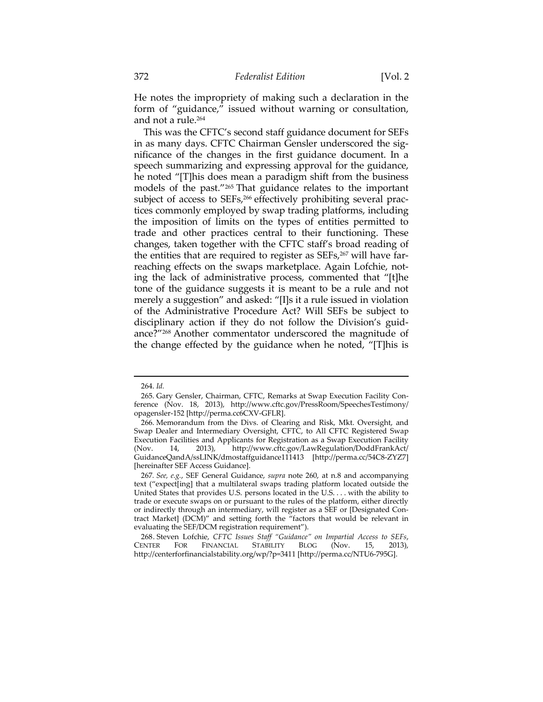He notes the impropriety of making such a declaration in the form of "guidance," issued without warning or consultation, and not a rule.264

This was the CFTC's second staff guidance document for SEFs in as many days. CFTC Chairman Gensler underscored the significance of the changes in the first guidance document. In a speech summarizing and expressing approval for the guidance, he noted "[T]his does mean a paradigm shift from the business models of the past."265 That guidance relates to the important subject of access to SEFs,<sup>266</sup> effectively prohibiting several practices commonly employed by swap trading platforms, including the imposition of limits on the types of entities permitted to trade and other practices central to their functioning. These changes, taken together with the CFTC staff's broad reading of the entities that are required to register as SEFs,<sup>267</sup> will have farreaching effects on the swaps marketplace. Again Lofchie, noting the lack of administrative process, commented that "[t]he tone of the guidance suggests it is meant to be a rule and not merely a suggestion" and asked: "[I]s it a rule issued in violation of the Administrative Procedure Act? Will SEFs be subject to disciplinary action if they do not follow the Division's guidance?"268 Another commentator underscored the magnitude of the change effected by the guidance when he noted, "[T]his is

<sup>264.</sup> *Id.* 

 <sup>265.</sup> Gary Gensler, Chairman, CFTC, Remarks at Swap Execution Facility Conference (Nov. 18, 2013), http://www.cftc.gov/PressRoom/SpeechesTestimony/ opagensler-152 [http://perma.cc6CXV-GFLR].

 <sup>266.</sup> Memorandum from the Divs. of Clearing and Risk, Mkt. Oversight, and Swap Dealer and Intermediary Oversight, CFTC, to All CFTC Registered Swap Execution Facilities and Applicants for Registration as a Swap Execution Facility (Nov. 14, 2013), http://www.cftc.gov/LawRegulation/DoddFrankAct/ GuidanceQandA/ssLINK/dmostaffguidance111413 [http://perma.cc/54C8-ZYZ7] [hereinafter SEF Access Guidance].

<sup>267</sup>*. See, e.g.*, SEF General Guidance, *supra* note 260, at n.8 and accompanying text ("expect[ing] that a multilateral swaps trading platform located outside the United States that provides U.S. persons located in the U.S. . . . with the ability to trade or execute swaps on or pursuant to the rules of the platform, either directly or indirectly through an intermediary, will register as a SEF or [Designated Contract Market] (DCM)" and setting forth the "factors that would be relevant in evaluating the SEF/DCM registration requirement").

 <sup>268.</sup> Steven Lofchie, *CFTC Issues Staff "Guidance" on Impartial Access to SEFs*, FINANCIAL STABILITY BLOG (Nov. 15, http://centerforfinancialstability.org/wp/?p=3411 [http://perma.cc/NTU6-795G].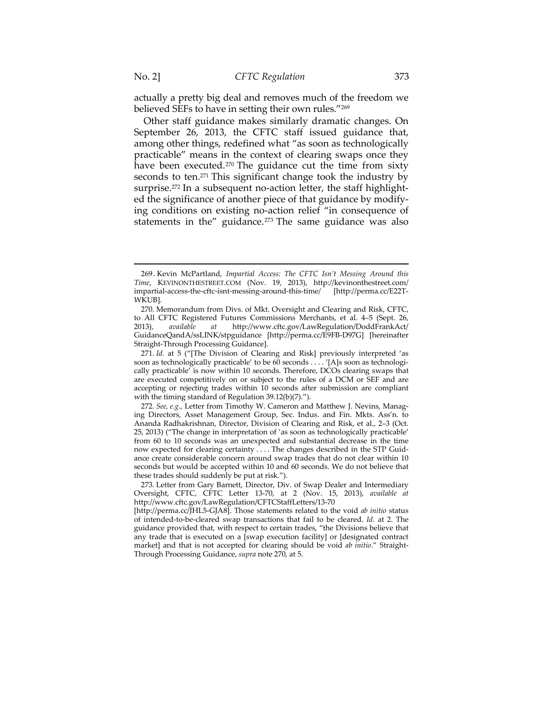$\overline{a}$ 

actually a pretty big deal and removes much of the freedom we believed SEFs to have in setting their own rules."269

Other staff guidance makes similarly dramatic changes. On September 26, 2013, the CFTC staff issued guidance that, among other things, redefined what "as soon as technologically practicable" means in the context of clearing swaps once they have been executed.270 The guidance cut the time from sixty seconds to ten.<sup>271</sup> This significant change took the industry by surprise.<sup>272</sup> In a subsequent no-action letter, the staff highlighted the significance of another piece of that guidance by modifying conditions on existing no-action relief "in consequence of statements in the" guidance. $273$  The same guidance was also

<sup>269.</sup> Kevin McPartland, *Impartial Access: The CFTC Isn't Messing Around this Time*, KEVINONTHESTREET.COM (Nov. 19, 2013), http://kevinonthestreet.com/ impartial-access-the-cftc-isnt-messing-around-this-time/ [http://perma.cc/E22T-WKUB].

 <sup>270.</sup> Memorandum from Divs. of Mkt. Oversight and Clearing and Risk, CFTC, to All CFTC Registered Futures Commissions Merchants, et al. 4–5 (Sept. 26, 2013), *available at* http://www.cftc.gov/LawRegulation/DoddFrankAct/ GuidanceQandA/ssLINK/stpguidance [http://perma.cc/E9FB-D97G] [hereinafter Straight-Through Processing Guidance].

<sup>271</sup>*. Id.* at 5 ("[The Division of Clearing and Risk] previously interpreted 'as soon as technologically practicable' to be 60 seconds . . . . '[A]s soon as technologically practicable' is now within 10 seconds. Therefore, DCOs clearing swaps that are executed competitively on or subject to the rules of a DCM or SEF and are accepting or rejecting trades within 10 seconds after submission are compliant with the timing standard of Regulation 39.12(b)(7).").

<sup>272</sup>*. See, e.g.*, Letter from Timothy W. Cameron and Matthew J. Nevins, Managing Directors, Asset Management Group, Sec. Indus. and Fin. Mkts. Ass'n. to Ananda Radhakrishnan, Director, Division of Clearing and Risk, et al., 2–3 (Oct. 25, 2013) ("The change in interpretation of 'as soon as technologically practicable' from 60 to 10 seconds was an unexpected and substantial decrease in the time now expected for clearing certainty . . . . The changes described in the STP Guidance create considerable concern around swap trades that do not clear within 10 seconds but would be accepted within 10 and 60 seconds. We do not believe that these trades should suddenly be put at risk.").

<sup>273</sup>*.* Letter from Gary Barnett, Director, Div. of Swap Dealer and Intermediary Oversight, CFTC, CFTC Letter 13-70, at 2 (Nov. 15, 2013), *available at* http://www.cftc.gov/LawRegulation/CFTCStaffLetters/13-70

<sup>[</sup>http://perma.cc/JHL5-GJA8]. Those statements related to the void *ab initio* status of intended-to-be-cleared swap transactions that fail to be cleared. *Id.* at 2. The guidance provided that, with respect to certain trades, "the Divisions believe that any trade that is executed on a [swap execution facility] or [designated contract market] and that is not accepted for clearing should be void *ab initio*." Straight-Through Processing Guidance, *supra* note 270, at 5.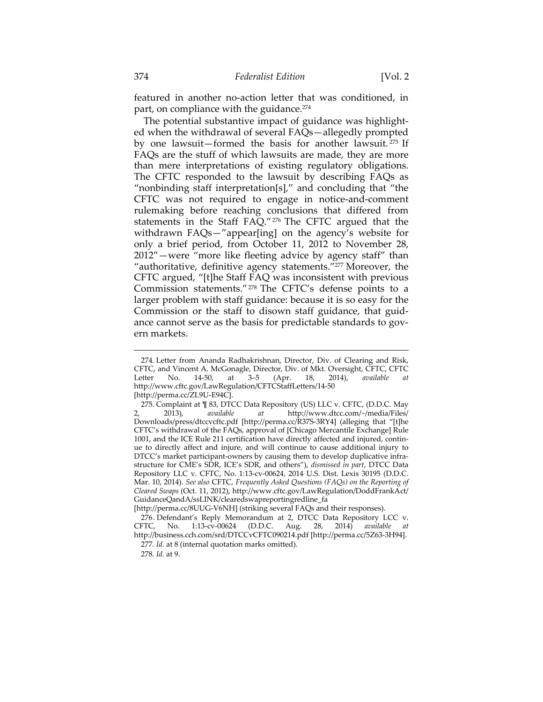featured in another no-action letter that was conditioned, in part, on compliance with the guidance.<sup>274</sup>

The potential substantive impact of guidance was highlighted when the withdrawal of several FAQs—allegedly prompted by one lawsuit—formed the basis for another lawsuit. 275 If FAQs are the stuff of which lawsuits are made, they are more than mere interpretations of existing regulatory obligations. The CFTC responded to the lawsuit by describing FAQs as "nonbinding staff interpretation[s]," and concluding that "the CFTC was not required to engage in notice-and-comment rulemaking before reaching conclusions that differed from statements in the Staff FAQ."276 The CFTC argued that the withdrawn FAQs—"appear[ing] on the agency's website for only a brief period, from October 11, 2012 to November 28, 2012"—were "more like fleeting advice by agency staff" than "authoritative, definitive agency statements."<sup>277</sup> Moreover, the CFTC argued, "[t]he Staff FAQ was inconsistent with previous Commission statements."278 The CFTC's defense points to a larger problem with staff guidance: because it is so easy for the Commission or the staff to disown staff guidance, that guidance cannot serve as the basis for predictable standards to govern markets.

<sup>274.</sup> Letter from Ananda Radhakrishnan, Director, Div. of Clearing and Risk, CFTC, and Vincent A. McGonagle, Director, Div. of Mkt. Oversight, CFTC, CFTC<br>Letter No. 14-50, at 3–5 (Apr. 18, 2014), available at Letter No. 14-50, at 3–5 (Apr. 18, 2014), *available at* http://www.cftc.gov/LawRegulation/CFTCStaffLetters/14-50 [http://perma.cc/ZL9U-E94C].

<sup>275.</sup> Complaint at ¶ 83, DTCC Data Repository (US) LLC v. CFTC, (D.D.C. May 2, 2013), available at http://www.dtcc.com/~/media/Files/ 2, 2013), *available at* http://www.dtcc.com/~/media/Files/ Downloads/press/dtccvcftc.pdf [http://perma.cc/R37S-3RY4] (alleging that "[t]he CFTC's withdrawal of the FAQs, approval of [Chicago Mercantile Exchange] Rule 1001, and the ICE Rule 211 certification have directly affected and injured, continue to directly affect and injure, and will continue to cause additional injury to DTCC's market participant-owners by causing them to develop duplicative infrastructure for CME's SDR, ICE's SDR, and others"), *dismissed in part*, DTCC Data Repository LLC v. CFTC, No. 1:13-cv-00624, 2014 U.S. Dist. Lexis 30195 (D.D.C. Mar. 10, 2014). *See also* CFTC, *Frequently Asked Questions (FAQs) on the Reporting of Cleared Swaps* (Oct. 11, 2012), http://www.cftc.gov/LawRegulation/DoddFrankAct/ GuidanceQandA/ssLINK/clearedswapreportingredline\_fa

<sup>[</sup>http://perma.cc/8UUG-V6NH] (striking several FAQs and their responses).

 <sup>276.</sup> Defendant's Reply Memorandum at 2, DTCC Data Repository LCC v. CFTC, No. 1:13-cv-00624 (D.D.C. Aug. 28, 2014) *available at* http://business.cch.com/srd/DTCCvCFTC090214.pdf [http://perma.cc/5Z63-3H94].

<sup>277</sup>*. Id.* at 8 (internal quotation marks omitted).

<sup>278</sup>*. Id.* at 9.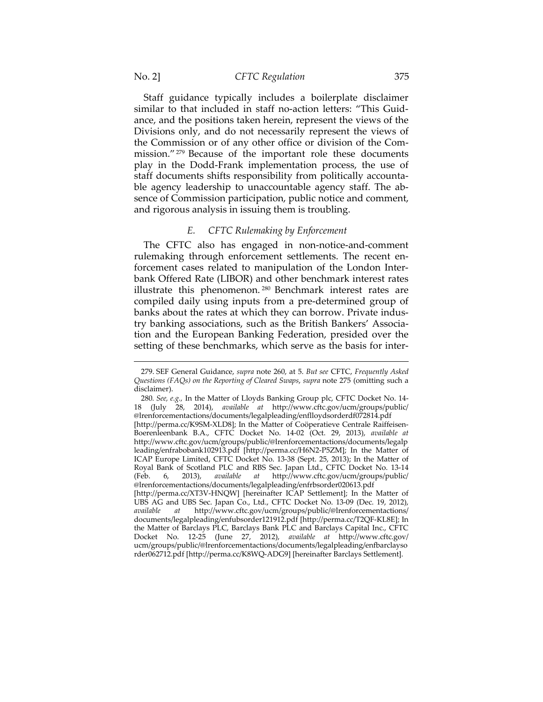Staff guidance typically includes a boilerplate disclaimer similar to that included in staff no-action letters: "This Guidance, and the positions taken herein, represent the views of the Divisions only, and do not necessarily represent the views of the Commission or of any other office or division of the Commission."279 Because of the important role these documents play in the Dodd-Frank implementation process, the use of staff documents shifts responsibility from politically accountable agency leadership to unaccountable agency staff. The absence of Commission participation, public notice and comment, and rigorous analysis in issuing them is troubling.

## *E. CFTC Rulemaking by Enforcement*

The CFTC also has engaged in non-notice-and-comment rulemaking through enforcement settlements. The recent enforcement cases related to manipulation of the London Interbank Offered Rate (LIBOR) and other benchmark interest rates illustrate this phenomenon.<sup>280</sup> Benchmark interest rates are compiled daily using inputs from a pre-determined group of banks about the rates at which they can borrow. Private industry banking associations, such as the British Bankers' Association and the European Banking Federation, presided over the setting of these benchmarks, which serve as the basis for inter-

rder062712.pdf [http://perma.cc/K8WQ-ADG9] [hereinafter Barclays Settlement].

<sup>279.</sup> SEF General Guidance, *supra* note 260, at 5. *But see* CFTC, *Frequently Asked Questions (FAQs) on the Reporting of Cleared Swaps*, *supra* note 275 (omitting such a disclaimer).

<sup>280</sup>*. See, e.g.,* In the Matter of Lloyds Banking Group plc, CFTC Docket No. 14- 18 (July 28, 2014), *available at* http://www.cftc.gov/ucm/groups/public/ @lrenforcementactions/documents/legalpleading/enflloydsorderdf072814.pdf [http://perma.cc/K9SM-XLD8]; In the Matter of Coöperatieve Centrale Raiffeisen-Boerenleenbank B.A., CFTC Docket No. 14-02 (Oct. 29, 2013), *available at*  http://www.cftc.gov/ucm/groups/public/@lrenforcementactions/documents/legalp leading/enfrabobank102913.pdf [http://perma.cc/H6N2-P5ZM]; In the Matter of ICAP Europe Limited, CFTC Docket No. 13-38 (Sept. 25, 2013); In the Matter of Royal Bank of Scotland PLC and RBS Sec. Japan Ltd., CFTC Docket No. 13-14 (Feb. 6, 2013), available at http://www.cftc.gov/ucm/groups/public/ (Feb. 6, 2013), *available at* http://www.cftc.gov/ucm/groups/public/ @lrenforcementactions/documents/legalpleading/enfrbsorder020613.pdf [http://perma.cc/XT3V-HNQW] [hereinafter ICAP Settlement]; In the Matter of UBS AG and UBS Sec. Japan Co., Ltd., CFTC Docket No. 13-09 (Dec. 19, 2012), *available* at http://www.cftc.gov/ucm/groups/public/@lrenforcementactions/ *available at* http://www.cftc.gov/ucm/groups/public/@lrenforcementactions/ documents/legalpleading/enfubsorder121912.pdf [http://perma.cc/T2QF-KL8E]; In the Matter of Barclays PLC, Barclays Bank PLC and Barclays Capital Inc., CFTC Docket No. 12-25 (June 27, 2012), *available at* http://www.cftc.gov/ ucm/groups/public/@lrenforcementactions/documents/legalpleading/enfbarclayso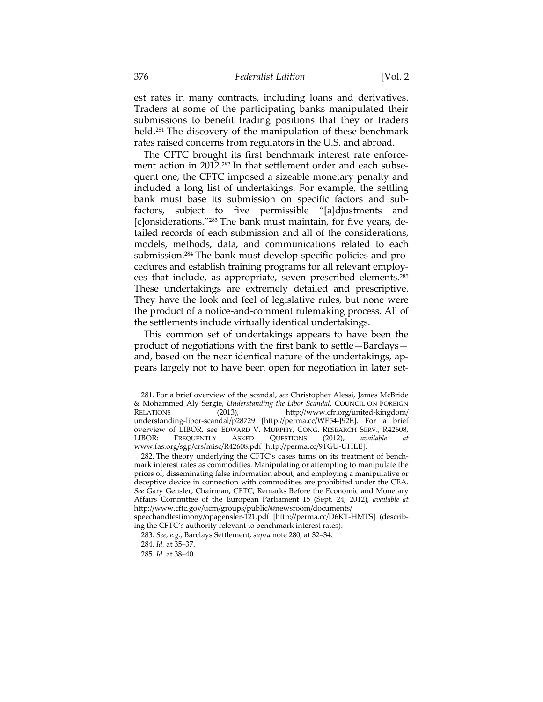est rates in many contracts, including loans and derivatives. Traders at some of the participating banks manipulated their submissions to benefit trading positions that they or traders held.<sup>281</sup> The discovery of the manipulation of these benchmark rates raised concerns from regulators in the U.S. and abroad.

The CFTC brought its first benchmark interest rate enforcement action in 2012.<sup>282</sup> In that settlement order and each subsequent one, the CFTC imposed a sizeable monetary penalty and included a long list of undertakings. For example, the settling bank must base its submission on specific factors and subfactors, subject to five permissible "[a]djustments and [c]onsiderations."283 The bank must maintain, for five years, detailed records of each submission and all of the considerations, models, methods, data, and communications related to each submission.284 The bank must develop specific policies and procedures and establish training programs for all relevant employees that include, as appropriate, seven prescribed elements.285 These undertakings are extremely detailed and prescriptive. They have the look and feel of legislative rules, but none were the product of a notice-and-comment rulemaking process. All of the settlements include virtually identical undertakings.

This common set of undertakings appears to have been the product of negotiations with the first bank to settle—Barclays and, based on the near identical nature of the undertakings, appears largely not to have been open for negotiation in later set-

<sup>281.</sup> For a brief overview of the scandal, *see* Christopher Alessi, James McBride & Mohammed Aly Sergie, *Understanding the Libor Scandal*, COUNCIL ON FOREIGN (2013), http://www.cfr.org/united-kingdom/ understanding-libor-scandal/p28729 [http://perma.cc/WE54-J92E]. For a brief overview of LIBOR, see EDWARD V. MURPHY, CONG. RESEARCH SERV., R42608,<br>LIBOR: FREQUENTLY ASKED QUESTIONS (2012), available at FREQUENTLY ASKED QUESTIONS (2012), *available at* www.fas.org/sgp/crs/misc/R42608.pdf [http://perma.cc/9TGU-UHLE].

 <sup>282.</sup> The theory underlying the CFTC's cases turns on its treatment of benchmark interest rates as commodities. Manipulating or attempting to manipulate the prices of, disseminating false information about, and employing a manipulative or deceptive device in connection with commodities are prohibited under the CEA. *See* Gary Gensler, Chairman, CFTC, Remarks Before the Economic and Monetary Affairs Committee of the European Parliament 15 (Sept. 24, 2012), *available at*  http://www.cftc.gov/ucm/groups/public/@newsroom/documents/

speechandtestimony/opagensler-121.pdf [http://perma.cc/D6KT-HMTS] (describing the CFTC's authority relevant to benchmark interest rates).

<sup>283</sup>*. See, e.g.*, Barclays Settlement, *supra* note 280, at 32–34.

<sup>284</sup>*. Id.* at 35–37.

<sup>285</sup>*. Id.* at 38–40.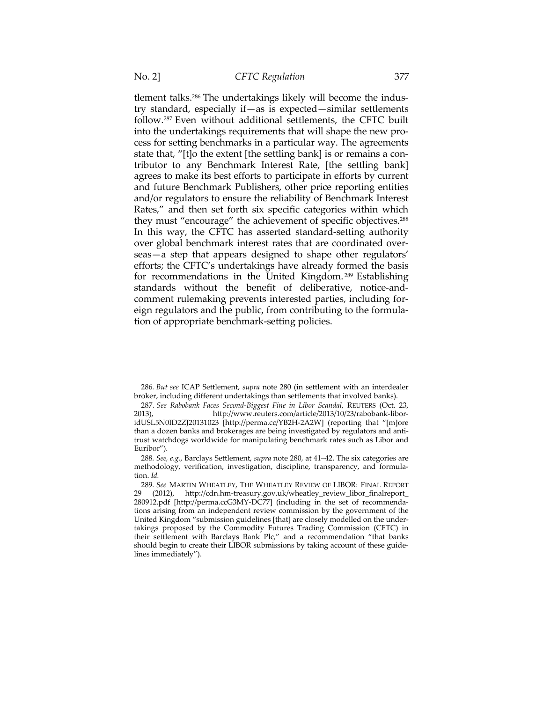$\overline{a}$ 

tlement talks.286 The undertakings likely will become the industry standard, especially if—as is expected—similar settlements follow.287 Even without additional settlements, the CFTC built into the undertakings requirements that will shape the new process for setting benchmarks in a particular way. The agreements state that, "[t]o the extent [the settling bank] is or remains a contributor to any Benchmark Interest Rate, [the settling bank] agrees to make its best efforts to participate in efforts by current and future Benchmark Publishers, other price reporting entities and/or regulators to ensure the reliability of Benchmark Interest Rates," and then set forth six specific categories within which they must "encourage" the achievement of specific objectives.288 In this way, the CFTC has asserted standard-setting authority over global benchmark interest rates that are coordinated overseas—a step that appears designed to shape other regulators' efforts; the CFTC's undertakings have already formed the basis for recommendations in the United Kingdom. 289 Establishing standards without the benefit of deliberative, notice-andcomment rulemaking prevents interested parties, including foreign regulators and the public, from contributing to the formulation of appropriate benchmark-setting policies.

<sup>286</sup>*. But see* ICAP Settlement, *supra* note 280 (in settlement with an interdealer broker, including different undertakings than settlements that involved banks).

<sup>287</sup>*. See Rabobank Faces Second-Biggest Fine in Libor Scandal*, REUTERS (Oct. 23, 2013), http://www.reuters.com/article/2013/10/23/rabobank-liboridUSL5N0ID2ZJ20131023 [http://perma.cc/YB2H-2A2W] (reporting that "[m]ore than a dozen banks and brokerages are being investigated by regulators and antitrust watchdogs worldwide for manipulating benchmark rates such as Libor and Euribor").

<sup>288</sup>*. See, e.g.*, Barclays Settlement, *supra* note 280, at 41–42. The six categories are methodology, verification, investigation, discipline, transparency, and formulation. *Id.*

<sup>289</sup>*. See* MARTIN WHEATLEY, THE WHEATLEY REVIEW OF LIBOR: FINAL REPORT (2012), http://cdn.hm-treasury.gov.uk/wheatley\_review\_libor\_finalreport\_ 280912.pdf [http://perma.ccG3MY-DC77] (including in the set of recommendations arising from an independent review commission by the government of the United Kingdom "submission guidelines [that] are closely modelled on the undertakings proposed by the Commodity Futures Trading Commission (CFTC) in their settlement with Barclays Bank Plc," and a recommendation "that banks should begin to create their LIBOR submissions by taking account of these guidelines immediately").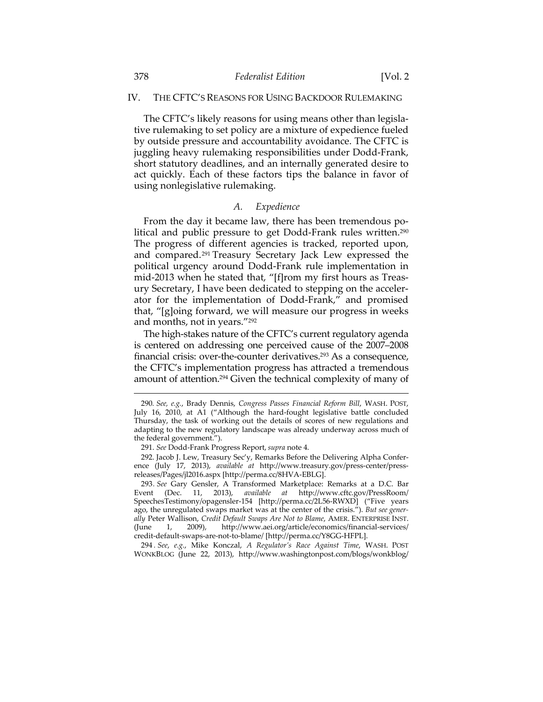### IV. THE CFTC'S REASONS FOR USING BACKDOOR RULEMAKING

The CFTC's likely reasons for using means other than legislative rulemaking to set policy are a mixture of expedience fueled by outside pressure and accountability avoidance. The CFTC is juggling heavy rulemaking responsibilities under Dodd-Frank, short statutory deadlines, and an internally generated desire to act quickly. Each of these factors tips the balance in favor of using nonlegislative rulemaking.

## *A. Expedience*

From the day it became law, there has been tremendous political and public pressure to get Dodd-Frank rules written.<sup>290</sup> The progress of different agencies is tracked, reported upon, and compared.291 Treasury Secretary Jack Lew expressed the political urgency around Dodd-Frank rule implementation in mid-2013 when he stated that, "[f]rom my first hours as Treasury Secretary, I have been dedicated to stepping on the accelerator for the implementation of Dodd-Frank," and promised that, "[g]oing forward, we will measure our progress in weeks and months, not in years."292

The high-stakes nature of the CFTC's current regulatory agenda is centered on addressing one perceived cause of the 2007–2008 financial crisis: over-the-counter derivatives.<sup>293</sup> As a consequence, the CFTC's implementation progress has attracted a tremendous amount of attention.294 Given the technical complexity of many of

<sup>290</sup>*. See, e.g.*, Brady Dennis, *Congress Passes Financial Reform Bill*, WASH. POST, July 16, 2010, at A1 ("Although the hard-fought legislative battle concluded Thursday, the task of working out the details of scores of new regulations and adapting to the new regulatory landscape was already underway across much of the federal government.").

 <sup>291.</sup> *See* Dodd-Frank Progress Report, *supra* note 4.

 <sup>292.</sup> Jacob J. Lew, Treasury Sec'y, Remarks Before the Delivering Alpha Conference (July 17, 2013), *available at* http://www.treasury.gov/press-center/pressreleases/Pages/jl2016.aspx [http://perma.cc/8HVA-EBLG].

<sup>293</sup>*. See* Gary Gensler, A Transformed Marketplace: Remarks at a D.C. Bar Event (Dec. 11, 2013), *available at* http://www.cftc.gov/PressRoom/ SpeechesTestimony/opagensler-154 [http://perma.cc/2L56-RWXD] ("Five years ago, the unregulated swaps market was at the center of the crisis."). *But see generally* Peter Wallison, *Credit Default Swaps Are Not to Blame*, AMER. ENTERPRISE INST. (June 1, 2009), http://www.aei.org/article/economics/financial-services/ credit-default-swaps-are-not-to-blame/ [http://perma.cc/Y8GG-HFPL].

<sup>294</sup> *. See*, *e.g.*, Mike Konczal, *A Regulator's Race Against Time*, WASH. POST WONKBLOG (June 22, 2013), http://www.washingtonpost.com/blogs/wonkblog/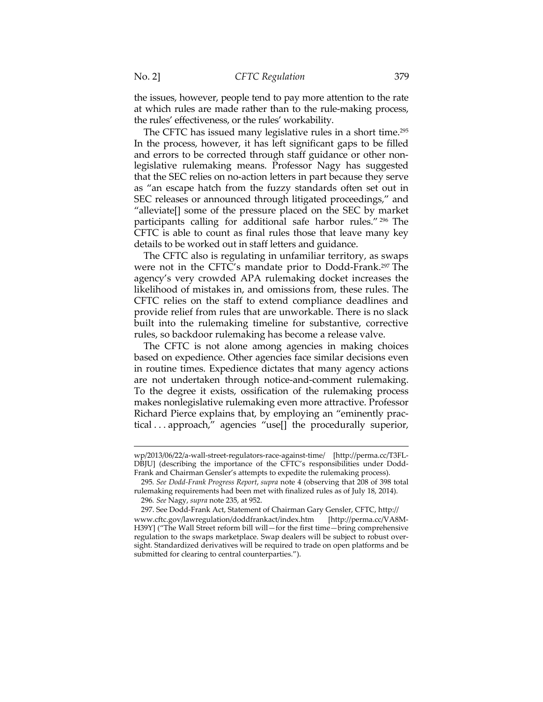the issues, however, people tend to pay more attention to the rate at which rules are made rather than to the rule-making process, the rules' effectiveness, or the rules' workability.

The CFTC has issued many legislative rules in a short time.295 In the process, however, it has left significant gaps to be filled and errors to be corrected through staff guidance or other nonlegislative rulemaking means. Professor Nagy has suggested that the SEC relies on no-action letters in part because they serve as "an escape hatch from the fuzzy standards often set out in SEC releases or announced through litigated proceedings," and "alleviate[] some of the pressure placed on the SEC by market participants calling for additional safe harbor rules." 296 The CFTC is able to count as final rules those that leave many key details to be worked out in staff letters and guidance.

The CFTC also is regulating in unfamiliar territory, as swaps were not in the CFTC's mandate prior to Dodd-Frank.297 The agency's very crowded APA rulemaking docket increases the likelihood of mistakes in, and omissions from, these rules. The CFTC relies on the staff to extend compliance deadlines and provide relief from rules that are unworkable. There is no slack built into the rulemaking timeline for substantive, corrective rules, so backdoor rulemaking has become a release valve.

The CFTC is not alone among agencies in making choices based on expedience. Other agencies face similar decisions even in routine times. Expedience dictates that many agency actions are not undertaken through notice-and-comment rulemaking. To the degree it exists, ossification of the rulemaking process makes nonlegislative rulemaking even more attractive. Professor Richard Pierce explains that, by employing an "eminently practical . . . approach," agencies "use[] the procedurally superior,

wp/2013/06/22/a-wall-street-regulators-race-against-time/ [http://perma.cc/T3FL-DBJU] (describing the importance of the CFTC's responsibilities under Dodd-Frank and Chairman Gensler's attempts to expedite the rulemaking process).

<sup>295</sup>*. See Dodd-Frank Progress Report*, *supra* note 4 (observing that 208 of 398 total rulemaking requirements had been met with finalized rules as of July 18, 2014).

<sup>296</sup>*. See* Nagy, *supra* note 235, at 952.

 <sup>297.</sup> See Dodd-Frank Act, Statement of Chairman Gary Gensler, CFTC, http:// www.cftc.gov/lawregulation/doddfrankact/index.htm [http://perma.cc/VA8M-H39Y] ("The Wall Street reform bill will—for the first time—bring comprehensive regulation to the swaps marketplace. Swap dealers will be subject to robust oversight. Standardized derivatives will be required to trade on open platforms and be submitted for clearing to central counterparties.").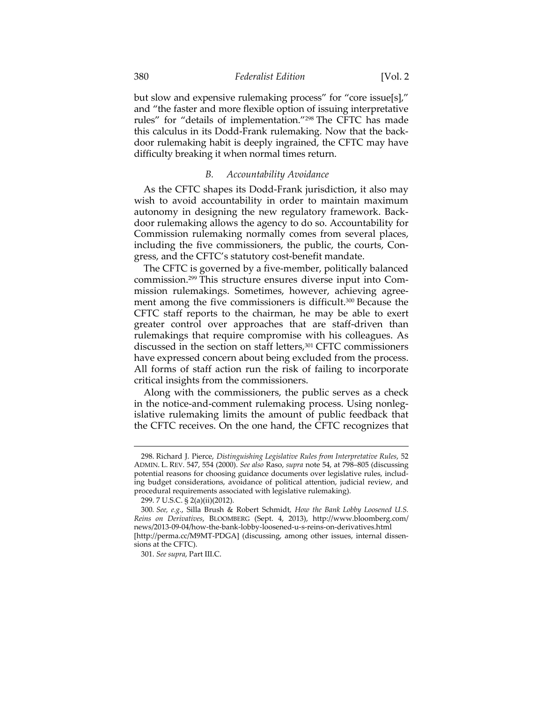but slow and expensive rulemaking process" for "core issue[s]," and "the faster and more flexible option of issuing interpretative rules" for "details of implementation."298 The CFTC has made this calculus in its Dodd-Frank rulemaking. Now that the backdoor rulemaking habit is deeply ingrained, the CFTC may have difficulty breaking it when normal times return.

### *B. Accountability Avoidance*

As the CFTC shapes its Dodd-Frank jurisdiction, it also may wish to avoid accountability in order to maintain maximum autonomy in designing the new regulatory framework. Backdoor rulemaking allows the agency to do so. Accountability for Commission rulemaking normally comes from several places, including the five commissioners, the public, the courts, Congress, and the CFTC's statutory cost-benefit mandate.

The CFTC is governed by a five-member, politically balanced commission.299 This structure ensures diverse input into Commission rulemakings. Sometimes, however, achieving agreement among the five commissioners is difficult.300 Because the CFTC staff reports to the chairman, he may be able to exert greater control over approaches that are staff-driven than rulemakings that require compromise with his colleagues. As discussed in the section on staff letters,<sup>301</sup> CFTC commissioners have expressed concern about being excluded from the process. All forms of staff action run the risk of failing to incorporate critical insights from the commissioners.

Along with the commissioners, the public serves as a check in the notice-and-comment rulemaking process. Using nonlegislative rulemaking limits the amount of public feedback that the CFTC receives. On the one hand, the CFTC recognizes that

<sup>298.</sup> Richard J. Pierce, *Distinguishing Legislative Rules from Interpretative Rules*, 52 ADMIN. L. REV. 547, 554 (2000). *See also* Raso, *supra* note 54, at 798–805 (discussing potential reasons for choosing guidance documents over legislative rules, including budget considerations, avoidance of political attention, judicial review, and procedural requirements associated with legislative rulemaking).

 <sup>299. 7</sup> U.S.C. § 2(a)(ii)(2012).

<sup>300</sup>*. See, e.g.*, Silla Brush & Robert Schmidt, *How the Bank Lobby Loosened U.S. Reins on Derivatives*, BLOOMBERG (Sept. 4, 2013), http://www.bloomberg.com/ news/2013-09-04/how-the-bank-lobby-loosened-u-s-reins-on-derivatives.html [http://perma.cc/M9MT-PDGA] (discussing, among other issues, internal dissensions at the CFTC).

 <sup>301.</sup> *See supra*, Part III.C.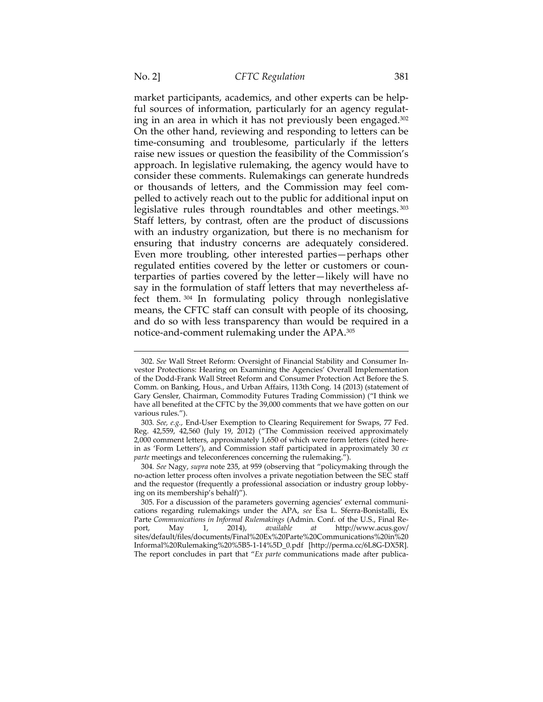$\overline{a}$ 

market participants, academics, and other experts can be helpful sources of information, particularly for an agency regulating in an area in which it has not previously been engaged.302 On the other hand, reviewing and responding to letters can be time-consuming and troublesome, particularly if the letters raise new issues or question the feasibility of the Commission's approach. In legislative rulemaking, the agency would have to consider these comments. Rulemakings can generate hundreds or thousands of letters, and the Commission may feel compelled to actively reach out to the public for additional input on legislative rules through roundtables and other meetings.<sup>303</sup> Staff letters, by contrast, often are the product of discussions with an industry organization, but there is no mechanism for ensuring that industry concerns are adequately considered. Even more troubling, other interested parties—perhaps other regulated entities covered by the letter or customers or counterparties of parties covered by the letter—likely will have no say in the formulation of staff letters that may nevertheless affect them. 304 In formulating policy through nonlegislative means, the CFTC staff can consult with people of its choosing, and do so with less transparency than would be required in a notice-and-comment rulemaking under the APA.305

<sup>302.</sup> *See* Wall Street Reform: Oversight of Financial Stability and Consumer Investor Protections: Hearing on Examining the Agencies' Overall Implementation of the Dodd-Frank Wall Street Reform and Consumer Protection Act Before the S. Comm. on Banking, Hous., and Urban Affairs, 113th Cong. 14 (2013) (statement of Gary Gensler, Chairman, Commodity Futures Trading Commission) ("I think we have all benefited at the CFTC by the 39,000 comments that we have gotten on our various rules.").

<sup>303</sup>*. See, e.g.*, End-User Exemption to Clearing Requirement for Swaps, 77 Fed. Reg. 42,559, 42,560 (July 19, 2012) ("The Commission received approximately 2,000 comment letters, approximately 1,650 of which were form letters (cited herein as 'Form Letters'), and Commission staff participated in approximately 30 *ex parte* meetings and teleconferences concerning the rulemaking.").

<sup>304</sup>*. See* Nagy, *supra* note 235, at 959 (observing that "policymaking through the no-action letter process often involves a private negotiation between the SEC staff and the requestor (frequently a professional association or industry group lobbying on its membership's behalf)").

 <sup>305.</sup> For a discussion of the parameters governing agencies' external communications regarding rulemakings under the APA, *see* Esa L. Sferra-Bonistalli, Ex Parte *Communications in Informal Rulemakings* (Admin. Conf. of the U.S., Final Report, May 1, 2014), *available at* http://www.acus.gov/ port, May 1, 2014), *available at* http://www.acus.gov/ sites/default/files/documents/Final%20Ex%20Parte%20Communications%20in%20 Informal%20Rulemaking%20%5B5-1-14%5D\_0.pdf [http://perma.cc/6L8G-DX5R]. The report concludes in part that "*Ex parte* communications made after publica-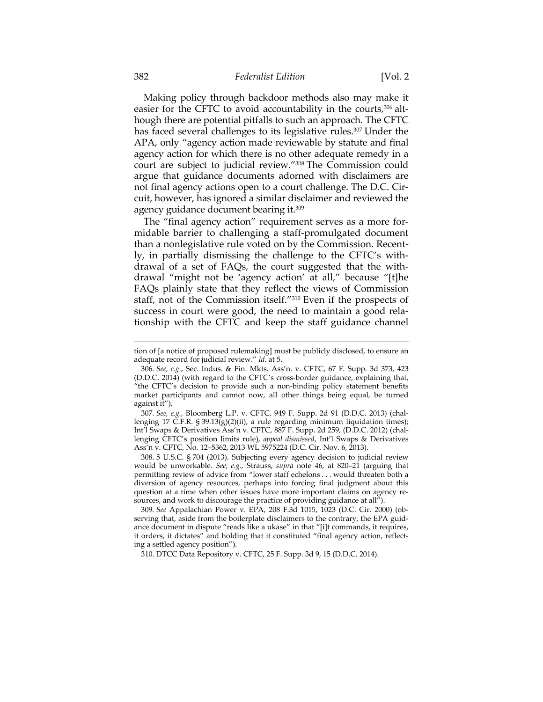Making policy through backdoor methods also may make it easier for the CFTC to avoid accountability in the courts,<sup>306</sup> although there are potential pitfalls to such an approach. The CFTC has faced several challenges to its legislative rules.<sup>307</sup> Under the APA, only "agency action made reviewable by statute and final agency action for which there is no other adequate remedy in a court are subject to judicial review."308 The Commission could argue that guidance documents adorned with disclaimers are not final agency actions open to a court challenge. The D.C. Circuit, however, has ignored a similar disclaimer and reviewed the agency guidance document bearing it.309

The "final agency action" requirement serves as a more formidable barrier to challenging a staff-promulgated document than a nonlegislative rule voted on by the Commission. Recently, in partially dismissing the challenge to the CFTC's withdrawal of a set of FAQs, the court suggested that the withdrawal "might not be 'agency action' at all," because "[t]he FAQs plainly state that they reflect the views of Commission staff, not of the Commission itself."310 Even if the prospects of success in court were good, the need to maintain a good relationship with the CFTC and keep the staff guidance channel

307*. See, e.g.*, Bloomberg L.P. v. CFTC, 949 F. Supp. 2d 91 (D.D.C. 2013) (challenging 17 C.F.R. § 39.13(g)(2)(ii), a rule regarding minimum liquidation times); Int'l Swaps & Derivatives Ass'n v. CFTC, 887 F. Supp. 2d 259, (D.D.C. 2012) (challenging CFTC's position limits rule), *appeal dismissed*, Int'l Swaps & Derivatives Ass'n v. CFTC, No. 12–5362, 2013 WL 5975224 (D.C. Cir. Nov. 6, 2013).

 308. 5 U.S.C. § 704 (2013). Subjecting every agency decision to judicial review would be unworkable. *See, e.g.*, Strauss, *supra* note 46, at 820–21 (arguing that permitting review of advice from "lower staff echelons . . . would threaten both a diversion of agency resources, perhaps into forcing final judgment about this question at a time when other issues have more important claims on agency resources, and work to discourage the practice of providing guidance at all").

309*. See* Appalachian Power v. EPA, 208 F.3d 1015, 1023 (D.C. Cir. 2000) (observing that, aside from the boilerplate disclaimers to the contrary, the EPA guidance document in dispute "reads like a ukase" in that "[i]t commands, it requires, it orders, it dictates" and holding that it constituted "final agency action, reflecting a settled agency position").

310. DTCC Data Repository v. CFTC, 25 F. Supp. 3d 9, 15 (D.D.C. 2014).

tion of [a notice of proposed rulemaking] must be publicly disclosed, to ensure an adequate record for judicial review." *Id.* at 5.

<sup>306</sup>*. See, e.g.*, Sec. Indus. & Fin. Mkts. Ass'n. v. CFTC, 67 F. Supp. 3d 373, 423 (D.D.C. 2014) (with regard to the CFTC's cross-border guidance, explaining that, "the CFTC's decision to provide such a non-binding policy statement benefits market participants and cannot now, all other things being equal, be turned against it").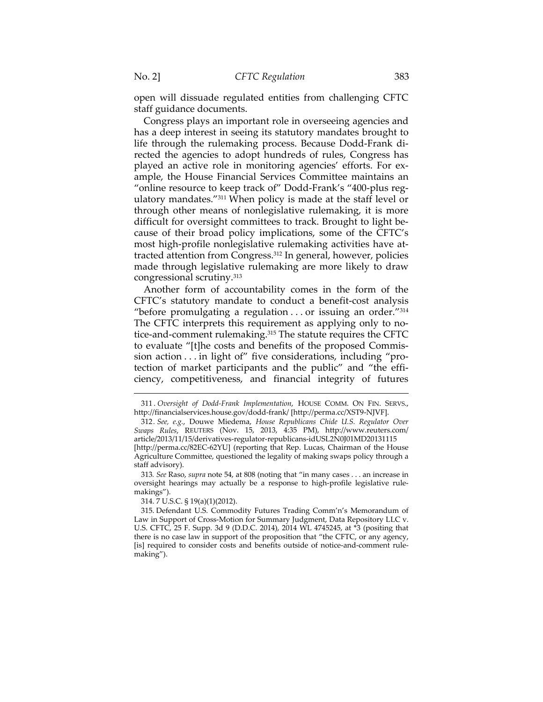open will dissuade regulated entities from challenging CFTC staff guidance documents.

Congress plays an important role in overseeing agencies and has a deep interest in seeing its statutory mandates brought to life through the rulemaking process. Because Dodd-Frank directed the agencies to adopt hundreds of rules, Congress has played an active role in monitoring agencies' efforts. For example, the House Financial Services Committee maintains an "online resource to keep track of" Dodd-Frank's "400-plus regulatory mandates."311 When policy is made at the staff level or through other means of nonlegislative rulemaking, it is more difficult for oversight committees to track. Brought to light because of their broad policy implications, some of the CFTC's most high-profile nonlegislative rulemaking activities have attracted attention from Congress.312 In general, however, policies made through legislative rulemaking are more likely to draw congressional scrutiny.313

Another form of accountability comes in the form of the CFTC's statutory mandate to conduct a benefit-cost analysis "before promulgating a regulation . . . or issuing an order."314 The CFTC interprets this requirement as applying only to notice-and-comment rulemaking.315 The statute requires the CFTC to evaluate "[t]he costs and benefits of the proposed Commission action . . . in light of" five considerations, including "protection of market participants and the public" and "the efficiency, competitiveness, and financial integrity of futures

<sup>311 .</sup> *Oversight of Dodd-Frank Implementation*, HOUSE COMM. ON FIN. SERVS., http://financialservices.house.gov/dodd-frank/ [http://perma.cc/XST9-NJVF].

<sup>312</sup>*. See, e.g.*, Douwe Miedema, *House Republicans Chide U.S. Regulator Over Swaps Rules*, REUTERS (Nov. 15, 2013, 4:35 PM), http://www.reuters.com/ article/2013/11/15/derivatives-regulator-republicans-idUSL2N0J01MD20131115 [http://perma.cc/82EC-62YU] (reporting that Rep. Lucas, Chairman of the House Agriculture Committee, questioned the legality of making swaps policy through a staff advisory).

<sup>313</sup>*. See* Raso, *supra* note 54, at 808 (noting that "in many cases . . . an increase in oversight hearings may actually be a response to high-profile legislative rulemakings").

 <sup>314. 7</sup> U.S.C. § 19(a)(1)(2012).

 <sup>315.</sup> Defendant U.S. Commodity Futures Trading Comm'n's Memorandum of Law in Support of Cross-Motion for Summary Judgment, Data Repository LLC v. U.S. CFTC, 25 F. Supp. 3d 9 (D.D.C. 2014), 2014 WL 4745245, at \*3 (positing that there is no case law in support of the proposition that "the CFTC, or any agency, [is] required to consider costs and benefits outside of notice-and-comment rulemaking").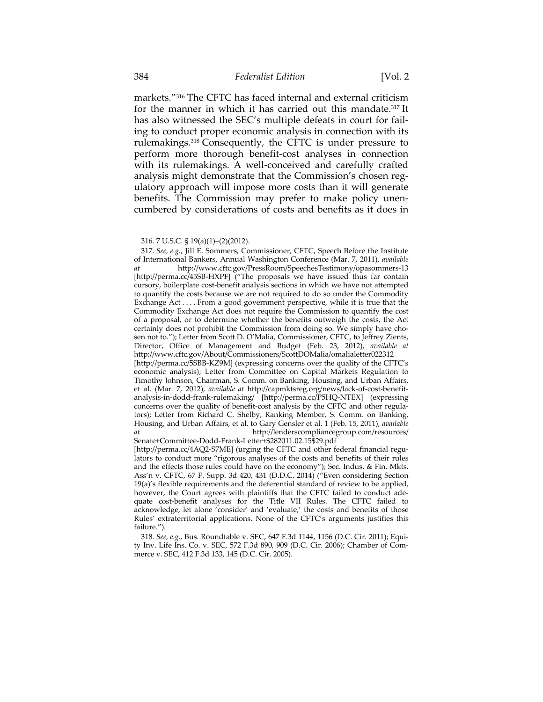markets."316 The CFTC has faced internal and external criticism for the manner in which it has carried out this mandate.317 It has also witnessed the SEC's multiple defeats in court for failing to conduct proper economic analysis in connection with its rulemakings.318 Consequently, the CFTC is under pressure to perform more thorough benefit-cost analyses in connection with its rulemakings. A well-conceived and carefully crafted analysis might demonstrate that the Commission's chosen regulatory approach will impose more costs than it will generate benefits. The Commission may prefer to make policy unencumbered by considerations of costs and benefits as it does in

<sup>316. 7</sup> U.S.C. § 19(a)(1)–(2)(2012).

<sup>317</sup>*. See, e.g.*, Jill E. Sommers, Commissioner, CFTC, Speech Before the Institute of International Bankers, Annual Washington Conference (Mar. 7, 2011), *available at* http://www.cftc.gov/PressRoom/SpeechesTestimony/opasommers-13 [http://perma.cc/45SB-HXPF] ("The proposals we have issued thus far contain cursory, boilerplate cost-benefit analysis sections in which we have not attempted to quantify the costs because we are not required to do so under the Commodity Exchange Act . . . . From a good government perspective, while it is true that the Commodity Exchange Act does not require the Commission to quantify the cost of a proposal, or to determine whether the benefits outweigh the costs, the Act certainly does not prohibit the Commission from doing so. We simply have chosen not to."); Letter from Scott D. O'Malia, Commissioner, CFTC, to Jeffrey Zients, Director, Office of Management and Budget (Feb. 23, 2012), *available at* http://www.cftc.gov/About/Commissioners/ScottDOMalia/omalialetter022312 [http://perma.cc/5SBB-KZ9M] (expressing concerns over the quality of the CFTC's economic analysis); Letter from Committee on Capital Markets Regulation to Timothy Johnson, Chairman, S. Comm. on Banking, Housing, and Urban Affairs, et al. (Mar. 7, 2012), *available at* http://capmktsreg.org/news/lack-of-cost-benefitanalysis-in-dodd-frank-rulemaking/ [http://perma.cc/P5HQ-NTEX] (expressing concerns over the quality of benefit-cost analysis by the CFTC and other regulators); Letter from Richard C. Shelby, Ranking Member, S. Comm. on Banking, Housing, and Urban Affairs, et al. to Gary Gensler et al. 1 (Feb. 15, 2011), *available at* http://lenderscompliancegroup.com/resources/ Senate+Committee-Dodd-Frank-Letter+\$282011.02.15\$29.pdf

<sup>[</sup>http://perma.cc/4AQ2-S7ME] (urging the CFTC and other federal financial regulators to conduct more "rigorous analyses of the costs and benefits of their rules and the effects those rules could have on the economy"); Sec. Indus. & Fin. Mkts. Ass'n v. CFTC, 67 F. Supp. 3d 420, 431 (D.D.C. 2014) ("Even considering Section 19(a)'s flexible requirements and the deferential standard of review to be applied, however, the Court agrees with plaintiffs that the CFTC failed to conduct adequate cost-benefit analyses for the Title VII Rules. The CFTC failed to acknowledge, let alone 'consider' and 'evaluate,' the costs and benefits of those Rules' extraterritorial applications. None of the CFTC's arguments justifies this failure.").

<sup>318</sup>*. See, e.g.*, Bus. Roundtable v. SEC, 647 F.3d 1144, 1156 (D.C. Cir. 2011); Equity Inv. Life Ins. Co. v. SEC, 572 F.3d 890, 909 (D.C. Cir. 2006); Chamber of Commerce v. SEC, 412 F.3d 133, 145 (D.C. Cir. 2005).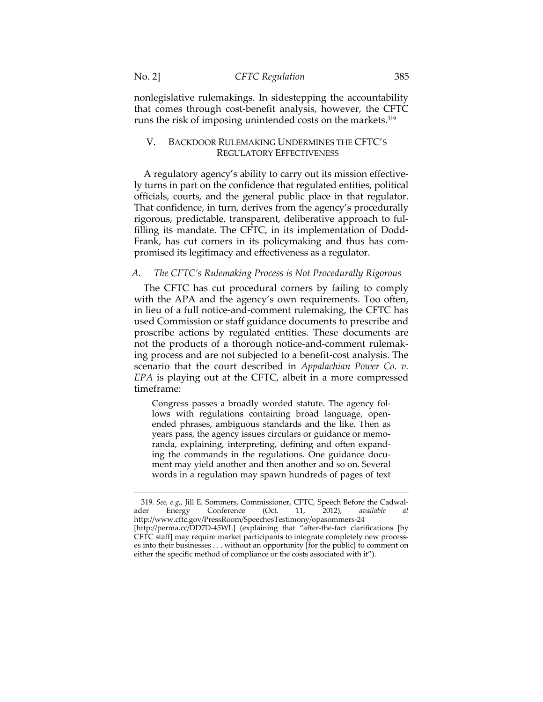$\overline{a}$ 

nonlegislative rulemakings. In sidestepping the accountability that comes through cost-benefit analysis, however, the CFTC runs the risk of imposing unintended costs on the markets.319

## V. BACKDOOR RULEMAKING UNDERMINES THE CFTC'S REGULATORY EFFECTIVENESS

A regulatory agency's ability to carry out its mission effectively turns in part on the confidence that regulated entities, political officials, courts, and the general public place in that regulator. That confidence, in turn, derives from the agency's procedurally rigorous, predictable, transparent, deliberative approach to fulfilling its mandate. The CFTC, in its implementation of Dodd-Frank, has cut corners in its policymaking and thus has compromised its legitimacy and effectiveness as a regulator.

## *A. The CFTC's Rulemaking Process is Not Procedurally Rigorous*

The CFTC has cut procedural corners by failing to comply with the APA and the agency's own requirements. Too often, in lieu of a full notice-and-comment rulemaking, the CFTC has used Commission or staff guidance documents to prescribe and proscribe actions by regulated entities. These documents are not the products of a thorough notice-and-comment rulemaking process and are not subjected to a benefit-cost analysis. The scenario that the court described in *Appalachian Power Co. v. EPA* is playing out at the CFTC, albeit in a more compressed timeframe:

Congress passes a broadly worded statute. The agency follows with regulations containing broad language, openended phrases, ambiguous standards and the like. Then as years pass, the agency issues circulars or guidance or memoranda, explaining, interpreting, defining and often expanding the commands in the regulations. One guidance document may yield another and then another and so on. Several words in a regulation may spawn hundreds of pages of text

<sup>319</sup>*. See, e.g.*, Jill E. Sommers, Commissioner, CFTC, Speech Before the Cadwal-Energy Conference (Oct. 11, 2012), *available at* http://www.cftc.gov/PressRoom/SpeechesTestimony/opasommers-24 [http://perma.cc/DD7D-45WL] (explaining that "after-the-fact clarifications [by CFTC staff] may require market participants to integrate completely new processes into their businesses . . . without an opportunity [for the public] to comment on either the specific method of compliance or the costs associated with it").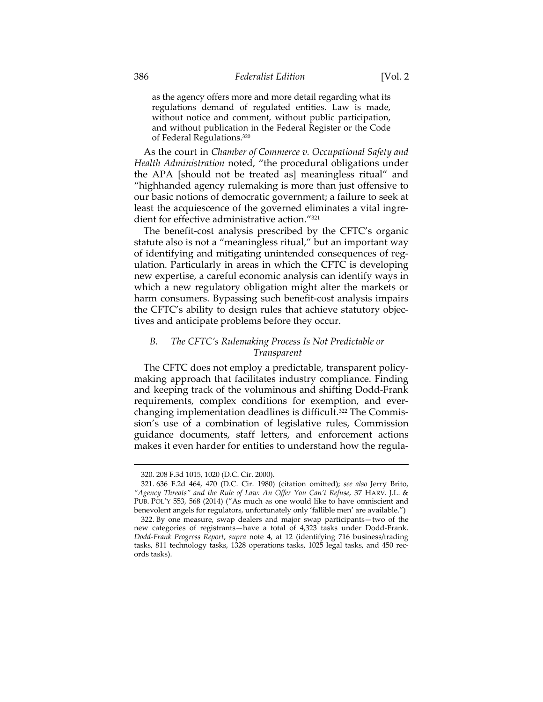as the agency offers more and more detail regarding what its regulations demand of regulated entities. Law is made, without notice and comment, without public participation, and without publication in the Federal Register or the Code of Federal Regulations.320

As the court in *Chamber of Commerce v. Occupational Safety and Health Administration* noted, "the procedural obligations under the APA [should not be treated as] meaningless ritual" and "highhanded agency rulemaking is more than just offensive to our basic notions of democratic government; a failure to seek at least the acquiescence of the governed eliminates a vital ingredient for effective administrative action."321

The benefit-cost analysis prescribed by the CFTC's organic statute also is not a "meaningless ritual," but an important way of identifying and mitigating unintended consequences of regulation. Particularly in areas in which the CFTC is developing new expertise, a careful economic analysis can identify ways in which a new regulatory obligation might alter the markets or harm consumers. Bypassing such benefit-cost analysis impairs the CFTC's ability to design rules that achieve statutory objectives and anticipate problems before they occur.

## *B. The CFTC's Rulemaking Process Is Not Predictable or Transparent*

The CFTC does not employ a predictable, transparent policymaking approach that facilitates industry compliance. Finding and keeping track of the voluminous and shifting Dodd-Frank requirements, complex conditions for exemption, and everchanging implementation deadlines is difficult.<sup>322</sup> The Commission's use of a combination of legislative rules, Commission guidance documents, staff letters, and enforcement actions makes it even harder for entities to understand how the regula-

<sup>320. 208</sup> F.3d 1015, 1020 (D.C. Cir. 2000).

 <sup>321. 636</sup> F.2d 464, 470 (D.C. Cir. 1980) (citation omitted); *see also* Jerry Brito, *"Agency Threats" and the Rule of Law: An Offer You Can't Refuse*, 37 HARV. J.L. & PUB. POL'Y 553, 568 (2014) ("As much as one would like to have omniscient and benevolent angels for regulators, unfortunately only 'fallible men' are available.")

 <sup>322.</sup> By one measure, swap dealers and major swap participants—two of the new categories of registrants—have a total of 4,323 tasks under Dodd-Frank. *Dodd-Frank Progress Report*, *supra* note 4, at 12 (identifying 716 business/trading tasks, 811 technology tasks, 1328 operations tasks, 1025 legal tasks, and 450 records tasks).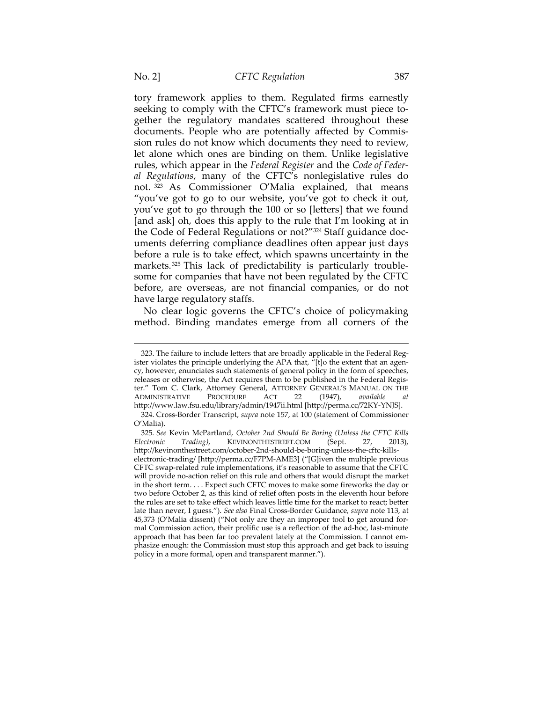tory framework applies to them. Regulated firms earnestly seeking to comply with the CFTC's framework must piece together the regulatory mandates scattered throughout these documents. People who are potentially affected by Commission rules do not know which documents they need to review, let alone which ones are binding on them. Unlike legislative rules, which appear in the *Federal Register* and the *Code of Federal Regulations*, many of the CFTC's nonlegislative rules do not. 323 As Commissioner O'Malia explained, that means "you've got to go to our website, you've got to check it out, you've got to go through the 100 or so [letters] that we found [and ask] oh, does this apply to the rule that I'm looking at in the Code of Federal Regulations or not?"324 Staff guidance documents deferring compliance deadlines often appear just days before a rule is to take effect, which spawns uncertainty in the markets.325 This lack of predictability is particularly troublesome for companies that have not been regulated by the CFTC before, are overseas, are not financial companies, or do not have large regulatory staffs.

No clear logic governs the CFTC's choice of policymaking method. Binding mandates emerge from all corners of the

<sup>323.</sup> The failure to include letters that are broadly applicable in the Federal Register violates the principle underlying the APA that, "[t]o the extent that an agency, however, enunciates such statements of general policy in the form of speeches, releases or otherwise, the Act requires them to be published in the Federal Register." Tom C. Clark, Attorney General, ATTORNEY GENERAL'S MANUAL ON THE ADMINISTRATIVE PROCEDURE ACT 22 (1947), *available at* http://www.law.fsu.edu/library/admin/1947ii.html [http://perma.cc/72KY-YNJS].

 <sup>324.</sup> Cross-Border Transcript, *supra* note 157, at 100 (statement of Commissioner O'Malia).

<sup>325</sup>*. See* Kevin McPartland, *October 2nd Should Be Boring (Unless the CFTC Kills Electronic Trading)*, KEVINONTHESTREET.COM (Sept. 27, 2013), http://kevinonthestreet.com/october-2nd-should-be-boring-unless-the-cftc-killselectronic-trading/ [http://perma.cc/F7PM-AME3] ("[G]iven the multiple previous CFTC swap-related rule implementations, it's reasonable to assume that the CFTC will provide no-action relief on this rule and others that would disrupt the market in the short term. . . . Expect such CFTC moves to make some fireworks the day or two before October 2, as this kind of relief often posts in the eleventh hour before the rules are set to take effect which leaves little time for the market to react; better late than never, I guess."). *See also* Final Cross-Border Guidance, *supra* note 113, at 45,373 (O'Malia dissent) ("Not only are they an improper tool to get around formal Commission action, their prolific use is a reflection of the ad-hoc, last-minute approach that has been far too prevalent lately at the Commission. I cannot emphasize enough: the Commission must stop this approach and get back to issuing policy in a more formal, open and transparent manner.").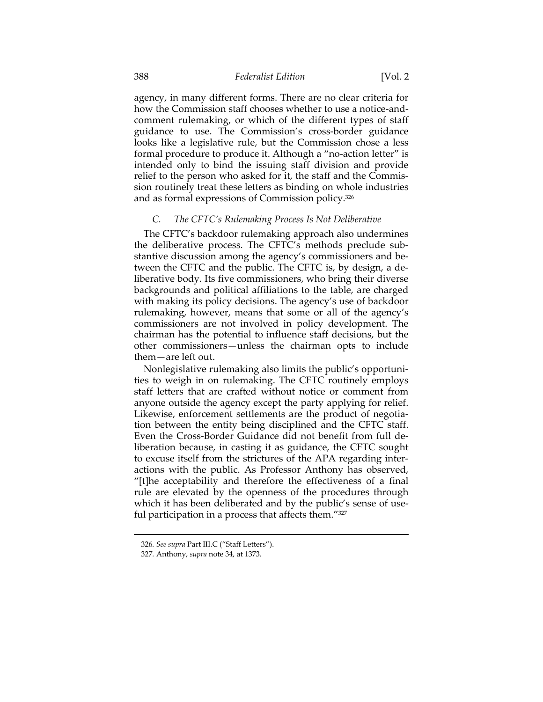agency, in many different forms. There are no clear criteria for how the Commission staff chooses whether to use a notice-andcomment rulemaking, or which of the different types of staff guidance to use. The Commission's cross-border guidance looks like a legislative rule, but the Commission chose a less formal procedure to produce it. Although a "no-action letter" is intended only to bind the issuing staff division and provide relief to the person who asked for it, the staff and the Commission routinely treat these letters as binding on whole industries and as formal expressions of Commission policy.326

## *C. The CFTC's Rulemaking Process Is Not Deliberative*

The CFTC's backdoor rulemaking approach also undermines the deliberative process. The CFTC's methods preclude substantive discussion among the agency's commissioners and between the CFTC and the public. The CFTC is, by design, a deliberative body. Its five commissioners, who bring their diverse backgrounds and political affiliations to the table, are charged with making its policy decisions. The agency's use of backdoor rulemaking, however, means that some or all of the agency's commissioners are not involved in policy development. The chairman has the potential to influence staff decisions, but the other commissioners—unless the chairman opts to include them—are left out.

Nonlegislative rulemaking also limits the public's opportunities to weigh in on rulemaking. The CFTC routinely employs staff letters that are crafted without notice or comment from anyone outside the agency except the party applying for relief. Likewise, enforcement settlements are the product of negotiation between the entity being disciplined and the CFTC staff. Even the Cross-Border Guidance did not benefit from full deliberation because, in casting it as guidance, the CFTC sought to excuse itself from the strictures of the APA regarding interactions with the public. As Professor Anthony has observed, "[t]he acceptability and therefore the effectiveness of a final rule are elevated by the openness of the procedures through which it has been deliberated and by the public's sense of useful participation in a process that affects them."327

<sup>326</sup>*. See supra* Part III.C ("Staff Letters").

<sup>327</sup>*.* Anthony, *supra* note 34, at 1373.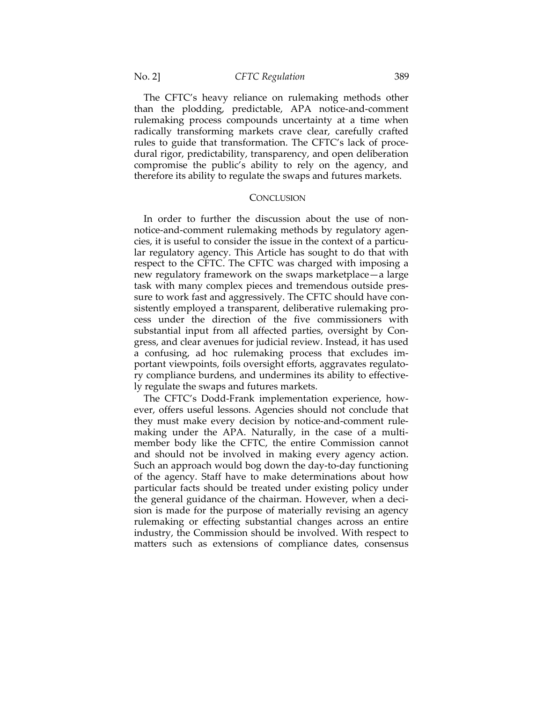The CFTC's heavy reliance on rulemaking methods other than the plodding, predictable, APA notice-and-comment rulemaking process compounds uncertainty at a time when radically transforming markets crave clear, carefully crafted rules to guide that transformation. The CFTC's lack of procedural rigor, predictability, transparency, and open deliberation compromise the public's ability to rely on the agency, and therefore its ability to regulate the swaps and futures markets.

#### **CONCLUSION**

In order to further the discussion about the use of nonnotice-and-comment rulemaking methods by regulatory agencies, it is useful to consider the issue in the context of a particular regulatory agency. This Article has sought to do that with respect to the CFTC. The CFTC was charged with imposing a new regulatory framework on the swaps marketplace—a large task with many complex pieces and tremendous outside pressure to work fast and aggressively. The CFTC should have consistently employed a transparent, deliberative rulemaking process under the direction of the five commissioners with substantial input from all affected parties, oversight by Congress, and clear avenues for judicial review. Instead, it has used a confusing, ad hoc rulemaking process that excludes important viewpoints, foils oversight efforts, aggravates regulatory compliance burdens, and undermines its ability to effectively regulate the swaps and futures markets.

The CFTC's Dodd-Frank implementation experience, however, offers useful lessons. Agencies should not conclude that they must make every decision by notice-and-comment rulemaking under the APA. Naturally, in the case of a multimember body like the CFTC, the entire Commission cannot and should not be involved in making every agency action. Such an approach would bog down the day-to-day functioning of the agency. Staff have to make determinations about how particular facts should be treated under existing policy under the general guidance of the chairman. However, when a decision is made for the purpose of materially revising an agency rulemaking or effecting substantial changes across an entire industry, the Commission should be involved. With respect to matters such as extensions of compliance dates, consensus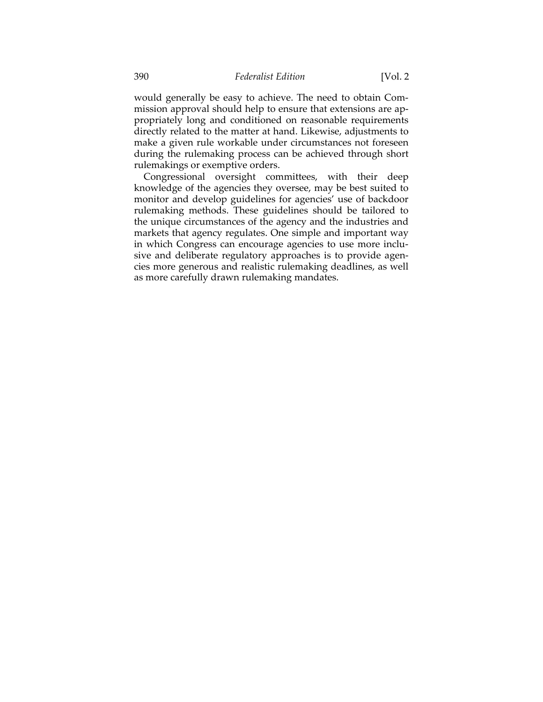would generally be easy to achieve. The need to obtain Commission approval should help to ensure that extensions are appropriately long and conditioned on reasonable requirements directly related to the matter at hand. Likewise, adjustments to make a given rule workable under circumstances not foreseen during the rulemaking process can be achieved through short rulemakings or exemptive orders.

Congressional oversight committees, with their deep knowledge of the agencies they oversee, may be best suited to monitor and develop guidelines for agencies' use of backdoor rulemaking methods. These guidelines should be tailored to the unique circumstances of the agency and the industries and markets that agency regulates. One simple and important way in which Congress can encourage agencies to use more inclusive and deliberate regulatory approaches is to provide agencies more generous and realistic rulemaking deadlines, as well as more carefully drawn rulemaking mandates.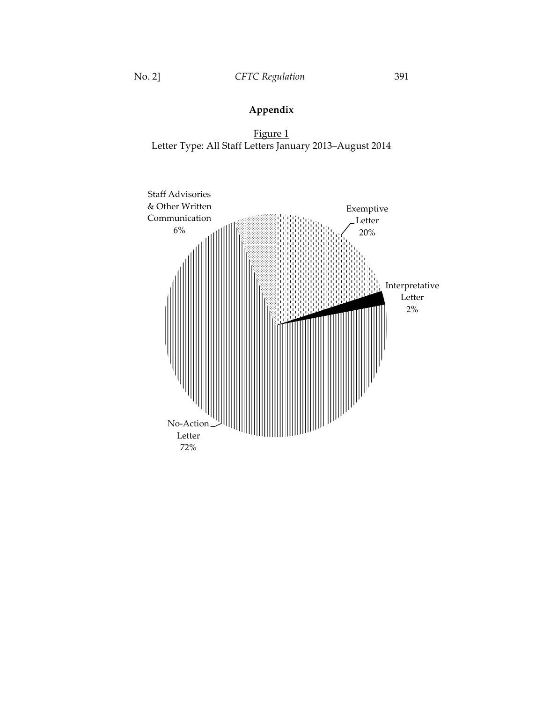# **Appendix**

Figure 1 Letter Type: All Staff Letters January 2013–August 2014

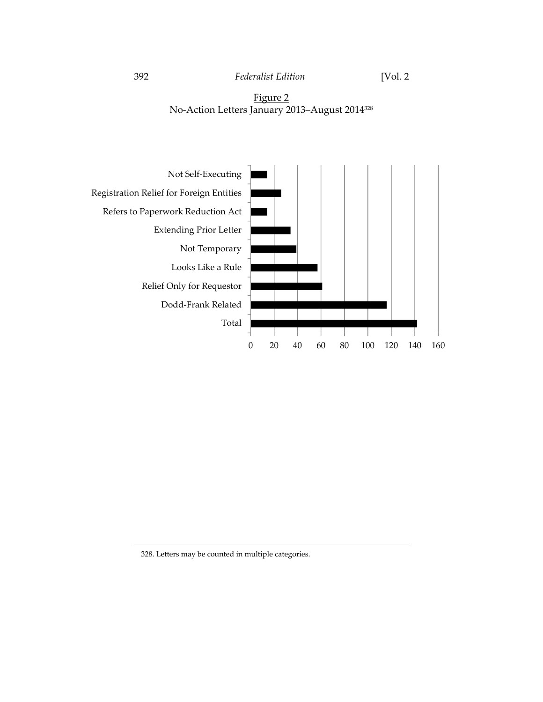



328. Letters may be counted in multiple categories.